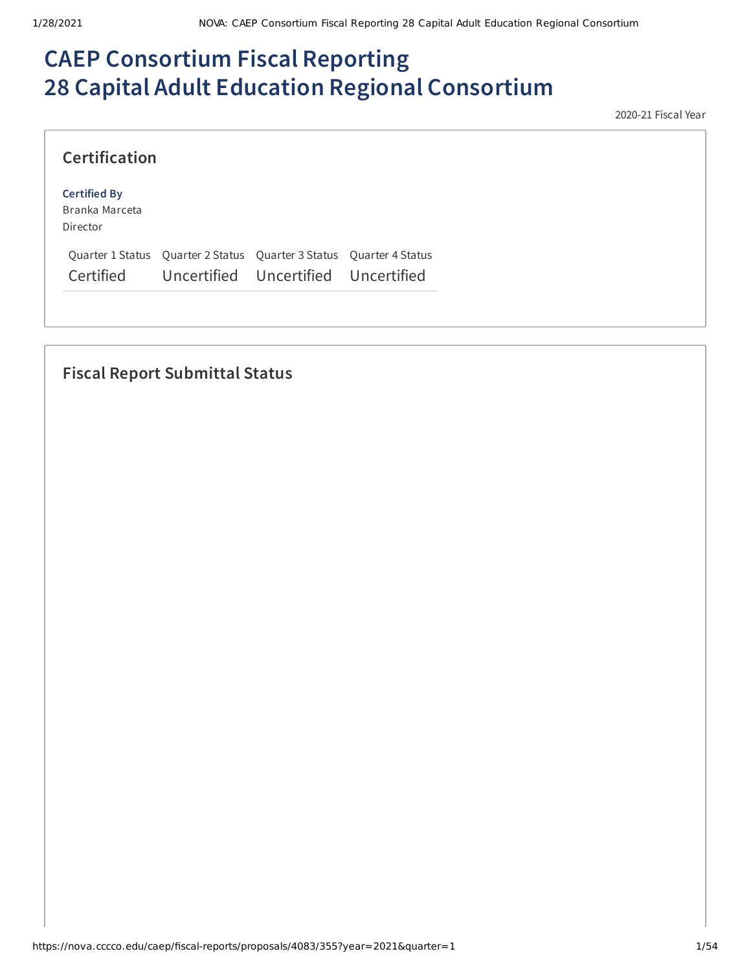# **CAEP Consortium Fiscal Reporting 28 Capital Adult Education Regional Consortium**

2020-21 Fiscal Year

### **Certification**

#### **Certified By**

Branka Marceta Director

Quarter 1 Status Quarter 2 Status Quarter 3 Status Quarter 4 Status Certified Uncertified Uncertified Uncertified

## **Fiscal Report Submittal Status**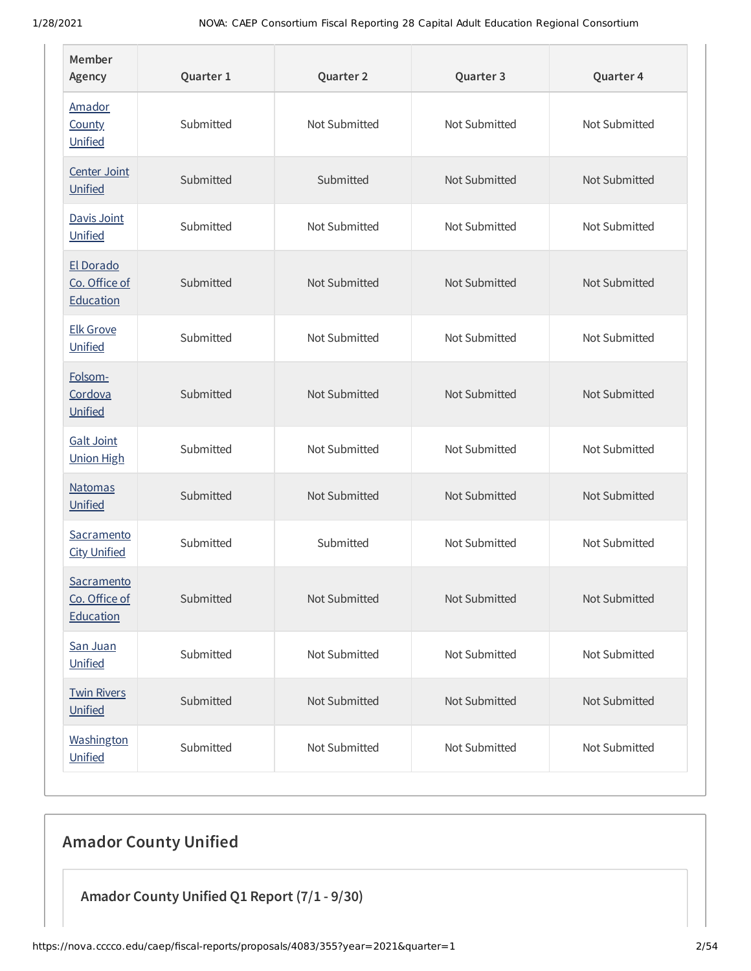| Member<br>Agency                         | Quarter 1 | Quarter 2     | Quarter 3     | Quarter 4     |
|------------------------------------------|-----------|---------------|---------------|---------------|
| Amador<br>County<br>Unified              | Submitted | Not Submitted | Not Submitted | Not Submitted |
| Center Joint<br>Unified                  | Submitted | Submitted     | Not Submitted | Not Submitted |
| Davis Joint<br>Unified                   | Submitted | Not Submitted | Not Submitted | Not Submitted |
| El Dorado<br>Co. Office of<br>Education  | Submitted | Not Submitted | Not Submitted | Not Submitted |
| <b>Elk Grove</b><br>Unified              | Submitted | Not Submitted | Not Submitted | Not Submitted |
| Folsom-<br>Cordova<br>Unified            | Submitted | Not Submitted | Not Submitted | Not Submitted |
| <b>Galt Joint</b><br><b>Union High</b>   | Submitted | Not Submitted | Not Submitted | Not Submitted |
| <b>Natomas</b><br>Unified                | Submitted | Not Submitted | Not Submitted | Not Submitted |
| Sacramento<br><b>City Unified</b>        | Submitted | Submitted     | Not Submitted | Not Submitted |
| Sacramento<br>Co. Office of<br>Education | Submitted | Not Submitted | Not Submitted | Not Submitted |
| San Juan<br>Unified                      | Submitted | Not Submitted | Not Submitted | Not Submitted |
| <b>Twin Rivers</b><br>Unified            | Submitted | Not Submitted | Not Submitted | Not Submitted |
| Washington<br>Unified                    | Submitted | Not Submitted | Not Submitted | Not Submitted |

## **Amador County Unified**

**Amador County Unified Q1 Report (7/1 - 9/30)**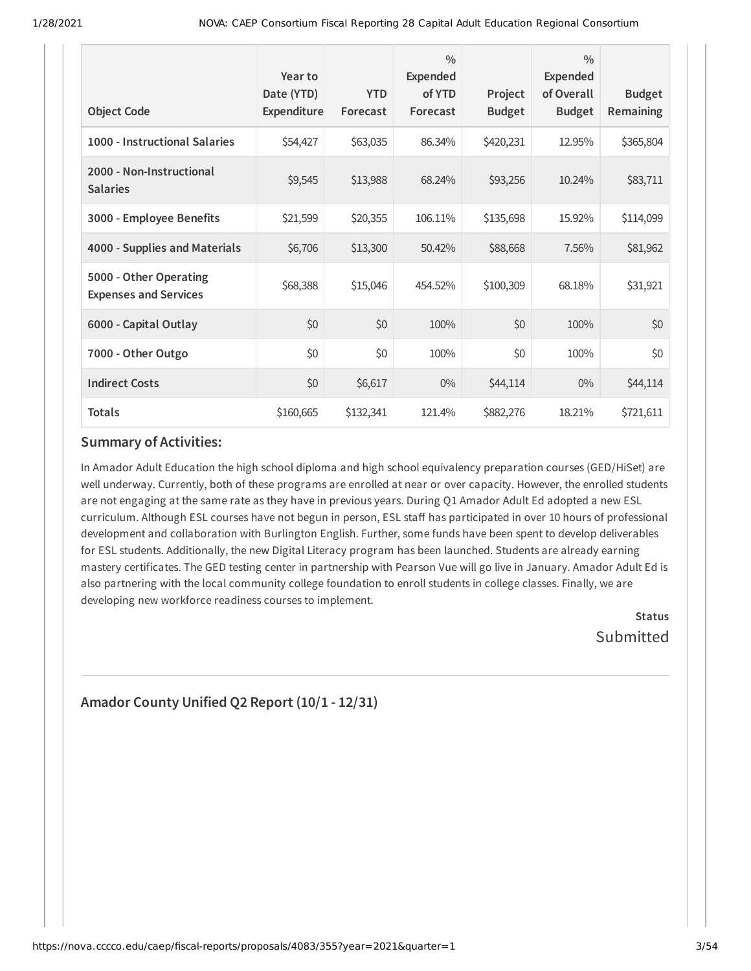| <b>Object Code</b>                                     | Year to<br>Date (YTD)<br>Expenditure | <b>YTD</b><br>Forecast | $\frac{0}{0}$<br>Expended<br>of YTD<br>Forecast | Project<br><b>Budget</b> | $\frac{0}{0}$<br><b>Expended</b><br>of Overall<br><b>Budget</b> | <b>Budget</b><br>Remaining |
|--------------------------------------------------------|--------------------------------------|------------------------|-------------------------------------------------|--------------------------|-----------------------------------------------------------------|----------------------------|
| 1000 - Instructional Salaries                          | \$54,427                             | \$63,035               | 86.34%                                          | \$420,231                | 12.95%                                                          | \$365,804                  |
| 2000 - Non-Instructional<br><b>Salaries</b>            | \$9,545                              | \$13,988               | 68.24%                                          | \$93,256                 | 10.24%                                                          | \$83,711                   |
| 3000 - Employee Benefits                               | \$21,599                             | \$20,355               | 106.11%                                         | \$135,698                | 15.92%                                                          | \$114,099                  |
| 4000 - Supplies and Materials                          | \$6,706                              | \$13,300               | 50.42%                                          | \$88,668                 | 7.56%                                                           | \$81,962                   |
| 5000 - Other Operating<br><b>Expenses and Services</b> | \$68,388                             | \$15,046               | 454.52%                                         | \$100,309                | 68.18%                                                          | \$31,921                   |
| 6000 - Capital Outlay                                  | \$0                                  | \$0                    | 100%                                            | \$0                      | 100%                                                            | \$0                        |
| 7000 - Other Outgo                                     | \$0                                  | \$0                    | 100%                                            | \$0                      | 100%                                                            | \$0                        |
| <b>Indirect Costs</b>                                  | \$0                                  | \$6,617                | $0\%$                                           | \$44,114                 | $0\%$                                                           | \$44,114                   |
| <b>Totals</b>                                          | \$160,665                            | \$132,341              | 121.4%                                          | \$882,276                | 18.21%                                                          | \$721,611                  |

### **Summary of Activities:**

In Amador Adult Education the high school diploma and high school equivalency preparation courses (GED/HiSet) are well underway. Currently, both of these programs are enrolled at near or over capacity. However, the enrolled students are not engaging at the same rate as they have in previous years. During Q1 Amador Adult Ed adopted a new ESL curriculum. Although ESL courses have not begun in person, ESL staff has participated in over 10 hours of professional development and collaboration with Burlington English. Further, some funds have been spent to develop deliverables for ESL students. Additionally, the new Digital Literacy program has been launched. Students are already earning mastery certificates. The GED testing center in partnership with Pearson Vue will go live in January. Amador Adult Ed is also partnering with the local community college foundation to enroll students in college classes. Finally, we are developing new workforce readiness courses to implement.

**Status** Submitted

### **Amador County Unified Q2 Report (10/1 - 12/31)**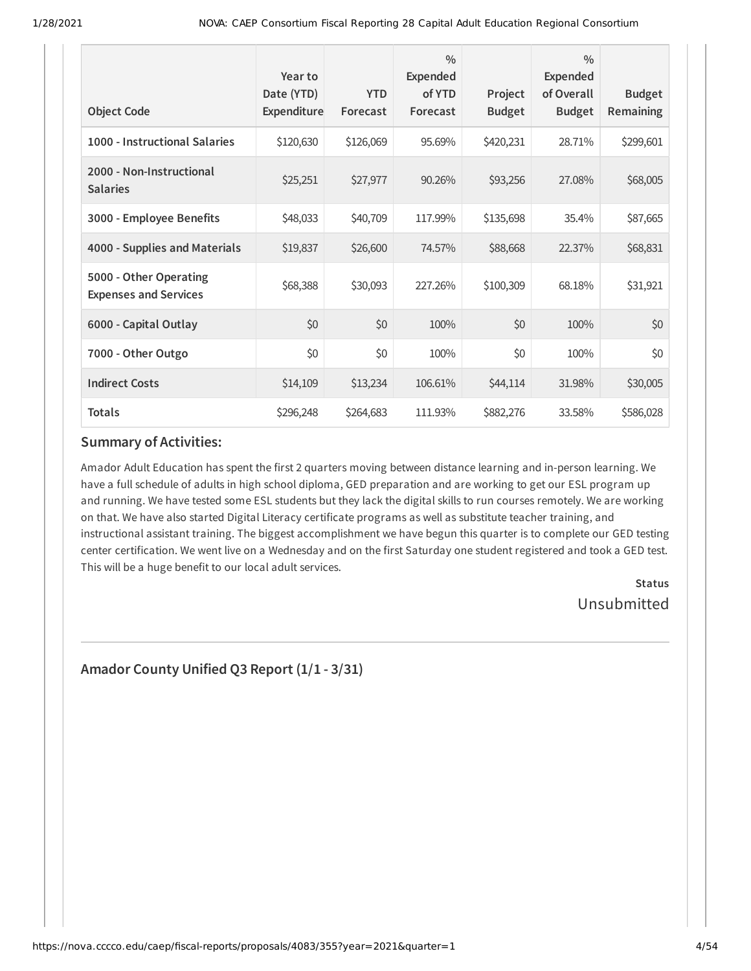| <b>Object Code</b>                                     | Year to<br>Date (YTD)<br>Expenditure | <b>YTD</b><br>Forecast | $\frac{0}{0}$<br><b>Expended</b><br>of YTD<br>Forecast | Project<br><b>Budget</b> | $\frac{0}{0}$<br><b>Expended</b><br>of Overall<br><b>Budget</b> | <b>Budget</b><br>Remaining |
|--------------------------------------------------------|--------------------------------------|------------------------|--------------------------------------------------------|--------------------------|-----------------------------------------------------------------|----------------------------|
| 1000 - Instructional Salaries                          | \$120,630                            | \$126,069              | 95.69%                                                 | \$420,231                | 28.71%                                                          | \$299,601                  |
| 2000 - Non-Instructional<br><b>Salaries</b>            | \$25,251                             | \$27,977               | 90.26%                                                 | \$93,256                 | 27.08%                                                          | \$68,005                   |
| 3000 - Employee Benefits                               | \$48,033                             | \$40,709               | 117.99%                                                | \$135,698                | 35.4%                                                           | \$87,665                   |
| 4000 - Supplies and Materials                          | \$19,837                             | \$26,600               | 74.57%                                                 | \$88,668                 | 22.37%                                                          | \$68,831                   |
| 5000 - Other Operating<br><b>Expenses and Services</b> | \$68,388                             | \$30,093               | 227.26%                                                | \$100,309                | 68.18%                                                          | \$31,921                   |
| 6000 - Capital Outlay                                  | \$0                                  | \$0                    | 100%                                                   | \$0                      | 100%                                                            | \$0                        |
| 7000 - Other Outgo                                     | \$0                                  | \$0                    | 100%                                                   | \$0                      | 100%                                                            | \$0                        |
| <b>Indirect Costs</b>                                  | \$14,109                             | \$13,234               | 106.61%                                                | \$44,114                 | 31.98%                                                          | \$30,005                   |
| <b>Totals</b>                                          | \$296,248                            | \$264,683              | 111.93%                                                | \$882,276                | 33.58%                                                          | \$586,028                  |

### **Summary of Activities:**

Amador Adult Education has spent the first 2 quarters moving between distance learning and in-person learning. We have a full schedule of adults in high school diploma, GED preparation and are working to get our ESL program up and running. We have tested some ESL students but they lack the digital skills to run courses remotely. We are working on that. We have also started Digital Literacy certificate programs as well as substitute teacher training, and instructional assistant training. The biggest accomplishment we have begun this quarter is to complete our GED testing center certification. We went live on a Wednesday and on the first Saturday one student registered and took a GED test. This will be a huge benefit to our local adult services.

> **Status** Unsubmitted

### **Amador County Unified Q3 Report (1/1 - 3/31)**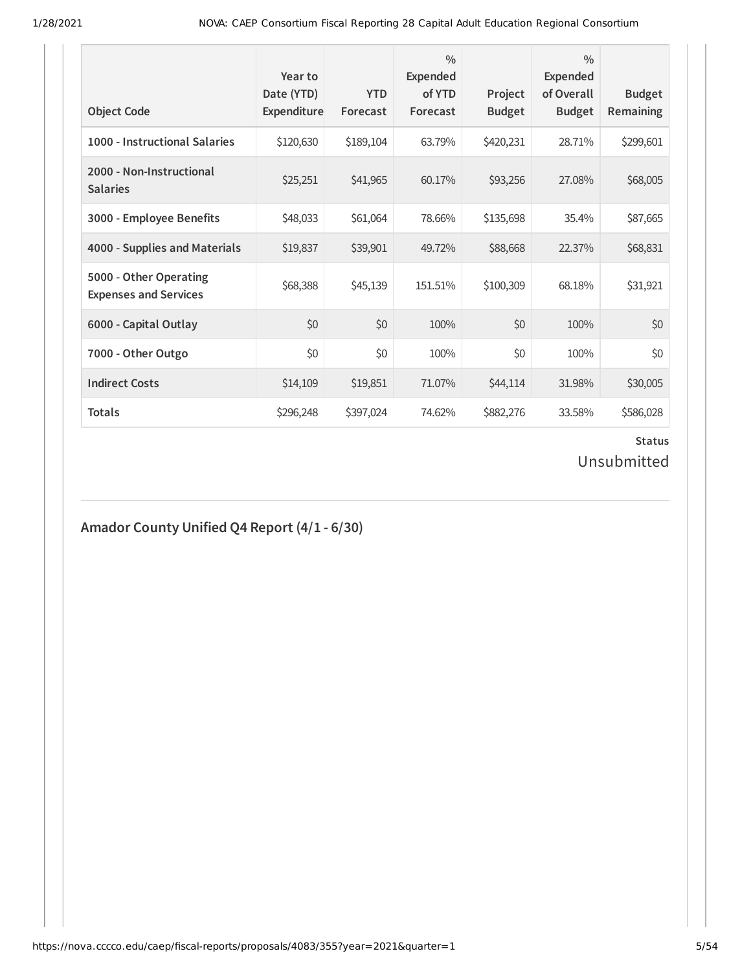| <b>Object Code</b>                                     | Year to<br>Date (YTD)<br>Expenditure | <b>YTD</b><br>Forecast | $\frac{0}{0}$<br>Expended<br>of YTD<br>Forecast | Project<br><b>Budget</b> | $\frac{0}{0}$<br><b>Expended</b><br>of Overall<br><b>Budget</b> | <b>Budget</b><br>Remaining |
|--------------------------------------------------------|--------------------------------------|------------------------|-------------------------------------------------|--------------------------|-----------------------------------------------------------------|----------------------------|
| 1000 - Instructional Salaries                          | \$120,630                            | \$189,104              | 63.79%                                          | \$420,231                | 28.71%                                                          | \$299,601                  |
| 2000 - Non-Instructional<br><b>Salaries</b>            | \$25,251                             | \$41,965               | 60.17%                                          | \$93,256                 | 27.08%                                                          | \$68,005                   |
| 3000 - Employee Benefits                               | \$48,033                             | \$61,064               | 78.66%                                          | \$135,698                | 35.4%                                                           | \$87,665                   |
| 4000 - Supplies and Materials                          | \$19,837                             | \$39,901               | 49.72%                                          | \$88,668                 | 22.37%                                                          | \$68,831                   |
| 5000 - Other Operating<br><b>Expenses and Services</b> | \$68,388                             | \$45,139               | 151.51%                                         | \$100,309                | 68.18%                                                          | \$31,921                   |
| 6000 - Capital Outlay                                  | \$0                                  | \$0                    | 100%                                            | \$0                      | 100%                                                            | \$0                        |
| 7000 - Other Outgo                                     | \$0                                  | \$0                    | 100%                                            | \$0                      | 100%                                                            | \$0                        |
| <b>Indirect Costs</b>                                  | \$14,109                             | \$19,851               | 71.07%                                          | \$44,114                 | 31.98%                                                          | \$30,005                   |
| <b>Totals</b>                                          | \$296,248                            | \$397,024              | 74.62%                                          | \$882,276                | 33.58%                                                          | \$586,028                  |

## Unsubmitted

## **Amador County Unified Q4 Report (4/1 - 6/30)**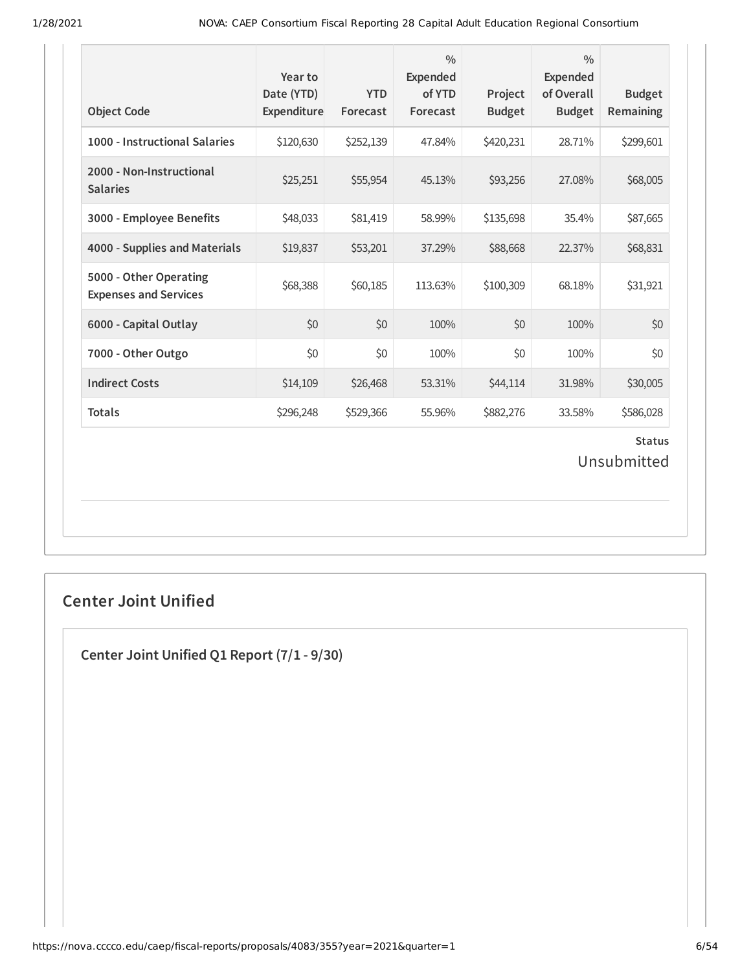| <b>Object Code</b>                                     | Year to<br>Date (YTD)<br>Expenditure | <b>YTD</b><br>Forecast | $\frac{0}{0}$<br><b>Expended</b><br>of YTD<br>Forecast | Project<br><b>Budget</b> | $\frac{0}{0}$<br><b>Expended</b><br>of Overall<br><b>Budget</b> | <b>Budget</b><br>Remaining   |
|--------------------------------------------------------|--------------------------------------|------------------------|--------------------------------------------------------|--------------------------|-----------------------------------------------------------------|------------------------------|
| 1000 - Instructional Salaries                          | \$120,630                            | \$252,139              | 47.84%                                                 | \$420,231                | 28.71%                                                          | \$299,601                    |
| 2000 - Non-Instructional<br><b>Salaries</b>            | \$25,251                             | \$55,954               | 45.13%                                                 | \$93,256                 | 27.08%                                                          | \$68,005                     |
| 3000 - Employee Benefits                               | \$48,033                             | \$81,419               | 58.99%                                                 | \$135,698                | 35.4%                                                           | \$87,665                     |
| 4000 - Supplies and Materials                          | \$19,837                             | \$53,201               | 37.29%                                                 | \$88,668                 | 22.37%                                                          | \$68,831                     |
| 5000 - Other Operating<br><b>Expenses and Services</b> | \$68,388                             | \$60,185               | 113.63%                                                | \$100,309                | 68.18%                                                          | \$31,921                     |
| 6000 - Capital Outlay                                  | \$0                                  | \$0                    | 100%                                                   | \$0                      | 100%                                                            | \$0                          |
| 7000 - Other Outgo                                     | \$0                                  | \$0                    | 100%                                                   | \$0                      | 100%                                                            | \$0                          |
| <b>Indirect Costs</b>                                  | \$14,109                             | \$26,468               | 53.31%                                                 | \$44,114                 | 31.98%                                                          | \$30,005                     |
| <b>Totals</b>                                          | \$296,248                            | \$529,366              | 55.96%                                                 | \$882,276                | 33.58%                                                          | \$586,028                    |
|                                                        |                                      |                        |                                                        |                          |                                                                 | <b>Status</b><br>Unsubmitted |

## **Center Joint Unified**

**Center Joint Unified Q1 Report (7/1 - 9/30)**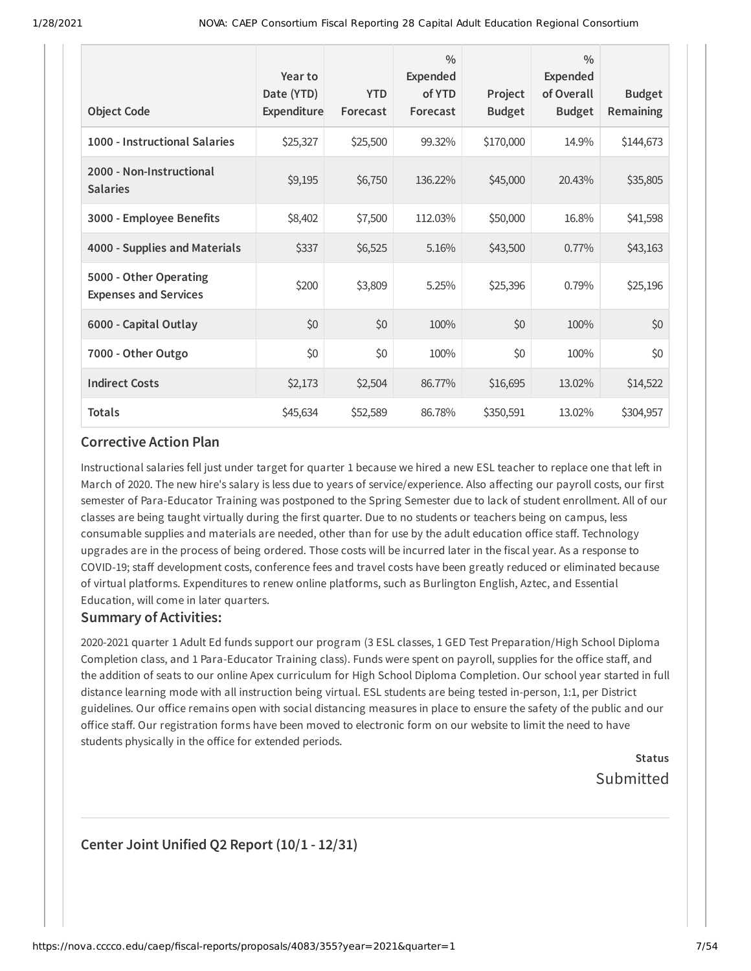|                                                        | Year to<br>Date (YTD) | <b>YTD</b> | $\frac{0}{0}$<br><b>Expended</b><br>of YTD | Project       | $\frac{0}{0}$<br><b>Expended</b><br>of Overall | <b>Budget</b> |
|--------------------------------------------------------|-----------------------|------------|--------------------------------------------|---------------|------------------------------------------------|---------------|
| <b>Object Code</b>                                     | Expenditure           | Forecast   | Forecast                                   | <b>Budget</b> | <b>Budget</b>                                  | Remaining     |
| 1000 - Instructional Salaries                          | \$25,327              | \$25,500   | 99.32%                                     | \$170,000     | 14.9%                                          | \$144,673     |
| 2000 - Non-Instructional<br><b>Salaries</b>            | \$9,195               | \$6,750    | 136.22%                                    | \$45,000      | 20.43%                                         | \$35,805      |
| 3000 - Employee Benefits                               | \$8,402               | \$7,500    | 112.03%                                    | \$50,000      | 16.8%                                          | \$41,598      |
| 4000 - Supplies and Materials                          | \$337                 | \$6,525    | 5.16%                                      | \$43,500      | 0.77%                                          | \$43,163      |
| 5000 - Other Operating<br><b>Expenses and Services</b> | \$200                 | \$3,809    | 5.25%                                      | \$25,396      | 0.79%                                          | \$25,196      |
| 6000 - Capital Outlay                                  | \$0                   | \$0        | 100%                                       | \$0           | 100%                                           | \$0           |
| 7000 - Other Outgo                                     | \$0                   | \$0        | 100%                                       | \$0           | 100%                                           | \$0           |
| <b>Indirect Costs</b>                                  | \$2,173               | \$2,504    | 86.77%                                     | \$16,695      | 13.02%                                         | \$14,522      |
| <b>Totals</b>                                          | \$45,634              | \$52,589   | 86.78%                                     | \$350,591     | 13.02%                                         | \$304,957     |

#### **Corrective Action Plan**

Instructional salaries fell just under target for quarter 1 because we hired a new ESL teacher to replace one that left in March of 2020. The new hire's salary is less due to years of service/experience. Also affecting our payroll costs, our first semester of Para-Educator Training was postponed to the Spring Semester due to lack of student enrollment. All of our classes are being taught virtually during the first quarter. Due to no students or teachers being on campus, less consumable supplies and materials are needed, other than for use by the adult education office staff. Technology upgrades are in the process of being ordered. Those costs will be incurred later in the fiscal year. As a response to COVID-19; staff development costs, conference fees and travel costs have been greatly reduced or eliminated because of virtual platforms. Expenditures to renew online platforms, such as Burlington English, Aztec, and Essential Education, will come in later quarters.

### **Summary of Activities:**

2020-2021 quarter 1 Adult Ed funds support our program (3 ESL classes, 1 GED Test Preparation/High School Diploma Completion class, and 1 Para-Educator Training class). Funds were spent on payroll, supplies for the office staff, and the addition of seats to our online Apex curriculum for High School Diploma Completion. Our school year started in full distance learning mode with all instruction being virtual. ESL students are being tested in-person, 1:1, per District guidelines. Our office remains open with social distancing measures in place to ensure the safety of the public and our office staff. Our registration forms have been moved to electronic form on our website to limit the need to have students physically in the office for extended periods.

> **Status** Submitted

### **Center Joint Unified Q2 Report (10/1 - 12/31)**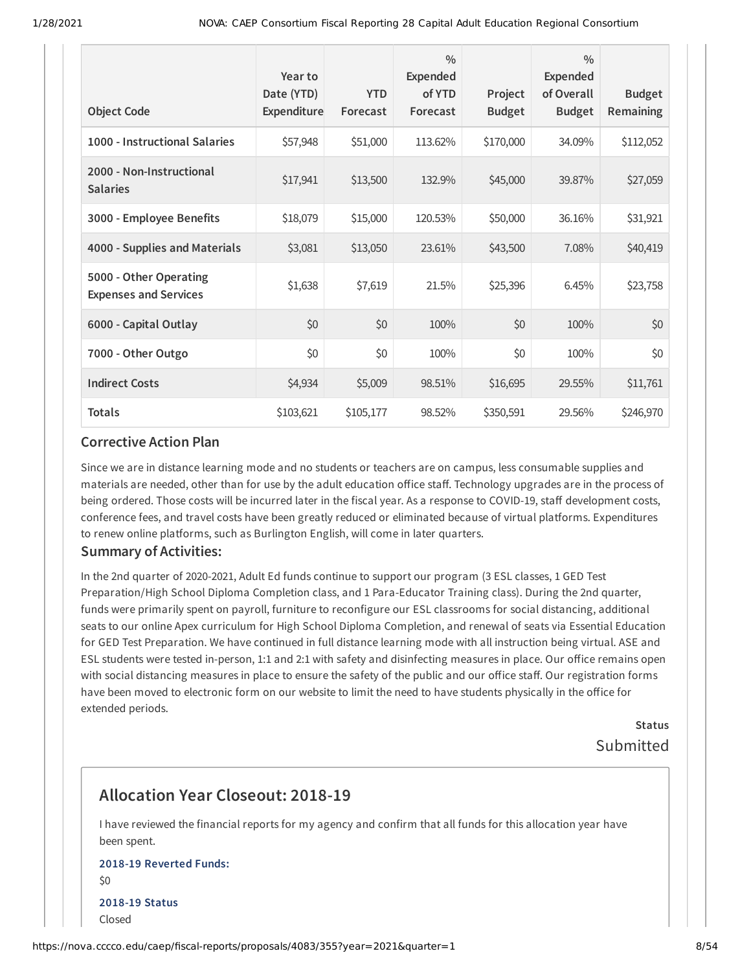| <b>Object Code</b>                                     | Year to<br>Date (YTD)<br>Expenditure | <b>YTD</b><br>Forecast | $\frac{0}{0}$<br><b>Expended</b><br>of YTD<br>Forecast | Project<br><b>Budget</b> | $\frac{0}{0}$<br><b>Expended</b><br>of Overall<br><b>Budget</b> | <b>Budget</b><br>Remaining |
|--------------------------------------------------------|--------------------------------------|------------------------|--------------------------------------------------------|--------------------------|-----------------------------------------------------------------|----------------------------|
| 1000 - Instructional Salaries                          | \$57,948                             | \$51,000               | 113.62%                                                | \$170,000                | 34.09%                                                          | \$112,052                  |
| 2000 - Non-Instructional<br><b>Salaries</b>            | \$17,941                             | \$13,500               | 132.9%                                                 | \$45,000                 | 39.87%                                                          | \$27,059                   |
| 3000 - Employee Benefits                               | \$18,079                             | \$15,000               | 120.53%                                                | \$50,000                 | 36.16%                                                          | \$31,921                   |
| 4000 - Supplies and Materials                          | \$3,081                              | \$13,050               | 23.61%                                                 | \$43,500                 | 7.08%                                                           | \$40,419                   |
| 5000 - Other Operating<br><b>Expenses and Services</b> | \$1,638                              | \$7,619                | 21.5%                                                  | \$25,396                 | 6.45%                                                           | \$23,758                   |
| 6000 - Capital Outlay                                  | \$0                                  | \$0                    | 100%                                                   | \$0                      | 100%                                                            | \$0                        |
| 7000 - Other Outgo                                     | \$0                                  | \$0                    | 100%                                                   | \$0                      | 100%                                                            | \$0                        |
| <b>Indirect Costs</b>                                  | \$4,934                              | \$5,009                | 98.51%                                                 | \$16,695                 | 29.55%                                                          | \$11,761                   |
| <b>Totals</b>                                          | \$103,621                            | \$105,177              | 98.52%                                                 | \$350,591                | 29.56%                                                          | \$246,970                  |

#### **Corrective Action Plan**

Since we are in distance learning mode and no students or teachers are on campus, less consumable supplies and materials are needed, other than for use by the adult education office staff. Technology upgrades are in the process of being ordered. Those costs will be incurred later in the fiscal year. As a response to COVID-19, staff development costs, conference fees, and travel costs have been greatly reduced or eliminated because of virtual platforms. Expenditures to renew online platforms, such as Burlington English, will come in later quarters.

#### **Summary of Activities:**

In the 2nd quarter of 2020-2021, Adult Ed funds continue to support our program (3 ESL classes, 1 GED Test Preparation/High School Diploma Completion class, and 1 Para-Educator Training class). During the 2nd quarter, funds were primarily spent on payroll, furniture to reconfigure our ESL classrooms for social distancing, additional seats to our online Apex curriculum for High School Diploma Completion, and renewal of seats via Essential Education for GED Test Preparation. We have continued in full distance learning mode with all instruction being virtual. ASE and ESL students were tested in-person, 1:1 and 2:1 with safety and disinfecting measures in place. Our office remains open with social distancing measures in place to ensure the safety of the public and our office staff. Our registration forms have been moved to electronic form on our website to limit the need to have students physically in the office for extended periods.

> **Status** Submitted

### **Allocation Year Closeout: 2018-19**

I have reviewed the financial reports for my agency and confirm that all funds for this allocation year have been spent.

### **2018-19 Reverted Funds:** \$0 **2018-19 Status** Closed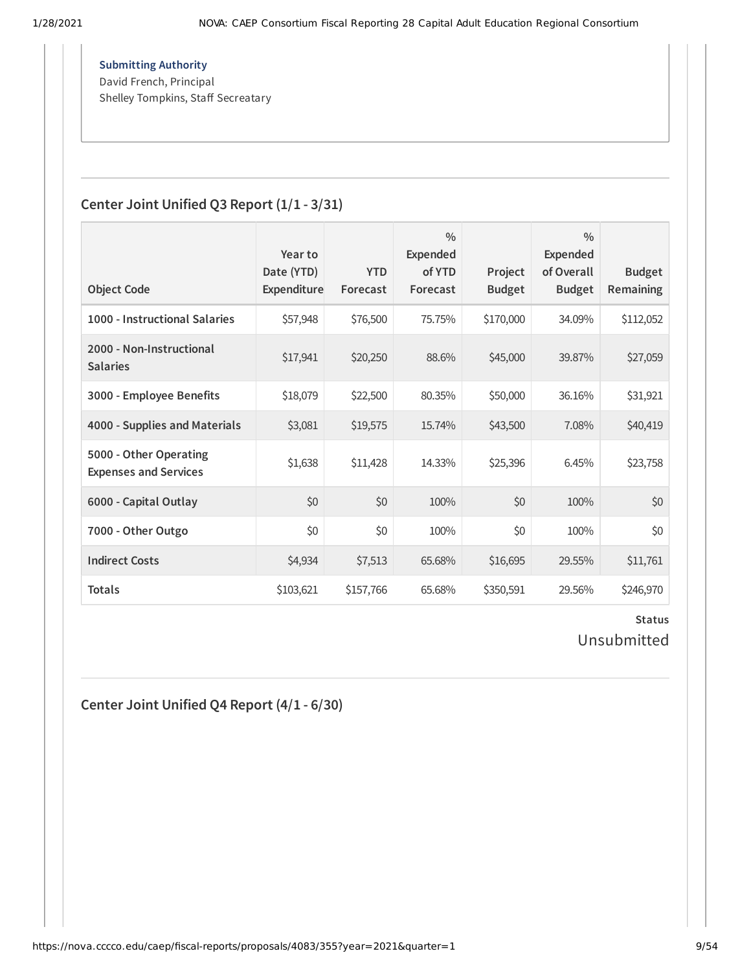**Submitting Authority** David French, Principal Shelley Tompkins, Staff Secreatary

## **Center Joint Unified Q3 Report (1/1 - 3/31)**

|                                                        | Year to<br>Date (YTD) | <b>YTD</b> | $\frac{0}{0}$<br><b>Expended</b><br>of YTD | Project       | $\frac{0}{0}$<br><b>Expended</b><br>of Overall | <b>Budget</b> |
|--------------------------------------------------------|-----------------------|------------|--------------------------------------------|---------------|------------------------------------------------|---------------|
| <b>Object Code</b>                                     | Expenditure           | Forecast   | Forecast                                   | <b>Budget</b> | <b>Budget</b>                                  | Remaining     |
| 1000 - Instructional Salaries                          | \$57,948              | \$76,500   | 75.75%                                     | \$170,000     | 34.09%                                         | \$112,052     |
| 2000 - Non-Instructional<br><b>Salaries</b>            | \$17,941              | \$20,250   | 88.6%                                      | \$45,000      | 39.87%                                         | \$27,059      |
| 3000 - Employee Benefits                               | \$18,079              | \$22,500   | 80.35%                                     | \$50,000      | 36.16%                                         | \$31,921      |
| 4000 - Supplies and Materials                          | \$3,081               | \$19,575   | 15.74%                                     | \$43,500      | 7.08%                                          | \$40,419      |
| 5000 - Other Operating<br><b>Expenses and Services</b> | \$1,638               | \$11,428   | 14.33%                                     | \$25,396      | 6.45%                                          | \$23,758      |
| 6000 - Capital Outlay                                  | \$0                   | \$0        | 100%                                       | \$0           | 100%                                           | \$0           |
| 7000 - Other Outgo                                     | \$0                   | \$0        | 100%                                       | \$0           | 100%                                           | \$0           |
| <b>Indirect Costs</b>                                  | \$4,934               | \$7,513    | 65.68%                                     | \$16,695      | 29.55%                                         | \$11,761      |
| <b>Totals</b>                                          | \$103,621             | \$157,766  | 65.68%                                     | \$350,591     | 29.56%                                         | \$246,970     |

### **Status** Unsubmitted

**Center Joint Unified Q4 Report (4/1 - 6/30)**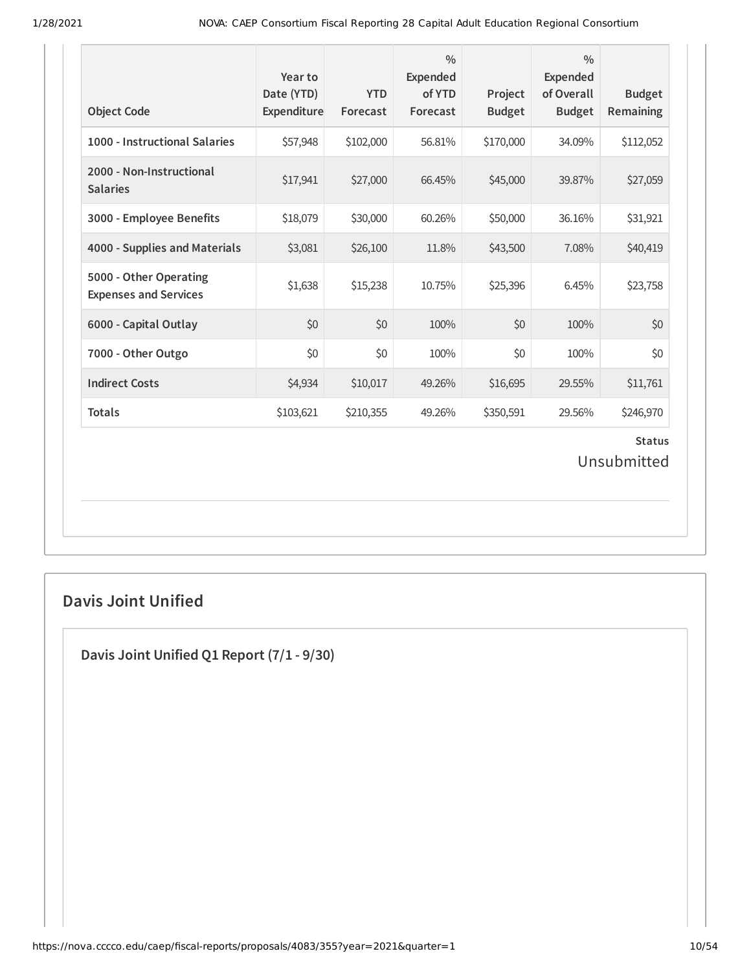| <b>Object Code</b>                                     | Year to<br>Date (YTD)<br>Expenditure | <b>YTD</b><br>Forecast | $\frac{0}{0}$<br><b>Expended</b><br>of YTD<br>Forecast | Project<br><b>Budget</b> | $\frac{0}{0}$<br>Expended<br>of Overall<br><b>Budget</b> | <b>Budget</b><br>Remaining |
|--------------------------------------------------------|--------------------------------------|------------------------|--------------------------------------------------------|--------------------------|----------------------------------------------------------|----------------------------|
| 1000 - Instructional Salaries                          | \$57,948                             | \$102,000              | 56.81%                                                 | \$170,000                | 34.09%                                                   | \$112,052                  |
| 2000 - Non-Instructional<br><b>Salaries</b>            | \$17,941                             | \$27,000               | 66.45%                                                 | \$45,000                 | 39.87%                                                   | \$27,059                   |
| 3000 - Employee Benefits                               | \$18,079                             | \$30,000               | 60.26%                                                 | \$50,000                 | 36.16%                                                   | \$31,921                   |
| 4000 - Supplies and Materials                          | \$3,081                              | \$26,100               | 11.8%                                                  | \$43,500                 | 7.08%                                                    | \$40,419                   |
| 5000 - Other Operating<br><b>Expenses and Services</b> | \$1,638                              | \$15,238               | 10.75%                                                 | \$25,396                 | 6.45%                                                    | \$23,758                   |
| 6000 - Capital Outlay                                  | \$0                                  | \$0                    | 100%                                                   | \$0                      | 100%                                                     | \$0                        |
| 7000 - Other Outgo                                     | \$0                                  | \$0                    | 100%                                                   | \$0                      | 100%                                                     | \$0                        |
| <b>Indirect Costs</b>                                  | \$4,934                              | \$10,017               | 49.26%                                                 | \$16,695                 | 29.55%                                                   | \$11,761                   |
| <b>Totals</b>                                          | \$103,621                            | \$210,355              | 49.26%                                                 | \$350,591                | 29.56%                                                   | \$246,970                  |
| <b>Status</b><br>Unsubmitted                           |                                      |                        |                                                        |                          |                                                          |                            |

## **Davis Joint Unified**

**Davis Joint Unified Q1 Report (7/1 - 9/30)**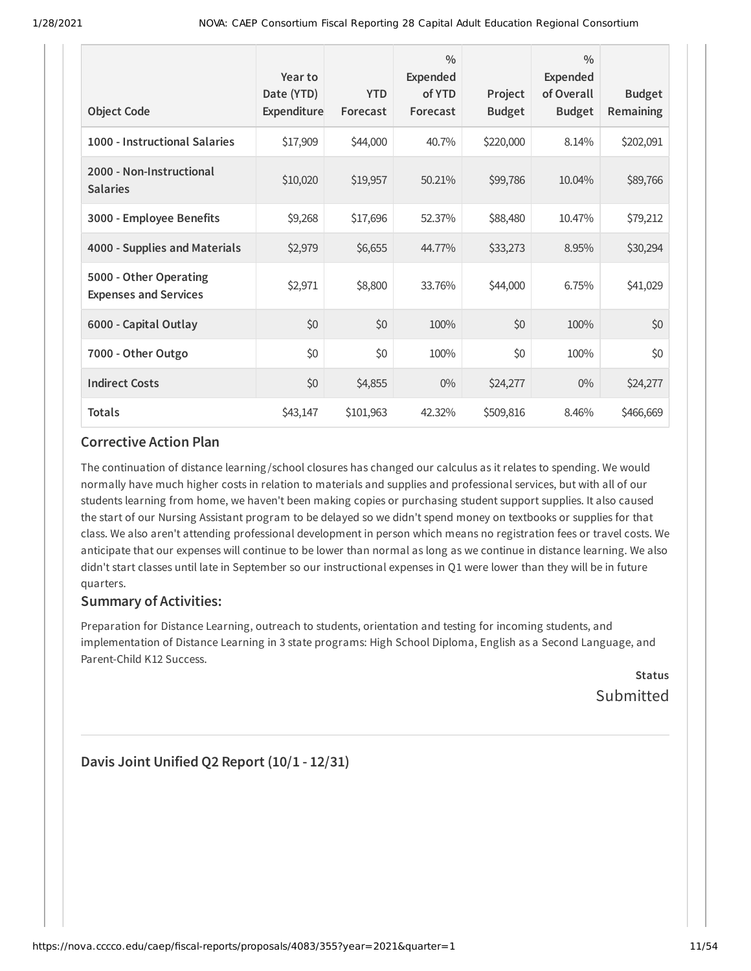| <b>Object Code</b>                                     | Year to<br>Date (YTD)<br>Expenditure | <b>YTD</b><br>Forecast | $\frac{0}{0}$<br><b>Expended</b><br>of YTD<br>Forecast | Project<br><b>Budget</b> | $\frac{0}{0}$<br><b>Expended</b><br>of Overall<br><b>Budget</b> | <b>Budget</b><br><b>Remaining</b> |
|--------------------------------------------------------|--------------------------------------|------------------------|--------------------------------------------------------|--------------------------|-----------------------------------------------------------------|-----------------------------------|
| 1000 - Instructional Salaries                          | \$17,909                             | \$44,000               | 40.7%                                                  | \$220,000                | 8.14%                                                           | \$202,091                         |
| 2000 - Non-Instructional<br><b>Salaries</b>            | \$10,020                             | \$19,957               | 50.21%                                                 | \$99,786                 | 10.04%                                                          | \$89,766                          |
| 3000 - Employee Benefits                               | \$9,268                              | \$17,696               | 52.37%                                                 | \$88,480                 | 10.47%                                                          | \$79,212                          |
| 4000 - Supplies and Materials                          | \$2,979                              | \$6,655                | 44.77%                                                 | \$33,273                 | 8.95%                                                           | \$30,294                          |
| 5000 - Other Operating<br><b>Expenses and Services</b> | \$2,971                              | \$8,800                | 33.76%                                                 | \$44,000                 | 6.75%                                                           | \$41,029                          |
| 6000 - Capital Outlay                                  | \$0                                  | \$0                    | 100%                                                   | \$0                      | 100%                                                            | \$0                               |
| 7000 - Other Outgo                                     | \$0                                  | \$0                    | 100%                                                   | \$0                      | 100%                                                            | \$0                               |
| <b>Indirect Costs</b>                                  | \$0                                  | \$4,855                | $0\%$                                                  | \$24,277                 | $0\%$                                                           | \$24,277                          |
| <b>Totals</b>                                          | \$43,147                             | \$101,963              | 42.32%                                                 | \$509,816                | 8.46%                                                           | \$466,669                         |

### **Corrective Action Plan**

The continuation of distance learning /school closures has changed our calculus as it relates to spending. We would normally have much higher costs in relation to materials and supplies and professional services, but with all of our students learning from home, we haven't been making copies or purchasing student support supplies. It also caused the start of our Nursing Assistant program to be delayed so we didn't spend money on textbooks or supplies for that class. We also aren't attending professional development in person which means no registration fees or travel costs. We anticipate that our expenses will continue to be lower than normal as long as we continue in distance learning. We also didn't start classes until late in September so our instructional expenses in Q1 were lower than they will be in future quarters.

### **Summary of Activities:**

Preparation for Distance Learning, outreach to students, orientation and testing for incoming students, and implementation of Distance Learning in 3 state programs: High School Diploma, English as a Second Language, and Parent-Child K12 Success.

**Status** Submitted

**Davis Joint Unified Q2 Report (10/1 - 12/31)**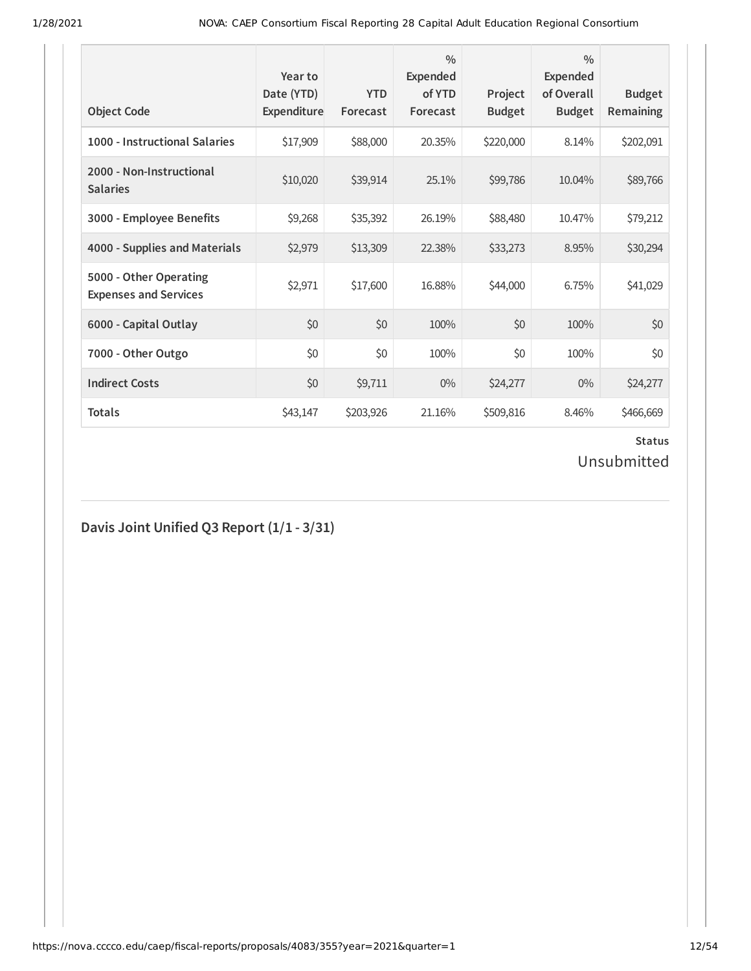| <b>Object Code</b>                                     | Year to<br>Date (YTD)<br><b>Expenditure</b> | <b>YTD</b><br>Forecast | $\frac{0}{0}$<br>Expended<br>of YTD<br>Forecast | Project<br><b>Budget</b> | $\frac{0}{0}$<br><b>Expended</b><br>of Overall<br><b>Budget</b> | <b>Budget</b><br>Remaining |
|--------------------------------------------------------|---------------------------------------------|------------------------|-------------------------------------------------|--------------------------|-----------------------------------------------------------------|----------------------------|
| 1000 - Instructional Salaries                          | \$17,909                                    | \$88,000               | 20.35%                                          | \$220,000                | 8.14%                                                           | \$202,091                  |
| 2000 - Non-Instructional<br><b>Salaries</b>            | \$10,020                                    | \$39,914               | 25.1%                                           | \$99,786                 | 10.04%                                                          | \$89,766                   |
| 3000 - Employee Benefits                               | \$9,268                                     | \$35,392               | 26.19%                                          | \$88,480                 | 10.47%                                                          | \$79,212                   |
| 4000 - Supplies and Materials                          | \$2,979                                     | \$13,309               | 22.38%                                          | \$33,273                 | 8.95%                                                           | \$30,294                   |
| 5000 - Other Operating<br><b>Expenses and Services</b> | \$2,971                                     | \$17,600               | 16.88%                                          | \$44,000                 | 6.75%                                                           | \$41,029                   |
| 6000 - Capital Outlay                                  | \$0                                         | \$0                    | 100%                                            | \$0                      | 100%                                                            | \$0                        |
| 7000 - Other Outgo                                     | \$0                                         | \$0                    | 100%                                            | \$0                      | 100%                                                            | \$0                        |
| <b>Indirect Costs</b>                                  | \$0                                         | \$9,711                | $0\%$                                           | \$24,277                 | $0\%$                                                           | \$24,277                   |
| <b>Totals</b>                                          | \$43,147                                    | \$203,926              | 21.16%                                          | \$509,816                | 8.46%                                                           | \$466,669                  |

Unsubmitted

**Davis Joint Unified Q3 Report (1/1 - 3/31)**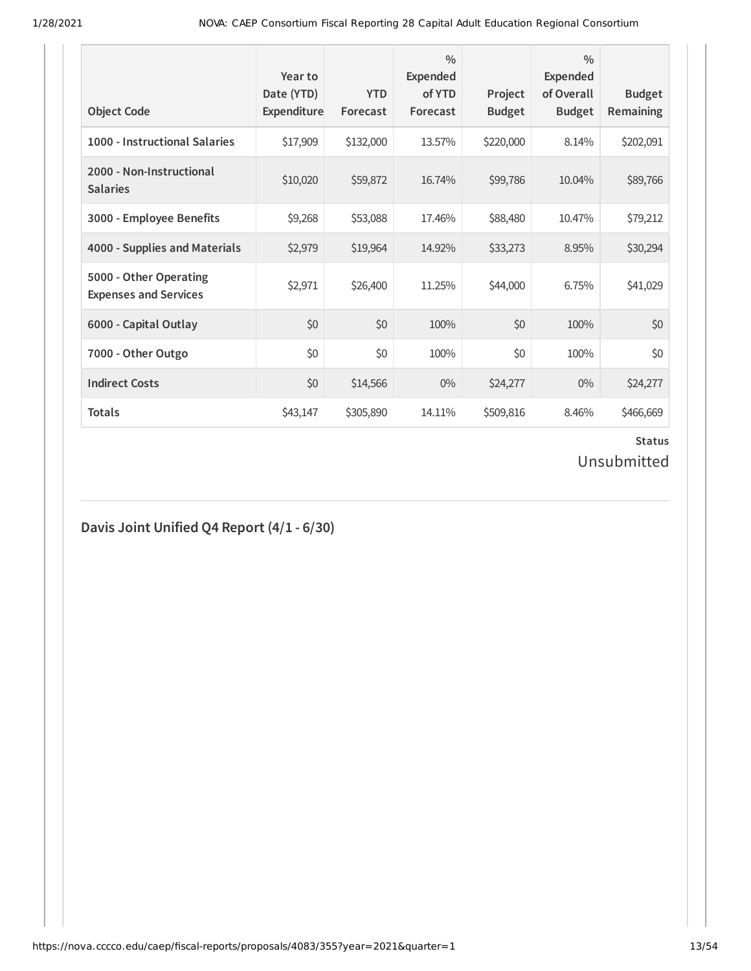| <b>Object Code</b>                                     | Year to<br>Date (YTD)<br>Expenditure | <b>YTD</b><br>Forecast | $\frac{0}{0}$<br><b>Expended</b><br>of YTD<br>Forecast | Project<br><b>Budget</b> | $\frac{0}{0}$<br><b>Expended</b><br>of Overall<br><b>Budget</b> | <b>Budget</b><br>Remaining |
|--------------------------------------------------------|--------------------------------------|------------------------|--------------------------------------------------------|--------------------------|-----------------------------------------------------------------|----------------------------|
| 1000 - Instructional Salaries                          | \$17,909                             | \$132,000              | 13.57%                                                 | \$220,000                | 8.14%                                                           | \$202,091                  |
| 2000 - Non-Instructional<br><b>Salaries</b>            | \$10,020                             | \$59,872               | 16.74%                                                 | \$99,786                 | 10.04%                                                          | \$89,766                   |
| 3000 - Employee Benefits                               | \$9,268                              | \$53,088               | 17.46%                                                 | \$88,480                 | 10.47%                                                          | \$79,212                   |
| 4000 - Supplies and Materials                          | \$2,979                              | \$19,964               | 14.92%                                                 | \$33,273                 | 8.95%                                                           | \$30,294                   |
| 5000 - Other Operating<br><b>Expenses and Services</b> | \$2,971                              | \$26,400               | 11.25%                                                 | \$44,000                 | 6.75%                                                           | \$41,029                   |
| 6000 - Capital Outlay                                  | \$0                                  | \$0                    | 100%                                                   | \$0                      | 100%                                                            | \$0                        |
| 7000 - Other Outgo                                     | \$0                                  | \$0                    | 100%                                                   | \$0                      | 100%                                                            | \$0                        |
| <b>Indirect Costs</b>                                  | \$0                                  | \$14,566               | $0\%$                                                  | \$24,277                 | $0\%$                                                           | \$24,277                   |
| <b>Totals</b>                                          | \$43,147                             | \$305,890              | 14.11%                                                 | \$509,816                | 8.46%                                                           | \$466,669                  |

Unsubmitted

**Davis Joint Unified Q4 Report (4/1 - 6/30)**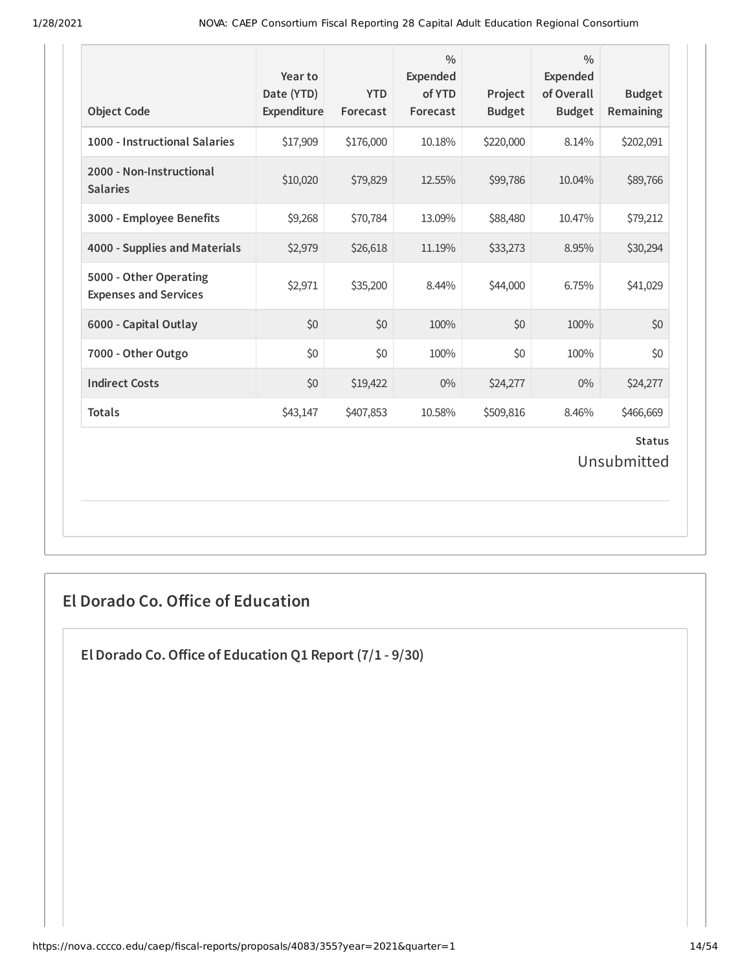| <b>Object Code</b>                                     | Year to<br>Date (YTD)<br>Expenditure | <b>YTD</b><br>Forecast | $\frac{0}{0}$<br><b>Expended</b><br>of YTD<br>Forecast | Project<br><b>Budget</b> | $\frac{0}{0}$<br>Expended<br>of Overall<br><b>Budget</b> | <b>Budget</b><br>Remaining |  |
|--------------------------------------------------------|--------------------------------------|------------------------|--------------------------------------------------------|--------------------------|----------------------------------------------------------|----------------------------|--|
| 1000 - Instructional Salaries                          | \$17,909                             | \$176,000              | 10.18%                                                 | \$220,000                | 8.14%                                                    | \$202,091                  |  |
| 2000 - Non-Instructional<br><b>Salaries</b>            | \$10,020                             | \$79,829               | 12.55%                                                 | \$99,786                 | 10.04%                                                   | \$89,766                   |  |
| 3000 - Employee Benefits                               | \$9,268                              | \$70,784               | 13.09%                                                 | \$88,480                 | 10.47%                                                   | \$79,212                   |  |
| 4000 - Supplies and Materials                          | \$2,979                              | \$26,618               | 11.19%                                                 | \$33,273                 | 8.95%                                                    | \$30,294                   |  |
| 5000 - Other Operating<br><b>Expenses and Services</b> | \$2,971                              | \$35,200               | 8.44%                                                  | \$44,000                 | 6.75%                                                    | \$41,029                   |  |
| 6000 - Capital Outlay                                  | \$0                                  | \$0                    | 100%                                                   | \$0                      | 100%                                                     | \$0                        |  |
| 7000 - Other Outgo                                     | \$0                                  | \$0                    | 100%                                                   | \$0                      | 100%                                                     | \$0                        |  |
| <b>Indirect Costs</b>                                  | \$0                                  | \$19,422               | $0\%$                                                  | \$24,277                 | $0\%$                                                    | \$24,277                   |  |
| <b>Totals</b>                                          | \$43,147                             | \$407,853              | 10.58%                                                 | \$509,816                | 8.46%                                                    | \$466,669                  |  |
| <b>Status</b><br>Unsubmitted                           |                                      |                        |                                                        |                          |                                                          |                            |  |

## **El Dorado Co. Oice of Education**

**El Dorado Co.Oice of Education Q1 Report (7/1 - 9/30)**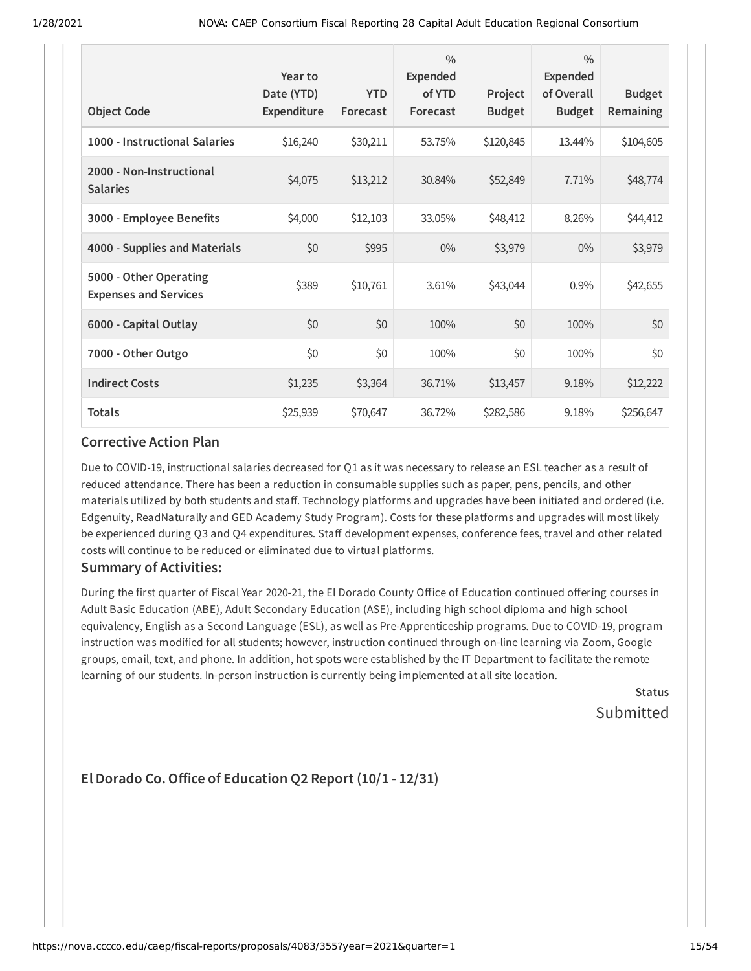| <b>Object Code</b>                                     | Year to<br>Date (YTD)<br>Expenditure | <b>YTD</b><br>Forecast | $\frac{0}{0}$<br><b>Expended</b><br>of YTD<br>Forecast | Project<br><b>Budget</b> | $\frac{0}{0}$<br>Expended<br>of Overall<br><b>Budget</b> | <b>Budget</b><br>Remaining |
|--------------------------------------------------------|--------------------------------------|------------------------|--------------------------------------------------------|--------------------------|----------------------------------------------------------|----------------------------|
| 1000 - Instructional Salaries                          | \$16,240                             | \$30,211               | 53.75%                                                 | \$120,845                | 13.44%                                                   | \$104,605                  |
| 2000 - Non-Instructional<br><b>Salaries</b>            | \$4,075                              | \$13,212               | 30.84%                                                 | \$52,849                 | 7.71%                                                    | \$48,774                   |
| 3000 - Employee Benefits                               | \$4,000                              | \$12,103               | 33.05%                                                 | \$48,412                 | 8.26%                                                    | \$44,412                   |
| 4000 - Supplies and Materials                          | \$0                                  | \$995                  | $0\%$                                                  | \$3,979                  | $0\%$                                                    | \$3,979                    |
| 5000 - Other Operating<br><b>Expenses and Services</b> | \$389                                | \$10,761               | 3.61%                                                  | \$43,044                 | 0.9%                                                     | \$42,655                   |
| 6000 - Capital Outlay                                  | \$0                                  | \$0                    | 100%                                                   | \$0                      | 100%                                                     | \$0                        |
| 7000 - Other Outgo                                     | \$0                                  | \$0                    | 100%                                                   | \$0                      | 100%                                                     | \$0                        |
| <b>Indirect Costs</b>                                  | \$1,235                              | \$3,364                | 36.71%                                                 | \$13,457                 | 9.18%                                                    | \$12,222                   |
| <b>Totals</b>                                          | \$25,939                             | \$70,647               | 36.72%                                                 | \$282,586                | 9.18%                                                    | \$256,647                  |

#### **Corrective Action Plan**

Due to COVID-19, instructional salaries decreased for Q1 as it was necessary to release an ESL teacher as a result of reduced attendance. There has been a reduction in consumable supplies such as paper, pens, pencils, and other materials utilized by both students and staff. Technology platforms and upgrades have been initiated and ordered (i.e. Edgenuity, ReadNaturally and GED Academy Study Program). Costs for these platforms and upgrades will most likely be experienced during Q3 and Q4 expenditures. Staff development expenses, conference fees, travel and other related costs will continue to be reduced or eliminated due to virtual platforms.

### **Summary of Activities:**

During the first quarter of Fiscal Year 2020-21, the El Dorado County Office of Education continued offering courses in Adult Basic Education (ABE), Adult Secondary Education (ASE), including high school diploma and high school equivalency, English as a Second Language (ESL), as well as Pre-Apprenticeship programs. Due to COVID-19, program instruction was modified for all students; however, instruction continued through on-line learning via Zoom, Google groups, email, text, and phone. In addition, hot spots were established by the IT Department to facilitate the remote learning of our students. In-person instruction is currently being implemented at all site location.

> **Status** Submitted

### **El Dorado Co.Oice of Education Q2 Report (10/1 - 12/31)**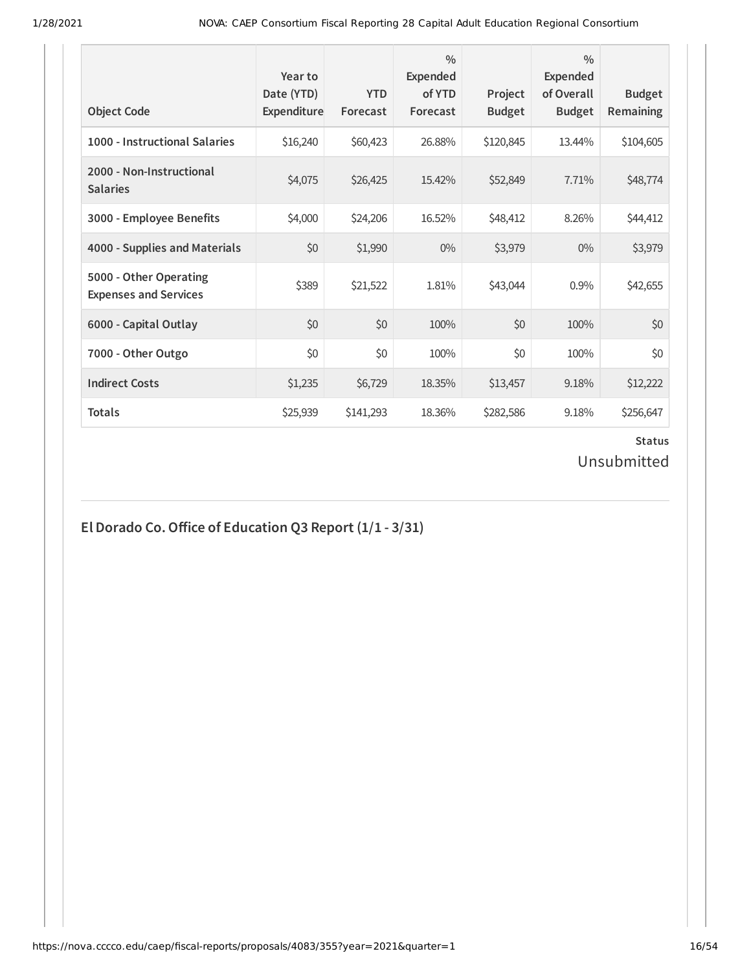| <b>Object Code</b>                                     | Year to<br>Date (YTD)<br><b>Expenditure</b> | <b>YTD</b><br>Forecast | $\frac{0}{0}$<br>Expended<br>of YTD<br>Forecast | Project<br><b>Budget</b> | $\frac{0}{0}$<br>Expended<br>of Overall<br><b>Budget</b> | <b>Budget</b><br>Remaining |
|--------------------------------------------------------|---------------------------------------------|------------------------|-------------------------------------------------|--------------------------|----------------------------------------------------------|----------------------------|
| 1000 - Instructional Salaries                          | \$16,240                                    | \$60,423               | 26.88%                                          | \$120,845                | 13.44%                                                   | \$104,605                  |
| 2000 - Non-Instructional<br><b>Salaries</b>            | \$4,075                                     | \$26,425               | 15.42%                                          | \$52,849                 | 7.71%                                                    | \$48,774                   |
| 3000 - Employee Benefits                               | \$4,000                                     | \$24,206               | 16.52%                                          | \$48,412                 | 8.26%                                                    | \$44,412                   |
| 4000 - Supplies and Materials                          | \$0                                         | \$1,990                | $0\%$                                           | \$3,979                  | $0\%$                                                    | \$3,979                    |
| 5000 - Other Operating<br><b>Expenses and Services</b> | \$389                                       | \$21,522               | 1.81%                                           | \$43,044                 | 0.9%                                                     | \$42,655                   |
| 6000 - Capital Outlay                                  | \$0                                         | \$0                    | 100%                                            | \$0                      | 100%                                                     | \$0                        |
| 7000 - Other Outgo                                     | \$0                                         | \$0                    | 100%                                            | \$0                      | 100%                                                     | \$0                        |
| <b>Indirect Costs</b>                                  | \$1,235                                     | \$6,729                | 18.35%                                          | \$13,457                 | 9.18%                                                    | \$12,222                   |
| <b>Totals</b>                                          | \$25,939                                    | \$141,293              | 18.36%                                          | \$282,586                | 9.18%                                                    | \$256,647                  |

### **Status** Unsubmitted

## **El Dorado Co.Oice of Education Q3 Report (1/1 - 3/31)**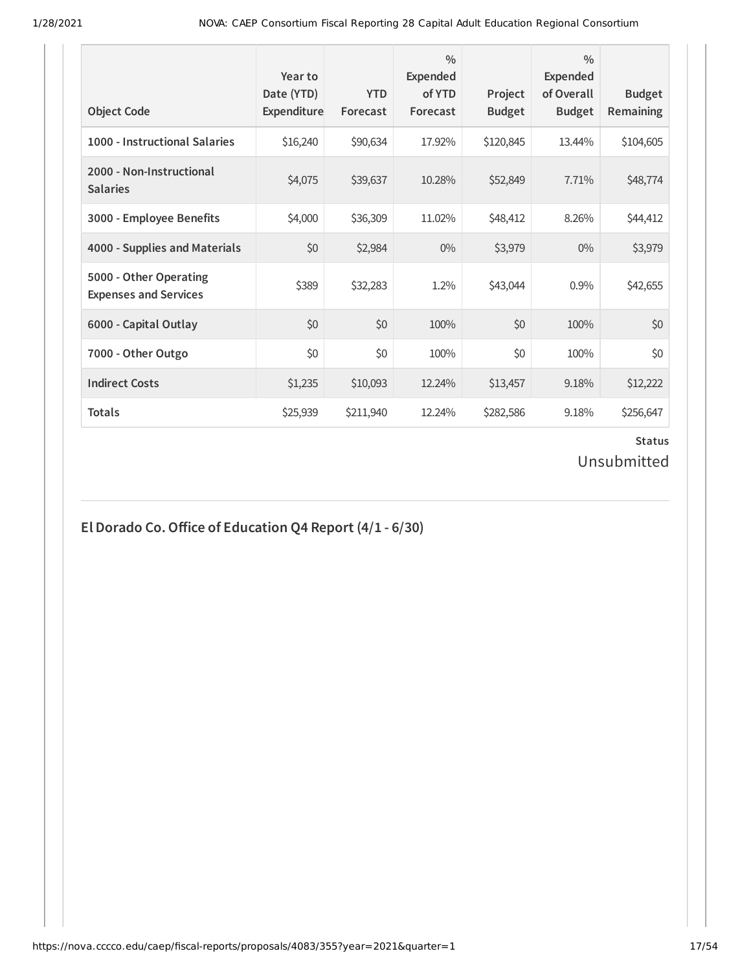| <b>Object Code</b>                                     | Year to<br>Date (YTD)<br>Expenditure | <b>YTD</b><br>Forecast | $\frac{0}{0}$<br><b>Expended</b><br>of YTD<br>Forecast | Project<br><b>Budget</b> | $\frac{0}{0}$<br><b>Expended</b><br>of Overall<br><b>Budget</b> | <b>Budget</b><br><b>Remaining</b> |
|--------------------------------------------------------|--------------------------------------|------------------------|--------------------------------------------------------|--------------------------|-----------------------------------------------------------------|-----------------------------------|
| 1000 - Instructional Salaries                          | \$16,240                             | \$90,634               | 17.92%                                                 | \$120,845                | 13.44%                                                          | \$104,605                         |
| 2000 - Non-Instructional<br><b>Salaries</b>            | \$4,075                              | \$39,637               | 10.28%                                                 | \$52,849                 | 7.71%                                                           | \$48,774                          |
| 3000 - Employee Benefits                               | \$4,000                              | \$36,309               | 11.02%                                                 | \$48,412                 | 8.26%                                                           | \$44,412                          |
| 4000 - Supplies and Materials                          | \$0                                  | \$2,984                | $0\%$                                                  | \$3,979                  | $0\%$                                                           | \$3,979                           |
| 5000 - Other Operating<br><b>Expenses and Services</b> | \$389                                | \$32,283               | 1.2%                                                   | \$43,044                 | 0.9%                                                            | \$42,655                          |
| 6000 - Capital Outlay                                  | \$0                                  | \$0                    | 100%                                                   | \$0                      | 100%                                                            | \$0                               |
| 7000 - Other Outgo                                     | \$0                                  | \$0                    | 100%                                                   | \$0                      | 100%                                                            | \$0                               |
| <b>Indirect Costs</b>                                  | \$1,235                              | \$10,093               | 12.24%                                                 | \$13,457                 | 9.18%                                                           | \$12,222                          |
| <b>Totals</b>                                          | \$25,939                             | \$211,940              | 12.24%                                                 | \$282,586                | 9.18%                                                           | \$256,647                         |

## Unsubmitted

## **El Dorado Co.Oice of Education Q4 Report (4/1 - 6/30)**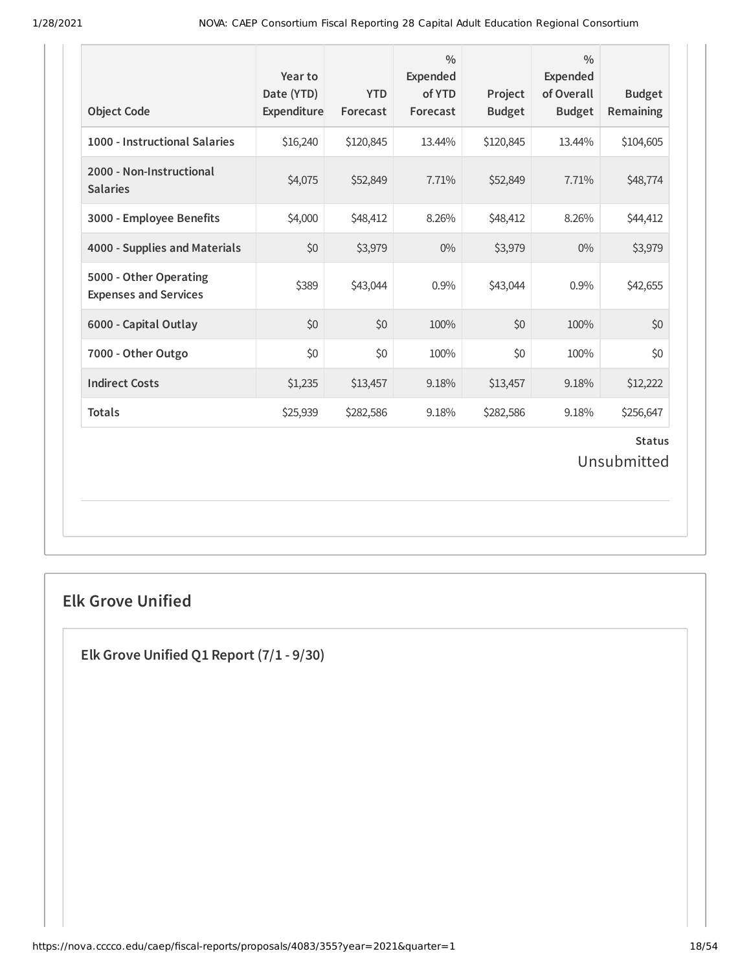| <b>Object Code</b>                                     | Year to<br>Date (YTD)<br>Expenditure | <b>YTD</b><br>Forecast | $\frac{0}{0}$<br><b>Expended</b><br>of YTD<br>Forecast | Project<br><b>Budget</b> | $\frac{0}{0}$<br>Expended<br>of Overall<br><b>Budget</b> | <b>Budget</b><br>Remaining |  |
|--------------------------------------------------------|--------------------------------------|------------------------|--------------------------------------------------------|--------------------------|----------------------------------------------------------|----------------------------|--|
| 1000 - Instructional Salaries                          | \$16,240                             | \$120,845              | 13.44%                                                 | \$120,845                | 13.44%                                                   | \$104,605                  |  |
| 2000 - Non-Instructional<br><b>Salaries</b>            | \$4,075                              | \$52,849               | 7.71%                                                  | \$52,849                 | 7.71%                                                    | \$48,774                   |  |
| 3000 - Employee Benefits                               | \$4,000                              | \$48,412               | 8.26%                                                  | \$48,412                 | 8.26%                                                    | \$44,412                   |  |
| 4000 - Supplies and Materials                          | \$0                                  | \$3,979                | $0\%$                                                  | \$3,979                  | $0\%$                                                    | \$3,979                    |  |
| 5000 - Other Operating<br><b>Expenses and Services</b> | \$389                                | \$43,044               | 0.9%                                                   | \$43,044                 | 0.9%                                                     | \$42,655                   |  |
| 6000 - Capital Outlay                                  | \$0                                  | \$0                    | 100%                                                   | \$0                      | 100%                                                     | \$0                        |  |
| 7000 - Other Outgo                                     | \$0                                  | \$0                    | 100%                                                   | \$0                      | 100%                                                     | \$0                        |  |
| <b>Indirect Costs</b>                                  | \$1,235                              | \$13,457               | 9.18%                                                  | \$13,457                 | 9.18%                                                    | \$12,222                   |  |
| <b>Totals</b>                                          | \$25,939                             | \$282,586              | 9.18%                                                  | \$282,586                | 9.18%                                                    | \$256,647                  |  |
| <b>Status</b><br>Unsubmitted                           |                                      |                        |                                                        |                          |                                                          |                            |  |

## **Elk Grove Unified**

**Elk Grove Unified Q1 Report (7/1 - 9/30)**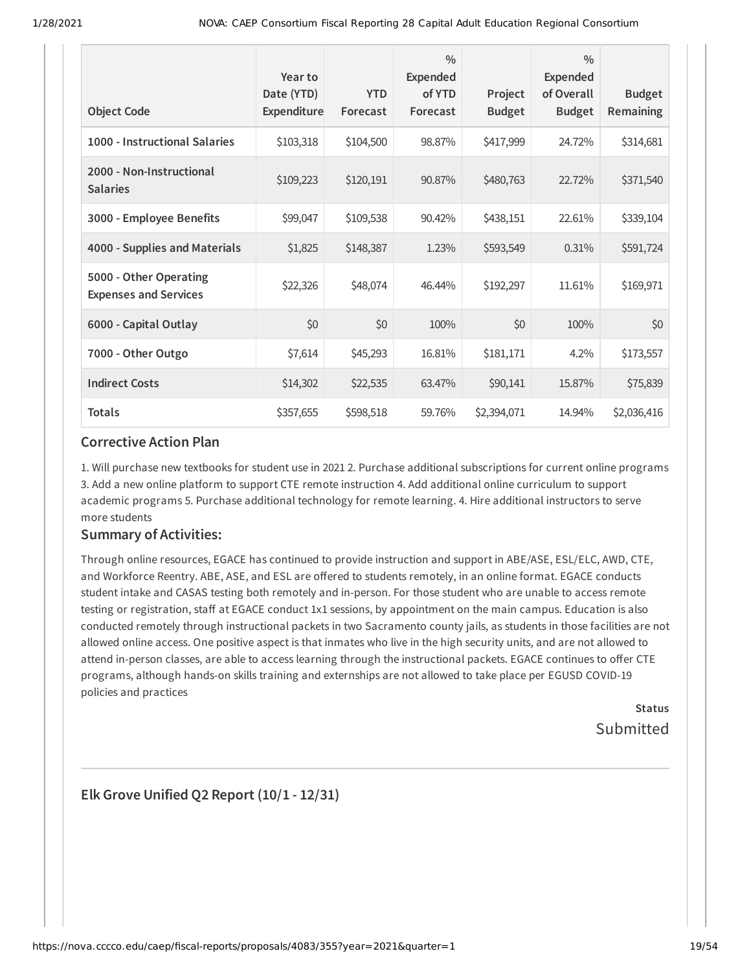| <b>Object Code</b>                                     | Year to<br>Date (YTD)<br>Expenditure | <b>YTD</b><br>Forecast | $\frac{0}{0}$<br><b>Expended</b><br>of YTD<br>Forecast | Project<br><b>Budget</b> | $\frac{0}{0}$<br>Expended<br>of Overall<br><b>Budget</b> | <b>Budget</b><br>Remaining |
|--------------------------------------------------------|--------------------------------------|------------------------|--------------------------------------------------------|--------------------------|----------------------------------------------------------|----------------------------|
| 1000 - Instructional Salaries                          | \$103,318                            | \$104,500              | 98.87%                                                 | \$417,999                | 24.72%                                                   | \$314,681                  |
| 2000 - Non-Instructional<br><b>Salaries</b>            | \$109,223                            | \$120,191              | 90.87%                                                 | \$480,763                | 22.72%                                                   | \$371,540                  |
| 3000 - Employee Benefits                               | \$99,047                             | \$109,538              | 90.42%                                                 | \$438,151                | 22.61%                                                   | \$339,104                  |
| 4000 - Supplies and Materials                          | \$1,825                              | \$148,387              | 1.23%                                                  | \$593,549                | 0.31%                                                    | \$591,724                  |
| 5000 - Other Operating<br><b>Expenses and Services</b> | \$22,326                             | \$48,074               | 46.44%                                                 | \$192,297                | 11.61%                                                   | \$169,971                  |
| 6000 - Capital Outlay                                  | \$0                                  | \$0                    | 100%                                                   | \$0                      | 100%                                                     | \$0                        |
| 7000 - Other Outgo                                     | \$7,614                              | \$45,293               | 16.81%                                                 | \$181,171                | 4.2%                                                     | \$173,557                  |
| <b>Indirect Costs</b>                                  | \$14,302                             | \$22,535               | 63.47%                                                 | \$90,141                 | 15.87%                                                   | \$75,839                   |
| <b>Totals</b>                                          | \$357,655                            | \$598,518              | 59.76%                                                 | \$2,394,071              | 14.94%                                                   | \$2,036,416                |

#### **Corrective Action Plan**

1. Will purchase new textbooks for student use in 2021 2. Purchase additional subscriptions for current online programs 3. Add a new online platform to support CTE remote instruction 4. Add additional online curriculum to support academic programs 5. Purchase additional technology for remote learning. 4. Hire additional instructors to serve more students

### **Summary of Activities:**

Through online resources, EGACE has continued to provide instruction and support in ABE/ASE, ESL/ELC, AWD, CTE, and Workforce Reentry. ABE, ASE, and ESL are offered to students remotely, in an online format. EGACE conducts student intake and CASAS testing both remotely and in-person. For those student who are unable to access remote testing or registration, staff at EGACE conduct 1x1 sessions, by appointment on the main campus. Education is also conducted remotely through instructional packets in two Sacramento county jails, as students in those facilities are not allowed online access. One positive aspect is that inmates who live in the high security units, and are not allowed to attend in-person classes, are able to access learning through the instructional packets. EGACE continues to offer CTE programs, although hands-on skills training and externships are not allowed to take place per EGUSD COVID-19 policies and practices

> **Status** Submitted

**Elk Grove Unified Q2 Report (10/1 - 12/31)**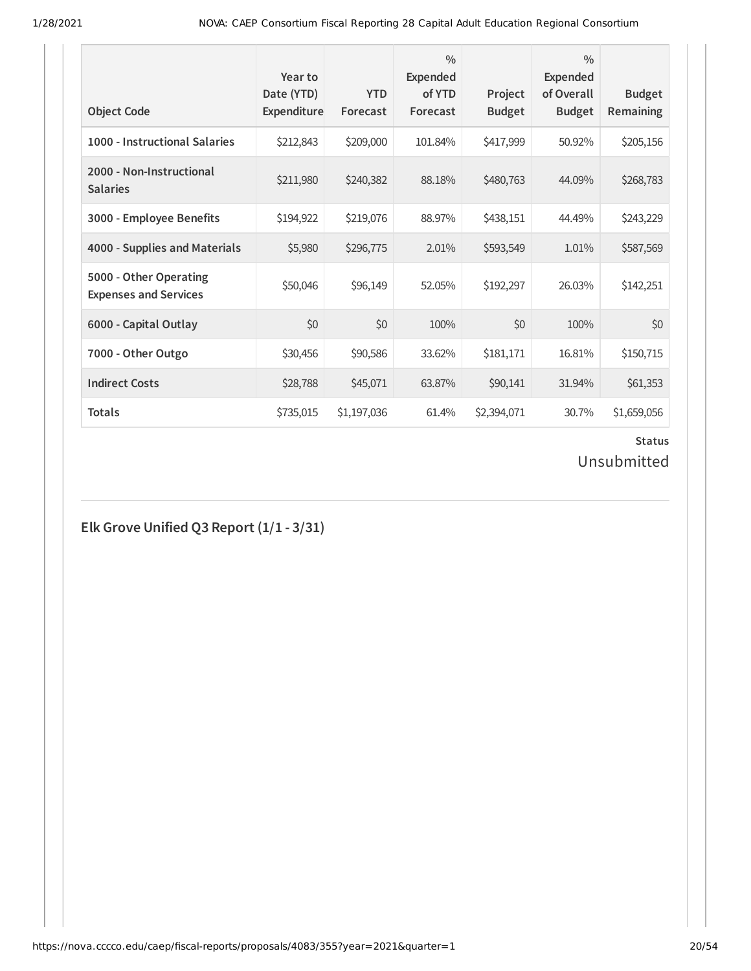| <b>Object Code</b>                                     | Year to<br>Date (YTD)<br><b>Expenditure</b> | <b>YTD</b><br>Forecast | $\frac{0}{0}$<br><b>Expended</b><br>of YTD<br>Forecast | Project<br><b>Budget</b> | $\frac{0}{0}$<br><b>Expended</b><br>of Overall<br><b>Budget</b> | <b>Budget</b><br>Remaining |
|--------------------------------------------------------|---------------------------------------------|------------------------|--------------------------------------------------------|--------------------------|-----------------------------------------------------------------|----------------------------|
| 1000 - Instructional Salaries                          | \$212,843                                   | \$209,000              | 101.84%                                                | \$417,999                | 50.92%                                                          | \$205,156                  |
| 2000 - Non-Instructional<br><b>Salaries</b>            | \$211,980                                   | \$240,382              | 88.18%                                                 | \$480,763                | 44.09%                                                          | \$268,783                  |
| 3000 - Employee Benefits                               | \$194,922                                   | \$219,076              | 88.97%                                                 | \$438,151                | 44.49%                                                          | \$243,229                  |
| 4000 - Supplies and Materials                          | \$5,980                                     | \$296,775              | 2.01%                                                  | \$593,549                | 1.01%                                                           | \$587,569                  |
| 5000 - Other Operating<br><b>Expenses and Services</b> | \$50,046                                    | \$96,149               | 52.05%                                                 | \$192,297                | 26.03%                                                          | \$142,251                  |
| 6000 - Capital Outlay                                  | \$0                                         | \$0                    | 100%                                                   | \$0                      | 100%                                                            | \$0                        |
| 7000 - Other Outgo                                     | \$30,456                                    | \$90,586               | 33.62%                                                 | \$181,171                | 16.81%                                                          | \$150,715                  |
| <b>Indirect Costs</b>                                  | \$28,788                                    | \$45,071               | 63.87%                                                 | \$90,141                 | 31.94%                                                          | \$61,353                   |
| <b>Totals</b>                                          | \$735,015                                   | \$1,197,036            | 61.4%                                                  | \$2,394,071              | 30.7%                                                           | \$1,659,056                |

Unsubmitted

**Elk Grove Unified Q3 Report (1/1 - 3/31)**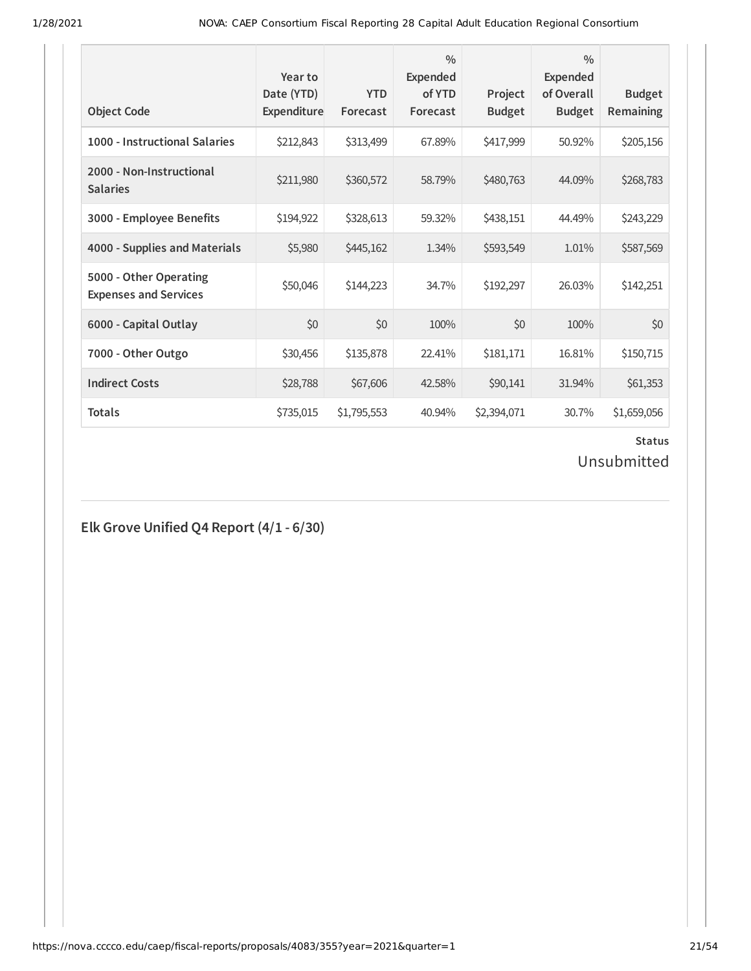| <b>Object Code</b>                                     | Year to<br>Date (YTD)<br><b>Expenditure</b> | <b>YTD</b><br>Forecast | $\frac{0}{0}$<br><b>Expended</b><br>of YTD<br>Forecast | Project<br><b>Budget</b> | $\frac{0}{0}$<br><b>Expended</b><br>of Overall<br><b>Budget</b> | <b>Budget</b><br>Remaining |
|--------------------------------------------------------|---------------------------------------------|------------------------|--------------------------------------------------------|--------------------------|-----------------------------------------------------------------|----------------------------|
| 1000 - Instructional Salaries                          | \$212,843                                   | \$313,499              | 67.89%                                                 | \$417,999                | 50.92%                                                          | \$205,156                  |
| 2000 - Non-Instructional<br><b>Salaries</b>            | \$211,980                                   | \$360,572              | 58.79%                                                 | \$480,763                | 44.09%                                                          | \$268,783                  |
| 3000 - Employee Benefits                               | \$194,922                                   | \$328,613              | 59.32%                                                 | \$438,151                | 44.49%                                                          | \$243,229                  |
| 4000 - Supplies and Materials                          | \$5,980                                     | \$445,162              | 1.34%                                                  | \$593,549                | 1.01%                                                           | \$587,569                  |
| 5000 - Other Operating<br><b>Expenses and Services</b> | \$50,046                                    | \$144,223              | 34.7%                                                  | \$192,297                | 26.03%                                                          | \$142,251                  |
| 6000 - Capital Outlay                                  | \$0                                         | \$0                    | 100%                                                   | \$0                      | 100%                                                            | \$0                        |
| 7000 - Other Outgo                                     | \$30,456                                    | \$135,878              | 22.41%                                                 | \$181,171                | 16.81%                                                          | \$150,715                  |
| <b>Indirect Costs</b>                                  | \$28,788                                    | \$67,606               | 42.58%                                                 | \$90,141                 | 31.94%                                                          | \$61,353                   |
| <b>Totals</b>                                          | \$735,015                                   | \$1,795,553            | 40.94%                                                 | \$2,394,071              | 30.7%                                                           | \$1,659,056                |

## Unsubmitted

**Elk Grove Unified Q4 Report (4/1 - 6/30)**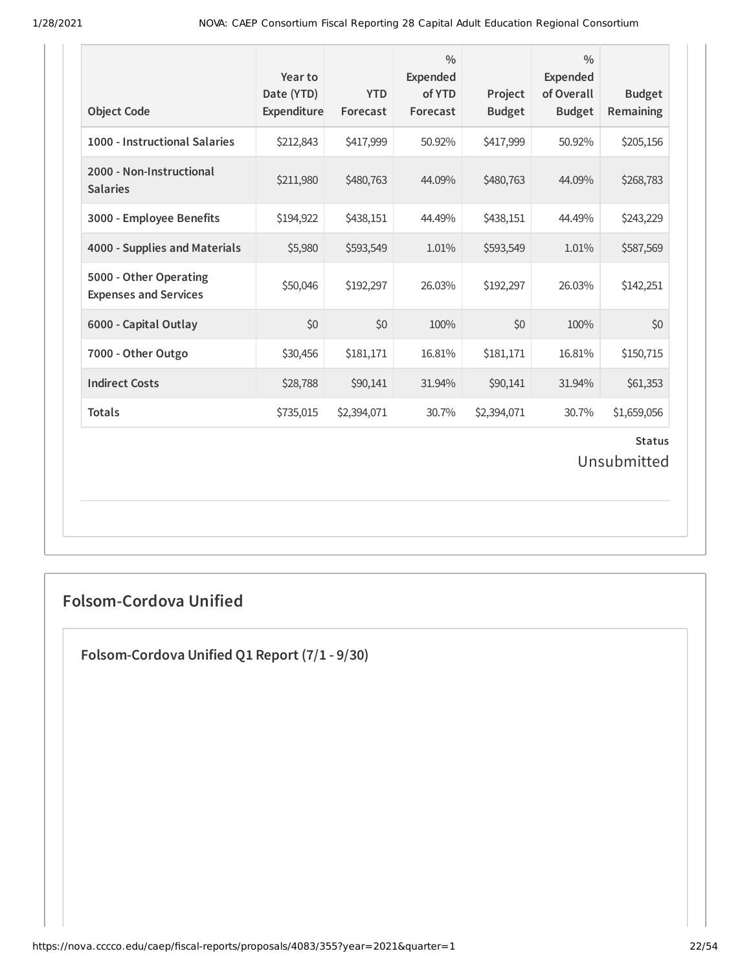| <b>Object Code</b>                                     | Year to<br>Date (YTD)<br>Expenditure | <b>YTD</b><br>Forecast | $\frac{0}{0}$<br><b>Expended</b><br>of YTD<br>Forecast | Project<br><b>Budget</b> | $\frac{0}{0}$<br><b>Expended</b><br>of Overall<br><b>Budget</b> | <b>Budget</b><br>Remaining |  |
|--------------------------------------------------------|--------------------------------------|------------------------|--------------------------------------------------------|--------------------------|-----------------------------------------------------------------|----------------------------|--|
| 1000 - Instructional Salaries                          | \$212,843                            | \$417,999              | 50.92%                                                 | \$417,999                | 50.92%                                                          | \$205,156                  |  |
| 2000 - Non-Instructional<br><b>Salaries</b>            | \$211,980                            | \$480,763              | 44.09%                                                 | \$480,763                | 44.09%                                                          | \$268,783                  |  |
| 3000 - Employee Benefits                               | \$194,922                            | \$438,151              | 44.49%                                                 | \$438,151                | 44.49%                                                          | \$243,229                  |  |
| 4000 - Supplies and Materials                          | \$5,980                              | \$593,549              | 1.01%                                                  | \$593,549                | 1.01%                                                           | \$587,569                  |  |
| 5000 - Other Operating<br><b>Expenses and Services</b> | \$50,046                             | \$192,297              | 26.03%                                                 | \$192,297                | 26.03%                                                          | \$142,251                  |  |
| 6000 - Capital Outlay                                  | \$0                                  | \$0                    | 100%                                                   | \$0                      | 100%                                                            | \$0                        |  |
| 7000 - Other Outgo                                     | \$30,456                             | \$181,171              | 16.81%                                                 | \$181,171                | 16.81%                                                          | \$150,715                  |  |
| <b>Indirect Costs</b>                                  | \$28,788                             | \$90,141               | 31.94%                                                 | \$90,141                 | 31.94%                                                          | \$61,353                   |  |
| <b>Totals</b>                                          | \$735,015                            | \$2,394,071            | 30.7%                                                  | \$2,394,071              | 30.7%                                                           | \$1,659,056                |  |
| <b>Status</b><br>Unsubmitted                           |                                      |                        |                                                        |                          |                                                                 |                            |  |

## **Folsom-Cordova Unified**

**Folsom-Cordova Unified Q1 Report (7/1 - 9/30)**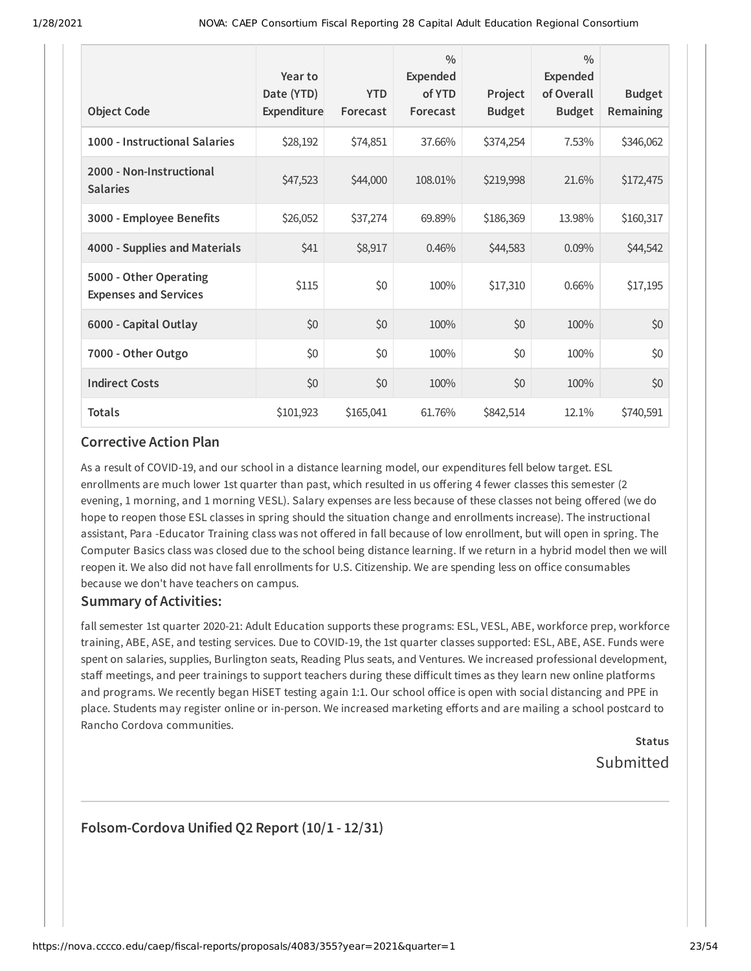| <b>Object Code</b>                                     | Year to<br>Date (YTD)<br>Expenditure | <b>YTD</b><br>Forecast | $\frac{0}{0}$<br><b>Expended</b><br>of YTD<br>Forecast | Project<br><b>Budget</b> | $\frac{0}{0}$<br>Expended<br>of Overall<br><b>Budget</b> | <b>Budget</b><br>Remaining |
|--------------------------------------------------------|--------------------------------------|------------------------|--------------------------------------------------------|--------------------------|----------------------------------------------------------|----------------------------|
| 1000 - Instructional Salaries                          | \$28,192                             | \$74,851               | 37.66%                                                 | \$374,254                | 7.53%                                                    | \$346,062                  |
| 2000 - Non-Instructional<br><b>Salaries</b>            | \$47,523                             | \$44,000               | 108.01%                                                | \$219,998                | 21.6%                                                    | \$172,475                  |
| 3000 - Employee Benefits                               | \$26,052                             | \$37,274               | 69.89%                                                 | \$186,369                | 13.98%                                                   | \$160,317                  |
| 4000 - Supplies and Materials                          | \$41                                 | \$8,917                | 0.46%                                                  | \$44,583                 | 0.09%                                                    | \$44,542                   |
| 5000 - Other Operating<br><b>Expenses and Services</b> | \$115                                | \$0                    | 100%                                                   | \$17,310                 | 0.66%                                                    | \$17,195                   |
| 6000 - Capital Outlay                                  | \$0                                  | \$0                    | 100%                                                   | \$0                      | 100%                                                     | \$0                        |
| 7000 - Other Outgo                                     | \$0                                  | \$0                    | 100%                                                   | \$0                      | 100%                                                     | \$0                        |
| <b>Indirect Costs</b>                                  | \$0                                  | \$0                    | 100%                                                   | \$0                      | 100%                                                     | \$0                        |
| <b>Totals</b>                                          | \$101,923                            | \$165,041              | 61.76%                                                 | \$842,514                | 12.1%                                                    | \$740,591                  |

#### **Corrective Action Plan**

As a result of COVID-19, and our school in a distance learning model, our expenditures fell below target. ESL enrollments are much lower 1st quarter than past, which resulted in us offering 4 fewer classes this semester (2 evening, 1 morning, and 1 morning VESL). Salary expenses are less because of these classes not being offered (we do hope to reopen those ESL classes in spring should the situation change and enrollments increase). The instructional assistant, Para -Educator Training class was not offered in fall because of low enrollment, but will open in spring. The Computer Basics class was closed due to the school being distance learning. If we return in a hybrid model then we will reopen it. We also did not have fall enrollments for U.S. Citizenship. We are spending less on office consumables because we don't have teachers on campus.

#### **Summary of Activities:**

fall semester 1st quarter 2020-21: Adult Education supports these programs: ESL, VESL, ABE, workforce prep, workforce training, ABE, ASE, and testing services. Due to COVID-19, the 1st quarter classes supported: ESL, ABE, ASE. Funds were spent on salaries, supplies, Burlington seats, Reading Plus seats, and Ventures. We increased professional development, staff meetings, and peer trainings to support teachers during these difficult times as they learn new online platforms and programs. We recently began HiSET testing again 1:1. Our school office is open with social distancing and PPE in place. Students may register online or in-person. We increased marketing efforts and are mailing a school postcard to Rancho Cordova communities.

## **Status** Submitted

### **Folsom-Cordova Unified Q2 Report (10/1 - 12/31)**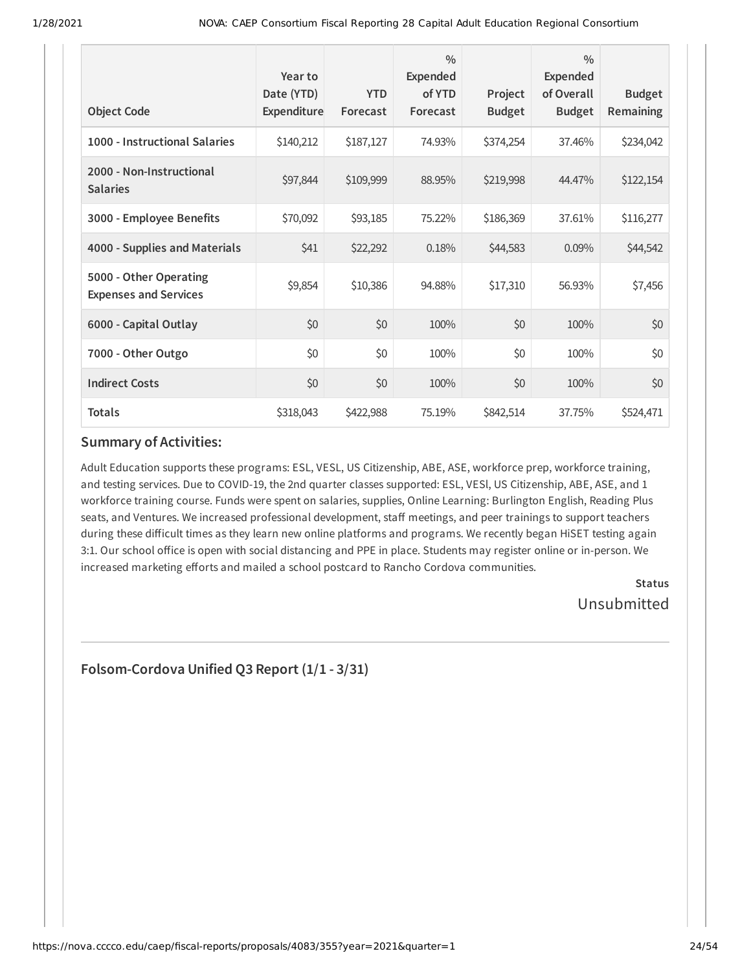| <b>Object Code</b>                                     | Year to<br>Date (YTD)<br>Expenditure | <b>YTD</b><br>Forecast | $\frac{0}{0}$<br>Expended<br>of YTD<br>Forecast | Project<br><b>Budget</b> | $\frac{0}{0}$<br>Expended<br>of Overall<br><b>Budget</b> | <b>Budget</b><br>Remaining |
|--------------------------------------------------------|--------------------------------------|------------------------|-------------------------------------------------|--------------------------|----------------------------------------------------------|----------------------------|
| 1000 - Instructional Salaries                          | \$140,212                            | \$187,127              | 74.93%                                          | \$374,254                | 37.46%                                                   | \$234,042                  |
| 2000 - Non-Instructional<br><b>Salaries</b>            | \$97,844                             | \$109,999              | 88.95%                                          | \$219,998                | 44.47%                                                   | \$122,154                  |
| 3000 - Employee Benefits                               | \$70,092                             | \$93,185               | 75.22%                                          | \$186,369                | 37.61%                                                   | \$116,277                  |
| 4000 - Supplies and Materials                          | \$41                                 | \$22,292               | 0.18%                                           | \$44,583                 | 0.09%                                                    | \$44,542                   |
| 5000 - Other Operating<br><b>Expenses and Services</b> | \$9,854                              | \$10,386               | 94.88%                                          | \$17,310                 | 56.93%                                                   | \$7,456                    |
| 6000 - Capital Outlay                                  | \$0                                  | \$0                    | 100%                                            | \$0                      | 100%                                                     | \$0                        |
| 7000 - Other Outgo                                     | \$0                                  | \$0                    | 100%                                            | \$0                      | 100%                                                     | \$0                        |
| <b>Indirect Costs</b>                                  | \$0                                  | \$0                    | 100%                                            | \$0                      | 100%                                                     | \$0                        |
| <b>Totals</b>                                          | \$318,043                            | \$422,988              | 75.19%                                          | \$842,514                | 37.75%                                                   | \$524,471                  |

### **Summary of Activities:**

Adult Education supports these programs: ESL, VESL, US Citizenship, ABE, ASE, workforce prep, workforce training, and testing services. Due to COVID-19, the 2nd quarter classes supported: ESL, VESl, US Citizenship, ABE, ASE, and 1 workforce training course. Funds were spent on salaries, supplies, Online Learning: Burlington English, Reading Plus seats, and Ventures. We increased professional development, staff meetings, and peer trainings to support teachers during these difficult times as they learn new online platforms and programs. We recently began HiSET testing again 3:1. Our school office is open with social distancing and PPE in place. Students may register online or in-person. We increased marketing efforts and mailed a school postcard to Rancho Cordova communities.

> **Status** Unsubmitted

### **Folsom-Cordova Unified Q3 Report (1/1 - 3/31)**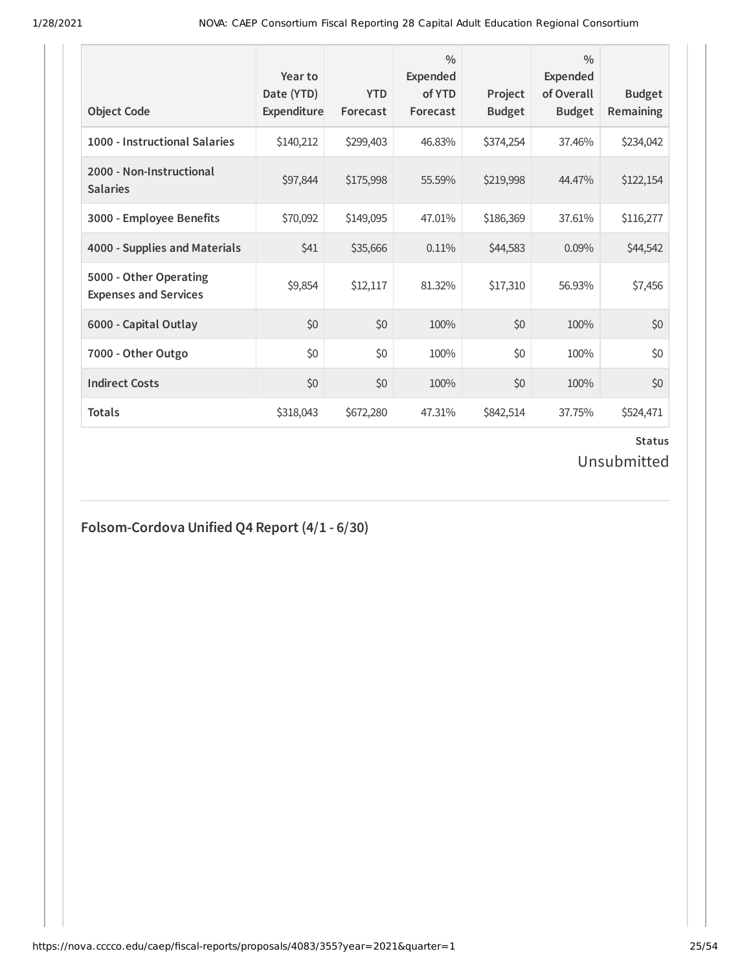| <b>Object Code</b>                                     | Year to<br>Date (YTD)<br>Expenditure | <b>YTD</b><br>Forecast | $\frac{0}{0}$<br>Expended<br>of YTD<br>Forecast | Project<br><b>Budget</b> | $\frac{0}{0}$<br>Expended<br>of Overall<br><b>Budget</b> | <b>Budget</b><br>Remaining |
|--------------------------------------------------------|--------------------------------------|------------------------|-------------------------------------------------|--------------------------|----------------------------------------------------------|----------------------------|
| 1000 - Instructional Salaries                          | \$140,212                            | \$299,403              | 46.83%                                          | \$374,254                | 37.46%                                                   | \$234,042                  |
| 2000 - Non-Instructional<br><b>Salaries</b>            | \$97,844                             | \$175,998              | 55.59%                                          | \$219,998                | 44.47%                                                   | \$122,154                  |
| 3000 - Employee Benefits                               | \$70,092                             | \$149,095              | 47.01%                                          | \$186,369                | 37.61%                                                   | \$116,277                  |
| 4000 - Supplies and Materials                          | \$41                                 | \$35,666               | 0.11%                                           | \$44,583                 | 0.09%                                                    | \$44,542                   |
| 5000 - Other Operating<br><b>Expenses and Services</b> | \$9,854                              | \$12,117               | 81.32%                                          | \$17,310                 | 56.93%                                                   | \$7,456                    |
| 6000 - Capital Outlay                                  | \$0                                  | \$0                    | 100%                                            | \$0                      | 100%                                                     | \$0                        |
| 7000 - Other Outgo                                     | \$0                                  | \$0                    | 100%                                            | \$0                      | 100%                                                     | \$0                        |
| <b>Indirect Costs</b>                                  | \$0                                  | \$0                    | 100%                                            | \$0                      | 100%                                                     | \$0                        |
| <b>Totals</b>                                          | \$318,043                            | \$672,280              | 47.31%                                          | \$842,514                | 37.75%                                                   | \$524,471                  |

## Unsubmitted

## **Folsom-Cordova Unified Q4 Report (4/1 - 6/30)**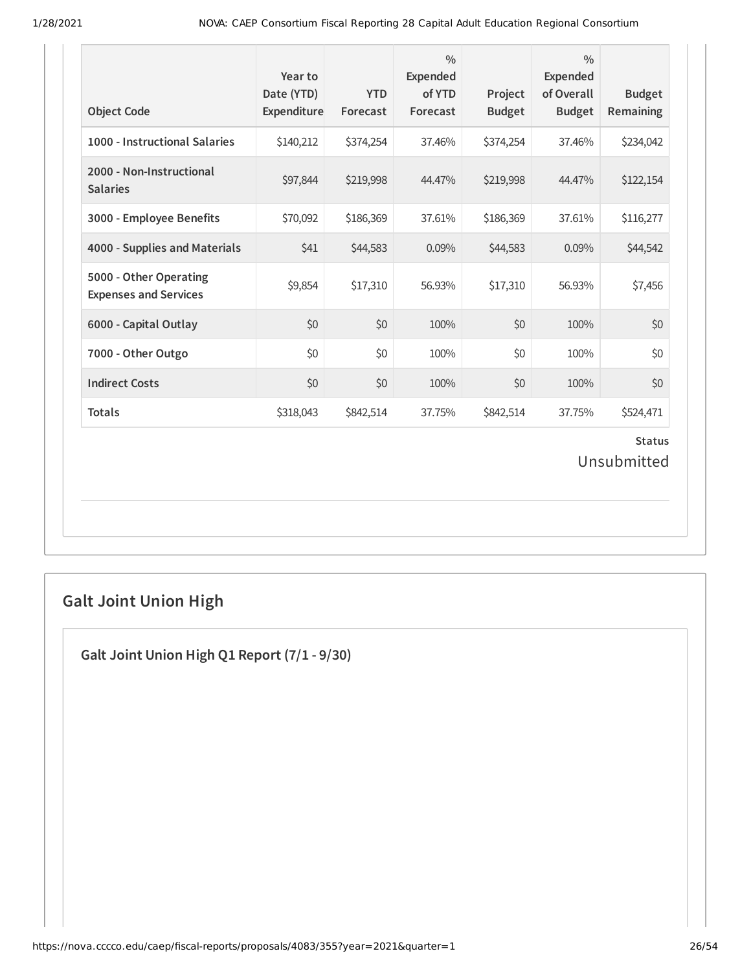| <b>Object Code</b>                                     | Year to<br>Date (YTD)<br>Expenditure | <b>YTD</b><br>Forecast | $\frac{0}{0}$<br><b>Expended</b><br>of YTD<br>Forecast | Project<br><b>Budget</b> | $\frac{0}{0}$<br><b>Expended</b><br>of Overall<br><b>Budget</b> | <b>Budget</b><br>Remaining   |
|--------------------------------------------------------|--------------------------------------|------------------------|--------------------------------------------------------|--------------------------|-----------------------------------------------------------------|------------------------------|
| 1000 - Instructional Salaries                          | \$140,212                            | \$374,254              | 37.46%                                                 | \$374,254                | 37.46%                                                          | \$234,042                    |
| 2000 - Non-Instructional<br><b>Salaries</b>            | \$97,844                             | \$219,998              | 44.47%                                                 | \$219,998                | 44.47%                                                          | \$122,154                    |
| 3000 - Employee Benefits                               | \$70,092                             | \$186,369              | 37.61%                                                 | \$186,369                | 37.61%                                                          | \$116,277                    |
| 4000 - Supplies and Materials                          | \$41                                 | \$44,583               | 0.09%                                                  | \$44,583                 | 0.09%                                                           | \$44,542                     |
| 5000 - Other Operating<br><b>Expenses and Services</b> | \$9,854                              | \$17,310               | 56.93%                                                 | \$17,310                 | 56.93%                                                          | \$7,456                      |
| 6000 - Capital Outlay                                  | \$0                                  | \$0                    | 100%                                                   | \$0                      | 100%                                                            | \$0                          |
| 7000 - Other Outgo                                     | \$0                                  | \$0                    | 100%                                                   | \$0                      | 100%                                                            | \$0                          |
| <b>Indirect Costs</b>                                  | \$0                                  | \$0                    | 100%                                                   | \$0                      | 100%                                                            | \$0                          |
| <b>Totals</b>                                          | \$318,043                            | \$842,514              | 37.75%                                                 | \$842,514                | 37.75%                                                          | \$524,471                    |
|                                                        |                                      |                        |                                                        |                          |                                                                 | <b>Status</b><br>Unsubmitted |

## **Galt Joint Union High**

**Galt Joint Union High Q1 Report (7/1 - 9/30)**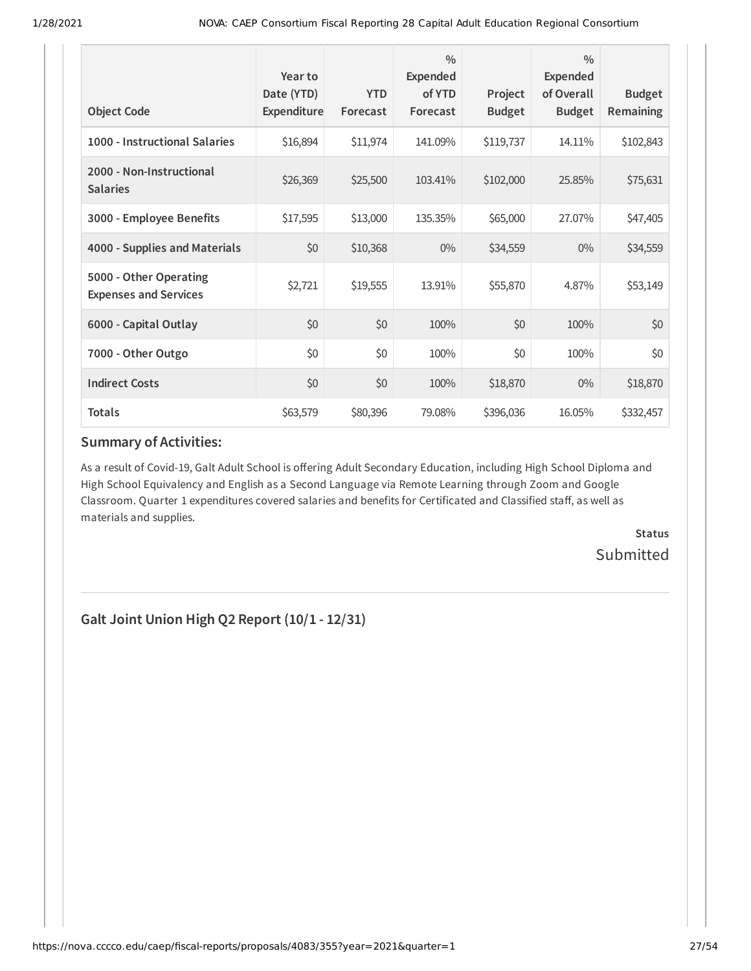| <b>Object Code</b>                                     | Year to<br>Date (YTD)<br>Expenditure | <b>YTD</b><br>Forecast | $\frac{0}{0}$<br>Expended<br>of YTD<br>Forecast | Project<br><b>Budget</b> | $\frac{0}{0}$<br>Expended<br>of Overall<br><b>Budget</b> | <b>Budget</b><br>Remaining |
|--------------------------------------------------------|--------------------------------------|------------------------|-------------------------------------------------|--------------------------|----------------------------------------------------------|----------------------------|
| 1000 - Instructional Salaries                          | \$16,894                             | \$11,974               | 141.09%                                         | \$119,737                | 14.11%                                                   | \$102,843                  |
| 2000 - Non-Instructional<br><b>Salaries</b>            | \$26,369                             | \$25,500               | 103.41%                                         | \$102,000                | 25.85%                                                   | \$75,631                   |
| 3000 - Employee Benefits                               | \$17,595                             | \$13,000               | 135.35%                                         | \$65,000                 | 27.07%                                                   | \$47,405                   |
| 4000 - Supplies and Materials                          | \$0                                  | \$10,368               | $0\%$                                           | \$34,559                 | $0\%$                                                    | \$34,559                   |
| 5000 - Other Operating<br><b>Expenses and Services</b> | \$2,721                              | \$19,555               | 13.91%                                          | \$55,870                 | 4.87%                                                    | \$53,149                   |
| 6000 - Capital Outlay                                  | \$0                                  | \$0                    | 100%                                            | \$0                      | 100%                                                     | \$0                        |
| 7000 - Other Outgo                                     | \$0                                  | \$0                    | 100%                                            | \$0                      | 100%                                                     | \$0                        |
| <b>Indirect Costs</b>                                  | \$0                                  | \$0                    | 100%                                            | \$18,870                 | $0\%$                                                    | \$18,870                   |
| <b>Totals</b>                                          | \$63,579                             | \$80,396               | 79.08%                                          | \$396,036                | 16.05%                                                   | \$332,457                  |

### **Summary of Activities:**

As a result of Covid-19, Galt Adult School is offering Adult Secondary Education, including High School Diploma and High School Equivalency and English as a Second Language via Remote Learning through Zoom and Google Classroom. Quarter 1 expenditures covered salaries and benefits for Certificated and Classified staff, as well as materials and supplies.

> **Status Submitted**

**Galt Joint Union High Q2 Report (10/1 - 12/31)**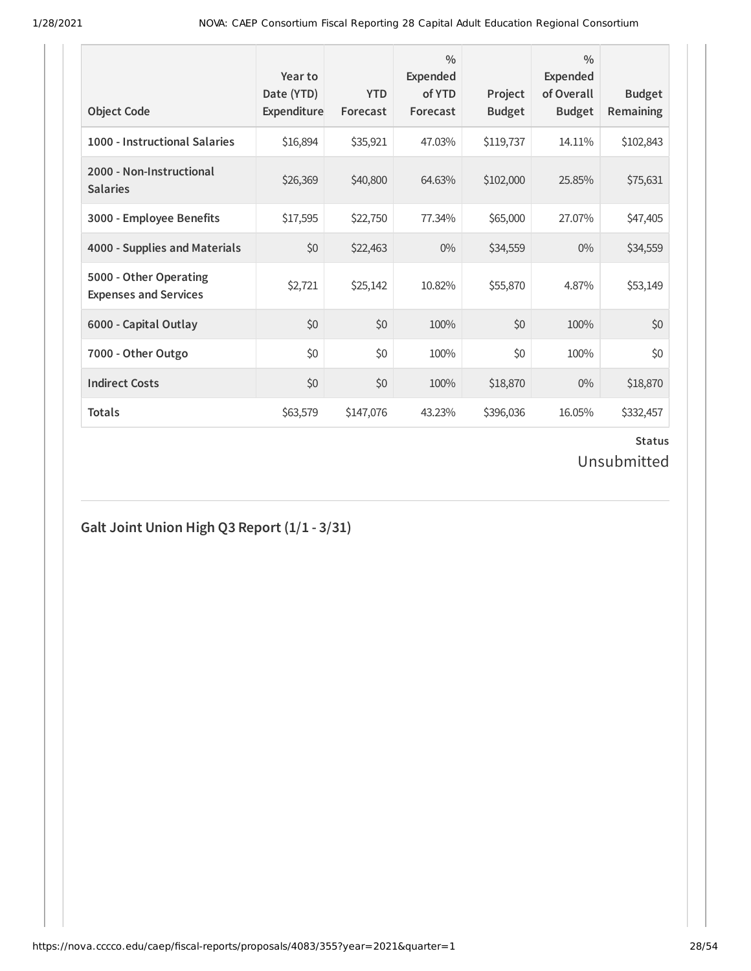| <b>Object Code</b>                                     | Year to<br>Date (YTD)<br>Expenditure | <b>YTD</b><br>Forecast | $\frac{0}{0}$<br>Expended<br>of YTD<br>Forecast | Project<br><b>Budget</b> | $\frac{0}{0}$<br><b>Expended</b><br>of Overall<br><b>Budget</b> | <b>Budget</b><br>Remaining |
|--------------------------------------------------------|--------------------------------------|------------------------|-------------------------------------------------|--------------------------|-----------------------------------------------------------------|----------------------------|
| 1000 - Instructional Salaries                          | \$16,894                             | \$35,921               | 47.03%                                          | \$119,737                | 14.11%                                                          | \$102,843                  |
| 2000 - Non-Instructional<br><b>Salaries</b>            | \$26,369                             | \$40,800               | 64.63%                                          | \$102,000                | 25.85%                                                          | \$75,631                   |
| 3000 - Employee Benefits                               | \$17,595                             | \$22,750               | 77.34%                                          | \$65,000                 | 27.07%                                                          | \$47,405                   |
| 4000 - Supplies and Materials                          | \$0                                  | \$22,463               | $0\%$                                           | \$34,559                 | $0\%$                                                           | \$34,559                   |
| 5000 - Other Operating<br><b>Expenses and Services</b> | \$2,721                              | \$25,142               | 10.82%                                          | \$55,870                 | 4.87%                                                           | \$53,149                   |
| 6000 - Capital Outlay                                  | \$0                                  | \$0                    | 100%                                            | \$0                      | 100%                                                            | \$0                        |
| 7000 - Other Outgo                                     | \$0                                  | \$0                    | 100%                                            | \$0                      | 100%                                                            | \$0                        |
| <b>Indirect Costs</b>                                  | \$0                                  | \$0                    | 100%                                            | \$18,870                 | $0\%$                                                           | \$18,870                   |
| <b>Totals</b>                                          | \$63,579                             | \$147,076              | 43.23%                                          | \$396,036                | 16.05%                                                          | \$332,457                  |

## Unsubmitted

## **Galt Joint Union High Q3 Report (1/1 - 3/31)**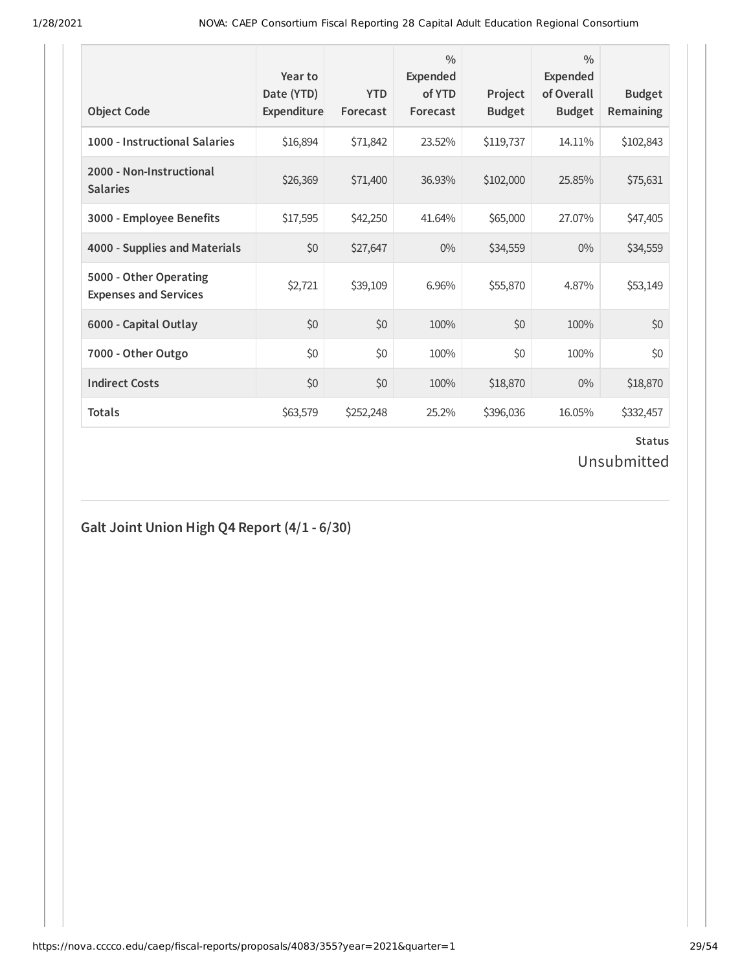| <b>Object Code</b>                                     | Year to<br>Date (YTD)<br>Expenditure | <b>YTD</b><br>Forecast | $\frac{0}{0}$<br>Expended<br>of YTD<br>Forecast | Project<br><b>Budget</b> | $\frac{0}{0}$<br><b>Expended</b><br>of Overall<br><b>Budget</b> | <b>Budget</b><br>Remaining |
|--------------------------------------------------------|--------------------------------------|------------------------|-------------------------------------------------|--------------------------|-----------------------------------------------------------------|----------------------------|
| 1000 - Instructional Salaries                          | \$16,894                             | \$71,842               | 23.52%                                          | \$119,737                | 14.11%                                                          | \$102,843                  |
| 2000 - Non-Instructional<br><b>Salaries</b>            | \$26,369                             | \$71,400               | 36.93%                                          | \$102,000                | 25.85%                                                          | \$75,631                   |
| 3000 - Employee Benefits                               | \$17,595                             | \$42,250               | 41.64%                                          | \$65,000                 | 27.07%                                                          | \$47,405                   |
| 4000 - Supplies and Materials                          | \$0                                  | \$27,647               | $0\%$                                           | \$34,559                 | $0\%$                                                           | \$34,559                   |
| 5000 - Other Operating<br><b>Expenses and Services</b> | \$2,721                              | \$39,109               | 6.96%                                           | \$55,870                 | 4.87%                                                           | \$53,149                   |
| 6000 - Capital Outlay                                  | \$0                                  | \$0                    | 100%                                            | \$0                      | 100%                                                            | \$0                        |
| 7000 - Other Outgo                                     | \$0                                  | \$0                    | 100%                                            | \$0                      | 100%                                                            | \$0                        |
| <b>Indirect Costs</b>                                  | \$0                                  | \$0                    | 100%                                            | \$18,870                 | $0\%$                                                           | \$18,870                   |
| <b>Totals</b>                                          | \$63,579                             | \$252,248              | 25.2%                                           | \$396,036                | 16.05%                                                          | \$332,457                  |

## Unsubmitted

## **Galt Joint Union High Q4 Report (4/1 - 6/30)**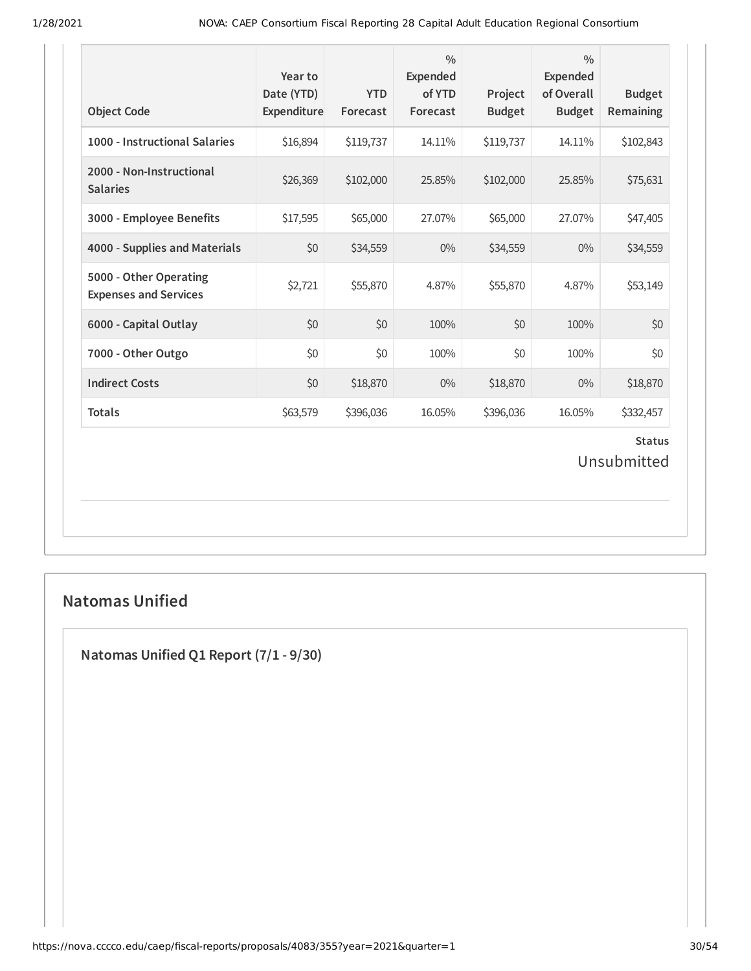| <b>Object Code</b>                                     | Year to<br>Date (YTD)<br>Expenditure | <b>YTD</b><br>Forecast | $\frac{0}{0}$<br><b>Expended</b><br>of YTD<br>Forecast | Project<br><b>Budget</b> | $\frac{0}{0}$<br><b>Expended</b><br>of Overall<br><b>Budget</b> | <b>Budget</b><br>Remaining |  |
|--------------------------------------------------------|--------------------------------------|------------------------|--------------------------------------------------------|--------------------------|-----------------------------------------------------------------|----------------------------|--|
| 1000 - Instructional Salaries                          | \$16,894                             | \$119,737              | 14.11%                                                 | \$119,737                | 14.11%                                                          | \$102,843                  |  |
| 2000 - Non-Instructional<br><b>Salaries</b>            | \$26,369                             | \$102,000              | 25.85%                                                 | \$102,000                | 25.85%                                                          | \$75,631                   |  |
| 3000 - Employee Benefits                               | \$17,595                             | \$65,000               | 27.07%                                                 | \$65,000                 | 27.07%                                                          | \$47,405                   |  |
| 4000 - Supplies and Materials                          | \$0                                  | \$34,559               | $0\%$                                                  | \$34,559                 | $0\%$                                                           | \$34,559                   |  |
| 5000 - Other Operating<br><b>Expenses and Services</b> | \$2,721                              | \$55,870               | 4.87%                                                  | \$55,870                 | 4.87%                                                           | \$53,149                   |  |
| 6000 - Capital Outlay                                  | \$0                                  | \$0                    | 100%                                                   | \$0                      | 100%                                                            | \$0                        |  |
| 7000 - Other Outgo                                     | \$0                                  | \$0                    | 100%                                                   | \$0                      | 100%                                                            | \$0                        |  |
| <b>Indirect Costs</b>                                  | \$0                                  | \$18,870               | $0\%$                                                  | \$18,870                 | $0\%$                                                           | \$18,870                   |  |
| <b>Totals</b>                                          | \$63,579                             | \$396,036              | 16.05%                                                 | \$396,036                | 16.05%                                                          | \$332,457                  |  |
| <b>Status</b><br>Unsubmitted                           |                                      |                        |                                                        |                          |                                                                 |                            |  |

### **Natomas Unified**

**Natomas Unified Q1 Report (7/1 - 9/30)**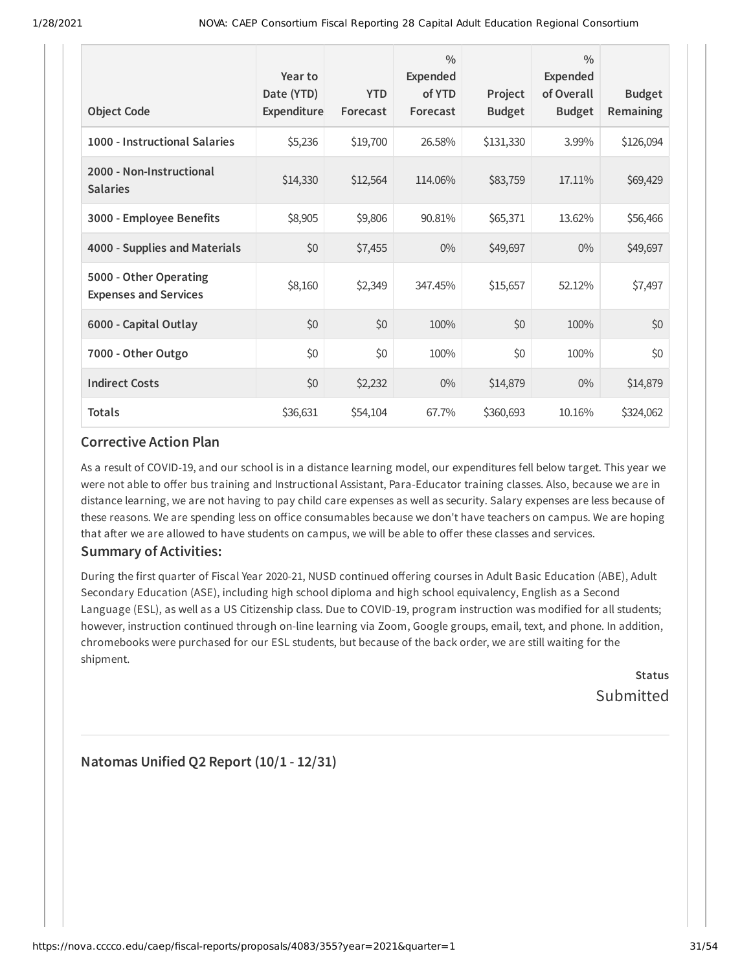| <b>Object Code</b>                                     | Year to<br>Date (YTD)<br>Expenditure | <b>YTD</b><br>Forecast | $\frac{0}{0}$<br><b>Expended</b><br>of YTD<br>Forecast | Project<br><b>Budget</b> | $\frac{0}{0}$<br><b>Expended</b><br>of Overall<br><b>Budget</b> | <b>Budget</b><br>Remaining |
|--------------------------------------------------------|--------------------------------------|------------------------|--------------------------------------------------------|--------------------------|-----------------------------------------------------------------|----------------------------|
| 1000 - Instructional Salaries                          | \$5,236                              | \$19,700               | 26.58%                                                 | \$131,330                | 3.99%                                                           | \$126,094                  |
| 2000 - Non-Instructional<br><b>Salaries</b>            | \$14,330                             | \$12,564               | 114.06%                                                | \$83,759                 | 17.11%                                                          | \$69,429                   |
| 3000 - Employee Benefits                               | \$8,905                              | \$9,806                | 90.81%                                                 | \$65,371                 | 13.62%                                                          | \$56,466                   |
| 4000 - Supplies and Materials                          | \$0                                  | \$7,455                | $0\%$                                                  | \$49,697                 | $0\%$                                                           | \$49,697                   |
| 5000 - Other Operating<br><b>Expenses and Services</b> | \$8,160                              | \$2,349                | 347.45%                                                | \$15,657                 | 52.12%                                                          | \$7,497                    |
| 6000 - Capital Outlay                                  | \$0                                  | \$0                    | 100%                                                   | \$0                      | 100%                                                            | \$0                        |
| 7000 - Other Outgo                                     | \$0                                  | \$0                    | 100%                                                   | \$0                      | 100%                                                            | \$0                        |
| <b>Indirect Costs</b>                                  | \$0                                  | \$2,232                | $0\%$                                                  | \$14,879                 | $0\%$                                                           | \$14,879                   |
| <b>Totals</b>                                          | \$36,631                             | \$54,104               | 67.7%                                                  | \$360,693                | 10.16%                                                          | \$324,062                  |

#### **Corrective Action Plan**

As a result of COVID-19, and our school is in a distance learning model, our expenditures fell below target. This year we were not able to offer bus training and Instructional Assistant, Para-Educator training classes. Also, because we are in distance learning, we are not having to pay child care expenses as well as security. Salary expenses are less because of these reasons. We are spending less on office consumables because we don't have teachers on campus. We are hoping that after we are allowed to have students on campus, we will be able to offer these classes and services.

### **Summary of Activities:**

During the first quarter of Fiscal Year 2020-21, NUSD continued offering courses in Adult Basic Education (ABE), Adult Secondary Education (ASE), including high school diploma and high school equivalency, English as a Second Language (ESL), as well as a US Citizenship class. Due to COVID-19, program instruction was modified for all students; however, instruction continued through on-line learning via Zoom, Google groups, email, text, and phone. In addition, chromebooks were purchased for our ESL students, but because of the back order, we are still waiting for the shipment.

**Status** Submitted

**Natomas Unified Q2 Report (10/1 - 12/31)**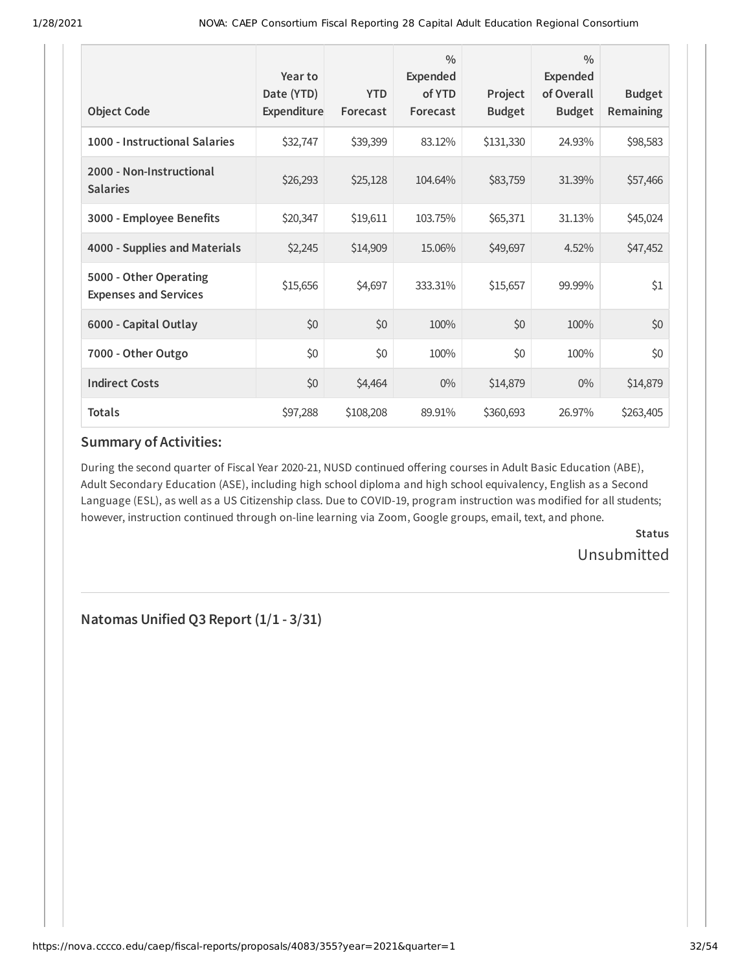| <b>Object Code</b>                                     | Year to<br>Date (YTD)<br>Expenditure | <b>YTD</b><br>Forecast | $\frac{0}{0}$<br>Expended<br>of YTD<br>Forecast | Project<br><b>Budget</b> | $\frac{0}{0}$<br><b>Expended</b><br>of Overall<br><b>Budget</b> | <b>Budget</b><br>Remaining |
|--------------------------------------------------------|--------------------------------------|------------------------|-------------------------------------------------|--------------------------|-----------------------------------------------------------------|----------------------------|
| 1000 - Instructional Salaries                          | \$32,747                             | \$39,399               | 83.12%                                          | \$131,330                | 24.93%                                                          | \$98,583                   |
| 2000 - Non-Instructional<br><b>Salaries</b>            | \$26,293                             | \$25,128               | 104.64%                                         | \$83,759                 | 31.39%                                                          | \$57,466                   |
| 3000 - Employee Benefits                               | \$20,347                             | \$19,611               | 103.75%                                         | \$65,371                 | 31.13%                                                          | \$45,024                   |
| 4000 - Supplies and Materials                          | \$2,245                              | \$14,909               | 15.06%                                          | \$49,697                 | 4.52%                                                           | \$47,452                   |
| 5000 - Other Operating<br><b>Expenses and Services</b> | \$15,656                             | \$4,697                | 333.31%                                         | \$15,657                 | 99.99%                                                          | \$1                        |
| 6000 - Capital Outlay                                  | \$0                                  | \$0                    | 100%                                            | \$0                      | 100%                                                            | \$0                        |
| 7000 - Other Outgo                                     | \$0                                  | \$0                    | 100%                                            | \$0                      | 100%                                                            | \$0                        |
| <b>Indirect Costs</b>                                  | \$0                                  | \$4,464                | $0\%$                                           | \$14,879                 | $0\%$                                                           | \$14,879                   |
| <b>Totals</b>                                          | \$97,288                             | \$108,208              | 89.91%                                          | \$360,693                | 26.97%                                                          | \$263,405                  |

### **Summary of Activities:**

During the second quarter of Fiscal Year 2020-21, NUSD continued offering courses in Adult Basic Education (ABE), Adult Secondary Education (ASE), including high school diploma and high school equivalency, English as a Second Language (ESL), as well as a US Citizenship class. Due to COVID-19, program instruction was modified for all students; however, instruction continued through on-line learning via Zoom, Google groups, email, text, and phone.

> **Status** Unsubmitted

**Natomas Unified Q3 Report (1/1 - 3/31)**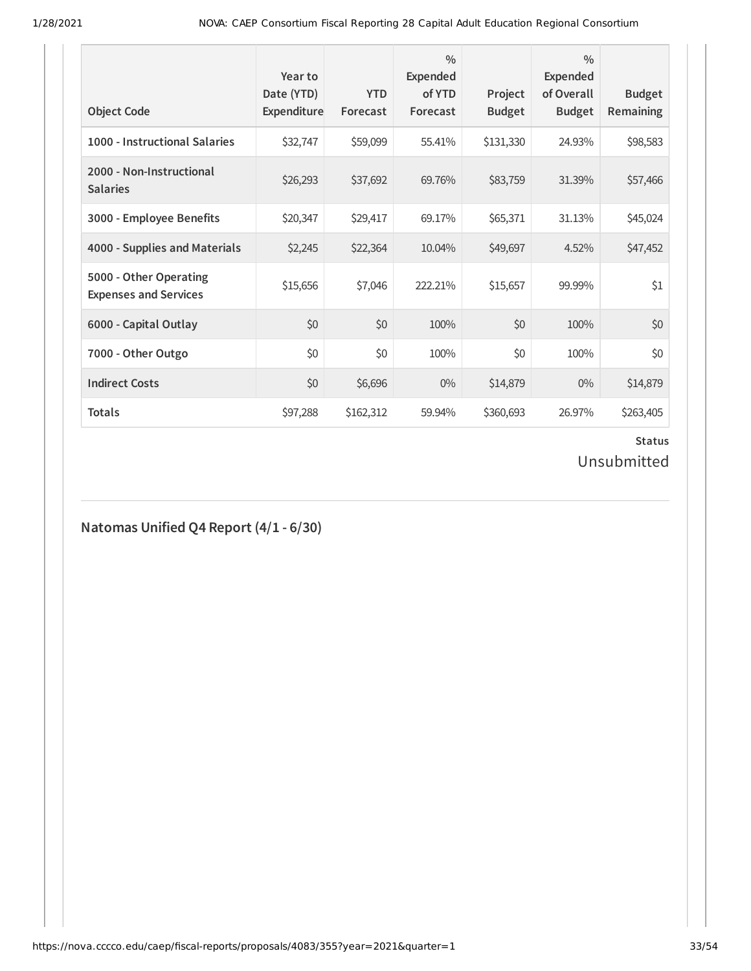| <b>Object Code</b>                                     | Year to<br>Date (YTD)<br>Expenditure | <b>YTD</b><br>Forecast | $\frac{0}{0}$<br><b>Expended</b><br>of YTD<br>Forecast | Project<br><b>Budget</b> | $\frac{0}{0}$<br><b>Expended</b><br>of Overall<br><b>Budget</b> | <b>Budget</b><br>Remaining |
|--------------------------------------------------------|--------------------------------------|------------------------|--------------------------------------------------------|--------------------------|-----------------------------------------------------------------|----------------------------|
| 1000 - Instructional Salaries                          | \$32,747                             | \$59,099               | 55.41%                                                 | \$131,330                | 24.93%                                                          | \$98,583                   |
| 2000 - Non-Instructional<br><b>Salaries</b>            | \$26,293                             | \$37,692               | 69.76%                                                 | \$83,759                 | 31.39%                                                          | \$57,466                   |
| 3000 - Employee Benefits                               | \$20,347                             | \$29,417               | 69.17%                                                 | \$65,371                 | 31.13%                                                          | \$45,024                   |
| 4000 - Supplies and Materials                          | \$2,245                              | \$22,364               | 10.04%                                                 | \$49,697                 | 4.52%                                                           | \$47,452                   |
| 5000 - Other Operating<br><b>Expenses and Services</b> | \$15,656                             | \$7,046                | 222.21%                                                | \$15,657                 | 99.99%                                                          | \$1                        |
| 6000 - Capital Outlay                                  | \$0                                  | \$0                    | 100%                                                   | \$0                      | 100%                                                            | \$0                        |
| 7000 - Other Outgo                                     | \$0                                  | \$0                    | 100%                                                   | \$0                      | 100%                                                            | \$0                        |
| <b>Indirect Costs</b>                                  | \$0                                  | \$6,696                | $0\%$                                                  | \$14,879                 | $0\%$                                                           | \$14,879                   |
| <b>Totals</b>                                          | \$97,288                             | \$162,312              | 59.94%                                                 | \$360,693                | 26.97%                                                          | \$263,405                  |

Unsubmitted

**Natomas Unified Q4 Report (4/1 - 6/30)**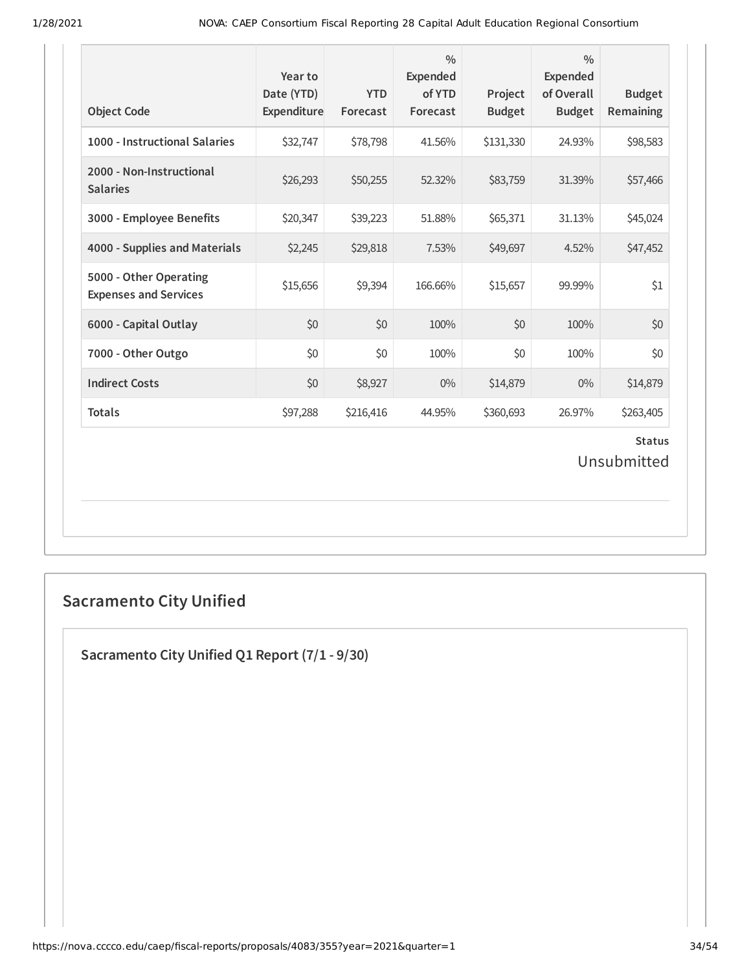| <b>Object Code</b>                                     | Year to<br>Date (YTD)<br>Expenditure | <b>YTD</b><br>Forecast | $\frac{0}{0}$<br><b>Expended</b><br>of YTD<br>Forecast | Project<br><b>Budget</b> | $\frac{0}{0}$<br><b>Expended</b><br>of Overall<br><b>Budget</b> | <b>Budget</b><br>Remaining |  |
|--------------------------------------------------------|--------------------------------------|------------------------|--------------------------------------------------------|--------------------------|-----------------------------------------------------------------|----------------------------|--|
| 1000 - Instructional Salaries                          | \$32,747                             | \$78,798               | 41.56%                                                 | \$131,330                | 24.93%                                                          | \$98,583                   |  |
| 2000 - Non-Instructional<br><b>Salaries</b>            | \$26,293                             | \$50,255               | 52.32%                                                 | \$83,759                 | 31.39%                                                          | \$57,466                   |  |
| 3000 - Employee Benefits                               | \$20,347                             | \$39,223               | 51.88%                                                 | \$65,371                 | 31.13%                                                          | \$45,024                   |  |
| 4000 - Supplies and Materials                          | \$2,245                              | \$29,818               | 7.53%                                                  | \$49,697                 | 4.52%                                                           | \$47,452                   |  |
| 5000 - Other Operating<br><b>Expenses and Services</b> | \$15,656                             | \$9,394                | 166.66%                                                | \$15,657                 | 99.99%                                                          | \$1                        |  |
| 6000 - Capital Outlay                                  | \$0                                  | \$0                    | 100%                                                   | \$0                      | 100%                                                            | \$0                        |  |
| 7000 - Other Outgo                                     | \$0                                  | \$0                    | 100%                                                   | \$0                      | 100%                                                            | \$0                        |  |
| <b>Indirect Costs</b>                                  | \$0                                  | \$8,927                | $0\%$                                                  | \$14,879                 | $0\%$                                                           | \$14,879                   |  |
| <b>Totals</b>                                          | \$97,288                             | \$216,416              | 44.95%                                                 | \$360,693                | 26.97%                                                          | \$263,405                  |  |
| <b>Status</b><br>Unsubmitted                           |                                      |                        |                                                        |                          |                                                                 |                            |  |

## **Sacramento City Unified**

**Sacramento City Unified Q1 Report (7/1 - 9/30)**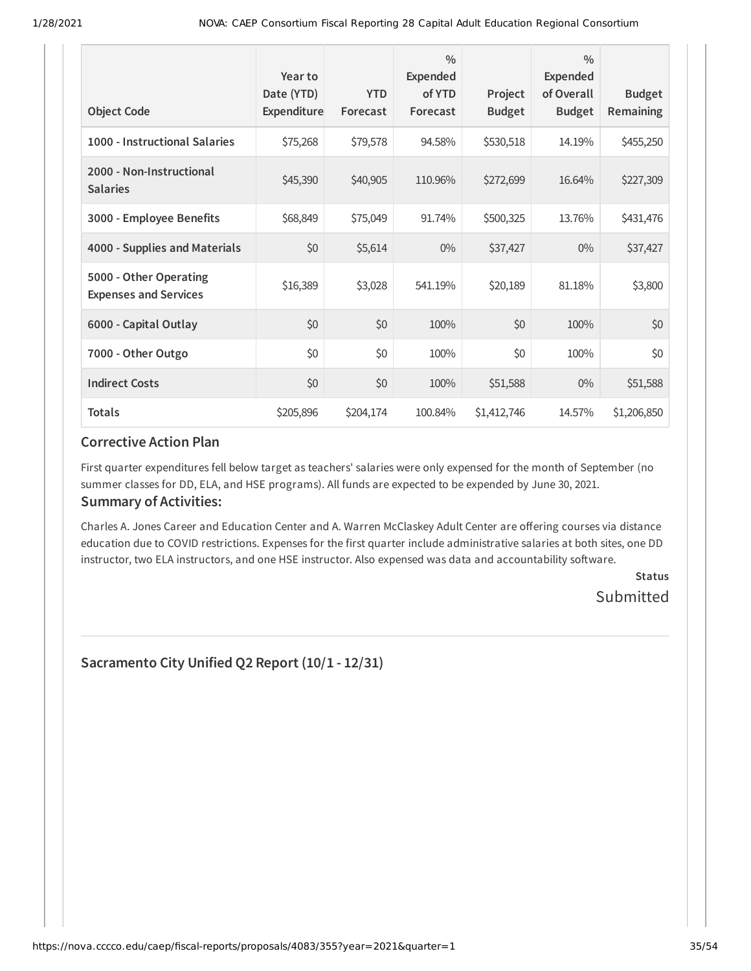| <b>Object Code</b>                                     | Year to<br>Date (YTD)<br>Expenditure | <b>YTD</b><br>Forecast | $\frac{0}{0}$<br><b>Expended</b><br>of YTD<br>Forecast | Project<br><b>Budget</b> | $\frac{0}{0}$<br><b>Expended</b><br>of Overall<br><b>Budget</b> | <b>Budget</b><br>Remaining |
|--------------------------------------------------------|--------------------------------------|------------------------|--------------------------------------------------------|--------------------------|-----------------------------------------------------------------|----------------------------|
| 1000 - Instructional Salaries                          | \$75,268                             | \$79,578               | 94.58%                                                 | \$530,518                | 14.19%                                                          | \$455,250                  |
| 2000 - Non-Instructional<br><b>Salaries</b>            | \$45,390                             | \$40,905               | 110.96%                                                | \$272,699                | 16.64%                                                          | \$227,309                  |
| 3000 - Employee Benefits                               | \$68,849                             | \$75,049               | 91.74%                                                 | \$500,325                | 13.76%                                                          | \$431,476                  |
| 4000 - Supplies and Materials                          | \$0                                  | \$5,614                | $0\%$                                                  | \$37,427                 | $0\%$                                                           | \$37,427                   |
| 5000 - Other Operating<br><b>Expenses and Services</b> | \$16,389                             | \$3,028                | 541.19%                                                | \$20,189                 | 81.18%                                                          | \$3,800                    |
| 6000 - Capital Outlay                                  | \$0                                  | \$0                    | 100%                                                   | \$0                      | 100%                                                            | \$0                        |
| 7000 - Other Outgo                                     | \$0                                  | \$0                    | 100%                                                   | \$0                      | 100%                                                            | \$0                        |
| <b>Indirect Costs</b>                                  | \$0                                  | \$0                    | 100%                                                   | \$51,588                 | $0\%$                                                           | \$51,588                   |
| <b>Totals</b>                                          | \$205,896                            | \$204,174              | 100.84%                                                | \$1,412,746              | 14.57%                                                          | \$1,206,850                |

### **Corrective Action Plan**

First quarter expenditures fell below target as teachers' salaries were only expensed for the month of September (no summer classes for DD, ELA, and HSE programs). All funds are expected to be expended by June 30, 2021.

### **Summary of Activities:**

Charles A. Jones Career and Education Center and A. Warren McClaskey Adult Center are offering courses via distance education due to COVID restrictions. Expenses for the first quarter include administrative salaries at both sites, one DD instructor, two ELA instructors, and one HSE instructor. Also expensed was data and accountability software.

> **Status** Submitted

**Sacramento City Unified Q2 Report (10/1 - 12/31)**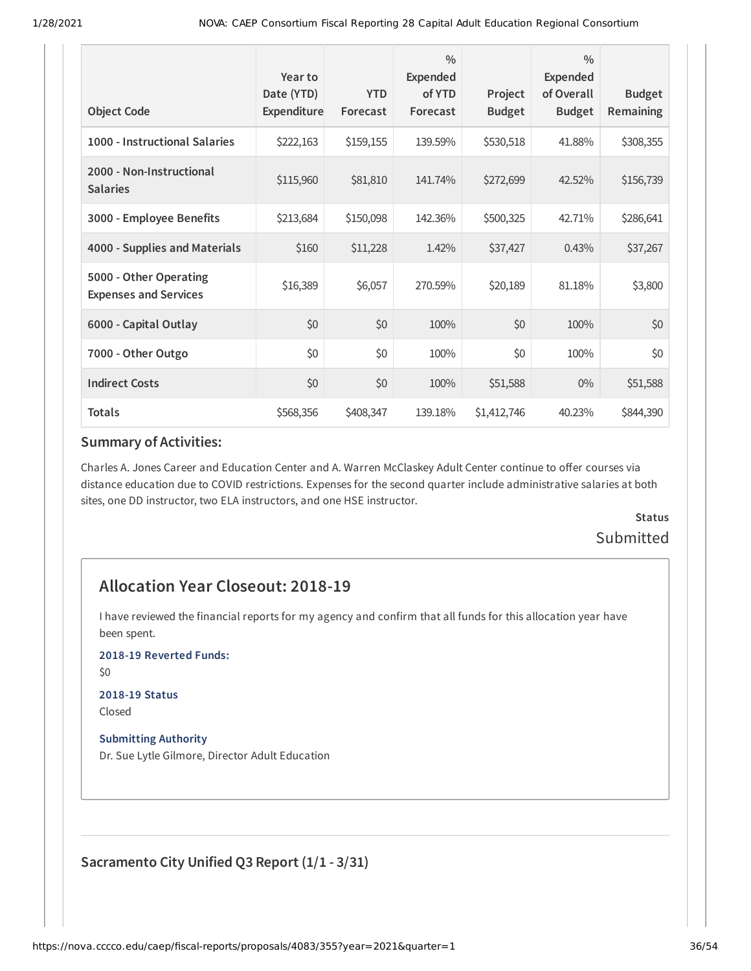| <b>Object Code</b>                                     | Year to<br>Date (YTD)<br>Expenditure | <b>YTD</b><br>Forecast | $\frac{0}{0}$<br><b>Expended</b><br>of YTD<br>Forecast | Project<br><b>Budget</b> | $\frac{0}{0}$<br><b>Expended</b><br>of Overall<br><b>Budget</b> | <b>Budget</b><br>Remaining |
|--------------------------------------------------------|--------------------------------------|------------------------|--------------------------------------------------------|--------------------------|-----------------------------------------------------------------|----------------------------|
| 1000 - Instructional Salaries                          | \$222,163                            | \$159,155              | 139.59%                                                | \$530,518                | 41.88%                                                          | \$308,355                  |
| 2000 - Non-Instructional<br><b>Salaries</b>            | \$115,960                            | \$81,810               | 141.74%                                                | \$272,699                | 42.52%                                                          | \$156,739                  |
| 3000 - Employee Benefits                               | \$213,684                            | \$150,098              | 142.36%                                                | \$500,325                | 42.71%                                                          | \$286,641                  |
| 4000 - Supplies and Materials                          | \$160                                | \$11,228               | 1.42%                                                  | \$37,427                 | 0.43%                                                           | \$37,267                   |
| 5000 - Other Operating<br><b>Expenses and Services</b> | \$16,389                             | \$6,057                | 270.59%                                                | \$20,189                 | 81.18%                                                          | \$3,800                    |
| 6000 - Capital Outlay                                  | \$0                                  | \$0                    | 100%                                                   | \$0                      | 100%                                                            | \$0                        |
| 7000 - Other Outgo                                     | \$0                                  | \$0                    | 100%                                                   | \$0                      | 100%                                                            | \$0                        |
| <b>Indirect Costs</b>                                  | \$0                                  | \$0                    | 100%                                                   | \$51,588                 | $0\%$                                                           | \$51,588                   |
| <b>Totals</b>                                          | \$568,356                            | \$408,347              | 139.18%                                                | \$1,412,746              | 40.23%                                                          | \$844,390                  |

#### **Summary of Activities:**

Charles A. Jones Career and Education Center and A. Warren McClaskey Adult Center continue to offer courses via distance education due to COVID restrictions. Expenses for the second quarter include administrative salaries at both sites, one DD instructor, two ELA instructors, and one HSE instructor.

## **Status Submitted**

### **Allocation Year Closeout: 2018-19**

I have reviewed the financial reports for my agency and confirm that all funds for this allocation year have been spent.

**2018-19 Reverted Funds:**

\$0

## **2018-19 Status**

Closed

**Submitting Authority** Dr. Sue Lytle Gilmore, Director Adult Education

### **Sacramento City Unified Q3 Report (1/1 - 3/31)**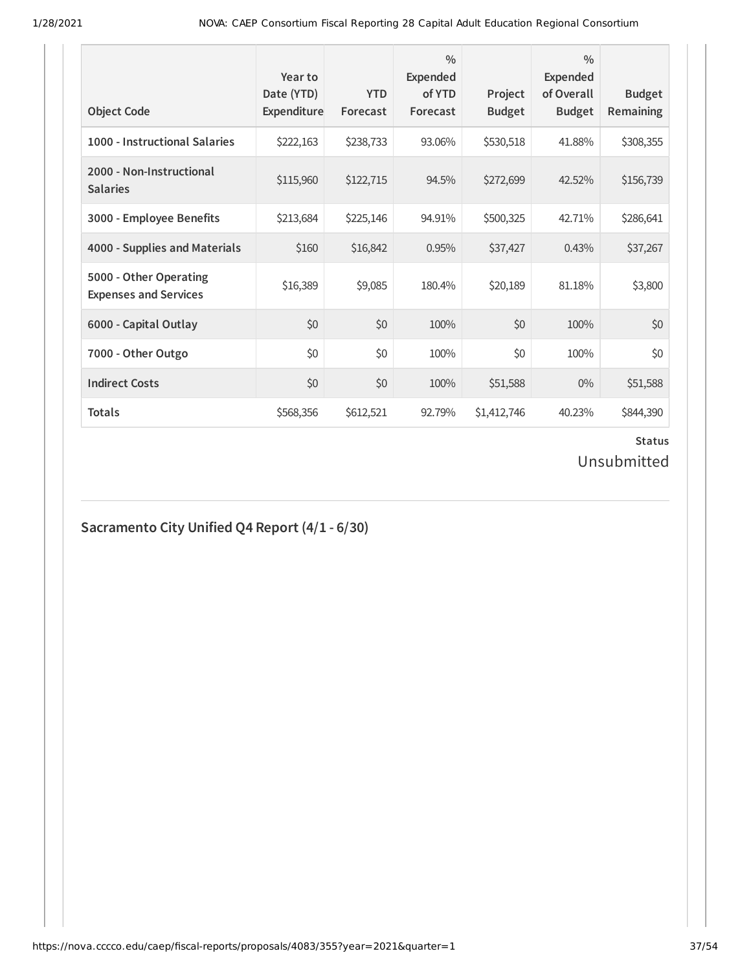| <b>Object Code</b>                                     | Year to<br>Date (YTD)<br>Expenditure | <b>YTD</b><br>Forecast | $\frac{0}{0}$<br><b>Expended</b><br>of YTD<br>Forecast | Project<br><b>Budget</b> | $\frac{0}{0}$<br><b>Expended</b><br>of Overall<br><b>Budget</b> | <b>Budget</b><br>Remaining |
|--------------------------------------------------------|--------------------------------------|------------------------|--------------------------------------------------------|--------------------------|-----------------------------------------------------------------|----------------------------|
| 1000 - Instructional Salaries                          | \$222,163                            | \$238,733              | 93.06%                                                 | \$530,518                | 41.88%                                                          | \$308,355                  |
| 2000 - Non-Instructional<br><b>Salaries</b>            | \$115,960                            | \$122,715              | 94.5%                                                  | \$272,699                | 42.52%                                                          | \$156,739                  |
| 3000 - Employee Benefits                               | \$213,684                            | \$225,146              | 94.91%                                                 | \$500,325                | 42.71%                                                          | \$286,641                  |
| 4000 - Supplies and Materials                          | \$160                                | \$16,842               | 0.95%                                                  | \$37,427                 | 0.43%                                                           | \$37,267                   |
| 5000 - Other Operating<br><b>Expenses and Services</b> | \$16,389                             | \$9,085                | 180.4%                                                 | \$20,189                 | 81.18%                                                          | \$3,800                    |
| 6000 - Capital Outlay                                  | \$0                                  | \$0                    | 100%                                                   | \$0                      | 100%                                                            | \$0                        |
| 7000 - Other Outgo                                     | \$0                                  | \$0                    | 100%                                                   | \$0                      | 100%                                                            | \$0                        |
| <b>Indirect Costs</b>                                  | \$0                                  | \$0                    | 100%                                                   | \$51,588                 | $0\%$                                                           | \$51,588                   |
| <b>Totals</b>                                          | \$568,356                            | \$612,521              | 92.79%                                                 | \$1,412,746              | 40.23%                                                          | \$844,390                  |

Unsubmitted

## **Sacramento City Unified Q4 Report (4/1 - 6/30)**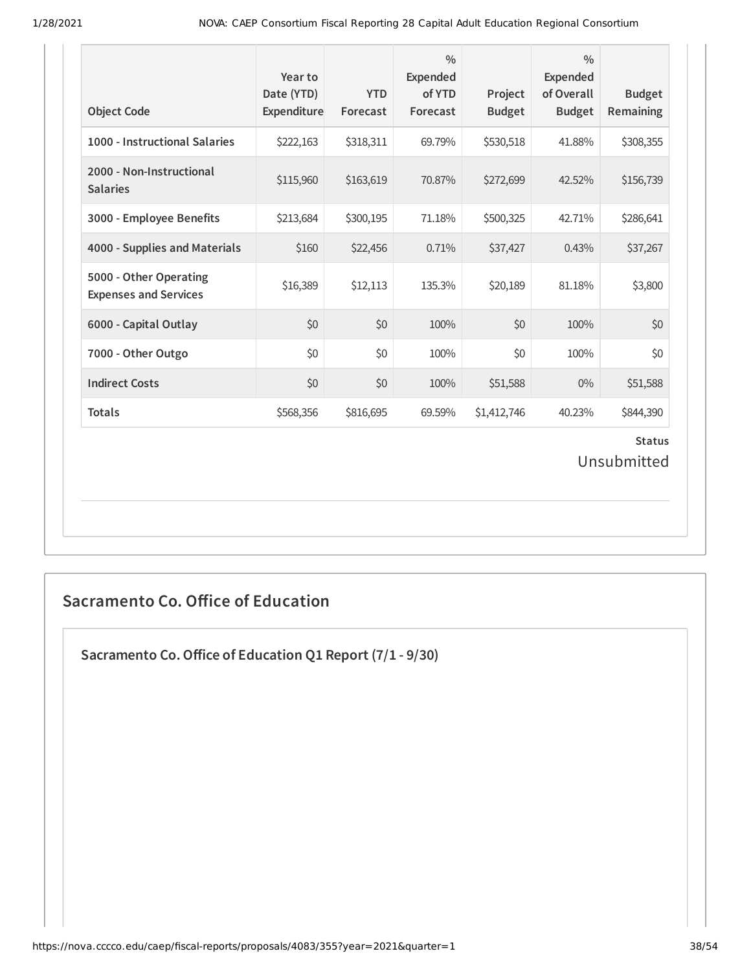| <b>Object Code</b>                                     | Year to<br>Date (YTD)<br>Expenditure | <b>YTD</b><br>Forecast | $\frac{0}{0}$<br><b>Expended</b><br>of YTD<br>Forecast | Project<br><b>Budget</b> | $\frac{0}{0}$<br><b>Expended</b><br>of Overall<br><b>Budget</b> | <b>Budget</b><br>Remaining |  |  |
|--------------------------------------------------------|--------------------------------------|------------------------|--------------------------------------------------------|--------------------------|-----------------------------------------------------------------|----------------------------|--|--|
| 1000 - Instructional Salaries                          | \$222,163                            | \$318,311              | 69.79%                                                 | \$530,518                | 41.88%                                                          | \$308,355                  |  |  |
| 2000 - Non-Instructional<br><b>Salaries</b>            | \$115,960                            | \$163,619              | 70.87%                                                 | \$272,699                | 42.52%                                                          | \$156,739                  |  |  |
| 3000 - Employee Benefits                               | \$213,684                            | \$300,195              | 71.18%                                                 | \$500,325                | 42.71%                                                          | \$286,641                  |  |  |
| 4000 - Supplies and Materials                          | \$160                                | \$22,456               | 0.71%                                                  | \$37,427                 | 0.43%                                                           | \$37,267                   |  |  |
| 5000 - Other Operating<br><b>Expenses and Services</b> | \$16,389                             | \$12,113               | 135.3%                                                 | \$20,189                 | 81.18%                                                          | \$3,800                    |  |  |
| 6000 - Capital Outlay                                  | \$0                                  | \$0                    | 100%                                                   | \$0                      | 100%                                                            | \$0                        |  |  |
| 7000 - Other Outgo                                     | \$0                                  | \$0                    | 100%                                                   | \$0                      | 100%                                                            | \$0                        |  |  |
| <b>Indirect Costs</b>                                  | \$0                                  | \$0                    | 100%                                                   | \$51,588                 | $0\%$                                                           | \$51,588                   |  |  |
| <b>Totals</b>                                          | \$568,356                            | \$816,695              | 69.59%                                                 | \$1,412,746              | 40.23%                                                          | \$844,390                  |  |  |
| <b>Status</b><br>Unsubmitted                           |                                      |                        |                                                        |                          |                                                                 |                            |  |  |

## **Sacramento Co. Office of Education**

**Sacramento Co.Oice of Education Q1 Report (7/1 - 9/30)**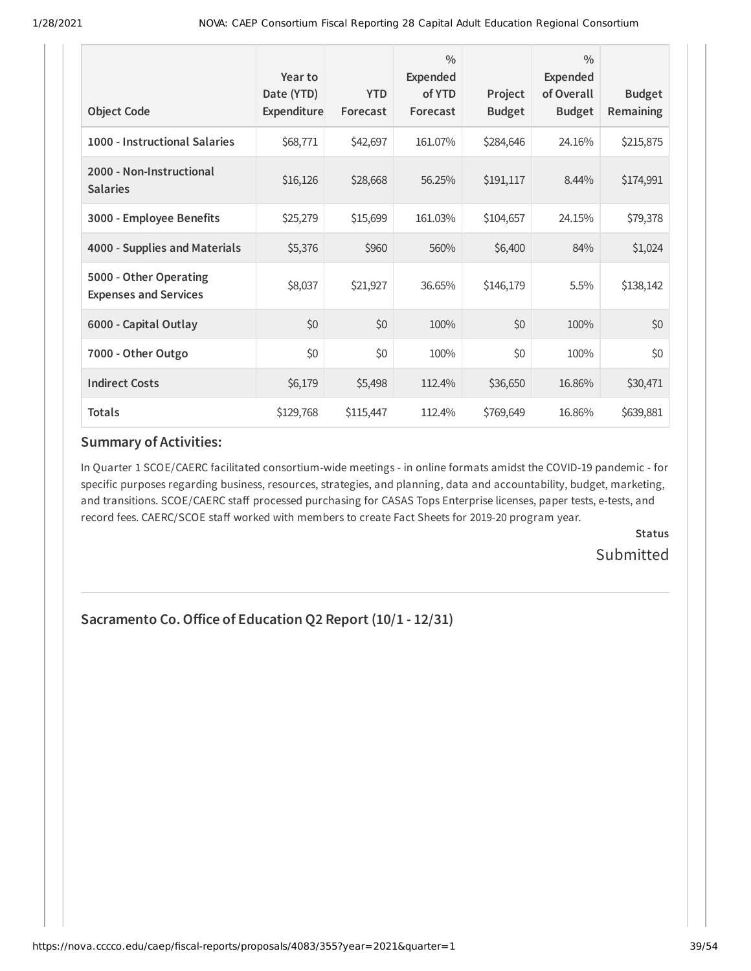| <b>Object Code</b>                                     | Year to<br>Date (YTD)<br>Expenditure | <b>YTD</b><br>Forecast | $\frac{0}{0}$<br><b>Expended</b><br>of YTD<br>Forecast | Project<br><b>Budget</b> | $\frac{0}{0}$<br><b>Expended</b><br>of Overall<br><b>Budget</b> | <b>Budget</b><br>Remaining |
|--------------------------------------------------------|--------------------------------------|------------------------|--------------------------------------------------------|--------------------------|-----------------------------------------------------------------|----------------------------|
| 1000 - Instructional Salaries                          | \$68,771                             | \$42,697               | 161.07%                                                | \$284,646                | 24.16%                                                          | \$215,875                  |
| 2000 - Non-Instructional<br><b>Salaries</b>            | \$16,126                             | \$28,668               | 56.25%                                                 | \$191,117                | 8.44%                                                           | \$174,991                  |
| 3000 - Employee Benefits                               | \$25,279                             | \$15,699               | 161.03%                                                | \$104,657                | 24.15%                                                          | \$79,378                   |
| 4000 - Supplies and Materials                          | \$5,376                              | \$960                  | 560%                                                   | \$6,400                  | 84%                                                             | \$1,024                    |
| 5000 - Other Operating<br><b>Expenses and Services</b> | \$8,037                              | \$21,927               | 36.65%                                                 | \$146,179                | 5.5%                                                            | \$138,142                  |
| 6000 - Capital Outlay                                  | \$0                                  | \$0                    | 100%                                                   | \$0                      | 100%                                                            | \$0                        |
| 7000 - Other Outgo                                     | \$0                                  | \$0                    | 100%                                                   | \$0                      | 100%                                                            | \$0                        |
| <b>Indirect Costs</b>                                  | \$6,179                              | \$5,498                | 112.4%                                                 | \$36,650                 | 16.86%                                                          | \$30,471                   |
| <b>Totals</b>                                          | \$129,768                            | \$115,447              | 112.4%                                                 | \$769,649                | 16.86%                                                          | \$639,881                  |

### **Summary of Activities:**

In Quarter 1 SCOE/CAERC facilitated consortium-wide meetings - in online formats amidst the COVID-19 pandemic - for specific purposes regarding business, resources, strategies, and planning, data and accountability, budget, marketing, and transitions. SCOE/CAERC staff processed purchasing for CASAS Tops Enterprise licenses, paper tests, e-tests, and record fees. CAERC/SCOE staff worked with members to create Fact Sheets for 2019-20 program year.

> **Status Submitted**

### **Sacramento Co.Oice of Education Q2 Report (10/1 - 12/31)**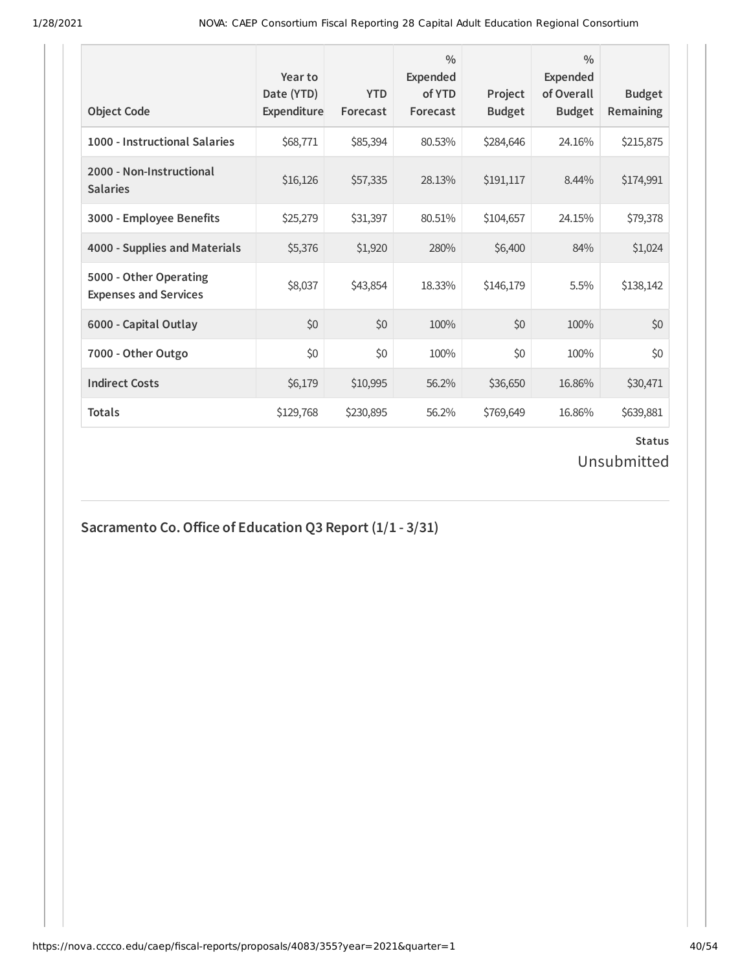| <b>Object Code</b>                                     | Year to<br>Date (YTD)<br>Expenditure | <b>YTD</b><br>Forecast | $\frac{0}{0}$<br><b>Expended</b><br>of YTD<br>Forecast | Project<br><b>Budget</b> | $\frac{0}{0}$<br><b>Expended</b><br>of Overall<br><b>Budget</b> | <b>Budget</b><br><b>Remaining</b> |
|--------------------------------------------------------|--------------------------------------|------------------------|--------------------------------------------------------|--------------------------|-----------------------------------------------------------------|-----------------------------------|
| 1000 - Instructional Salaries                          | \$68,771                             | \$85,394               | 80.53%                                                 | \$284,646                | 24.16%                                                          | \$215,875                         |
| 2000 - Non-Instructional<br><b>Salaries</b>            | \$16,126                             | \$57,335               | 28.13%                                                 | \$191,117                | 8.44%                                                           | \$174,991                         |
| 3000 - Employee Benefits                               | \$25,279                             | \$31,397               | 80.51%                                                 | \$104,657                | 24.15%                                                          | \$79,378                          |
| 4000 - Supplies and Materials                          | \$5,376                              | \$1,920                | 280%                                                   | \$6,400                  | 84%                                                             | \$1,024                           |
| 5000 - Other Operating<br><b>Expenses and Services</b> | \$8,037                              | \$43,854               | 18.33%                                                 | \$146,179                | 5.5%                                                            | \$138,142                         |
| 6000 - Capital Outlay                                  | \$0                                  | \$0                    | 100%                                                   | \$0                      | 100%                                                            | \$0                               |
| 7000 - Other Outgo                                     | \$0                                  | \$0                    | 100%                                                   | \$0                      | 100%                                                            | \$0                               |
| <b>Indirect Costs</b>                                  | \$6,179                              | \$10,995               | 56.2%                                                  | \$36,650                 | 16.86%                                                          | \$30,471                          |
| <b>Totals</b>                                          | \$129,768                            | \$230,895              | 56.2%                                                  | \$769,649                | 16.86%                                                          | \$639,881                         |

## **Status** Unsubmitted

## **Sacramento Co.Oice of Education Q3 Report (1/1 - 3/31)**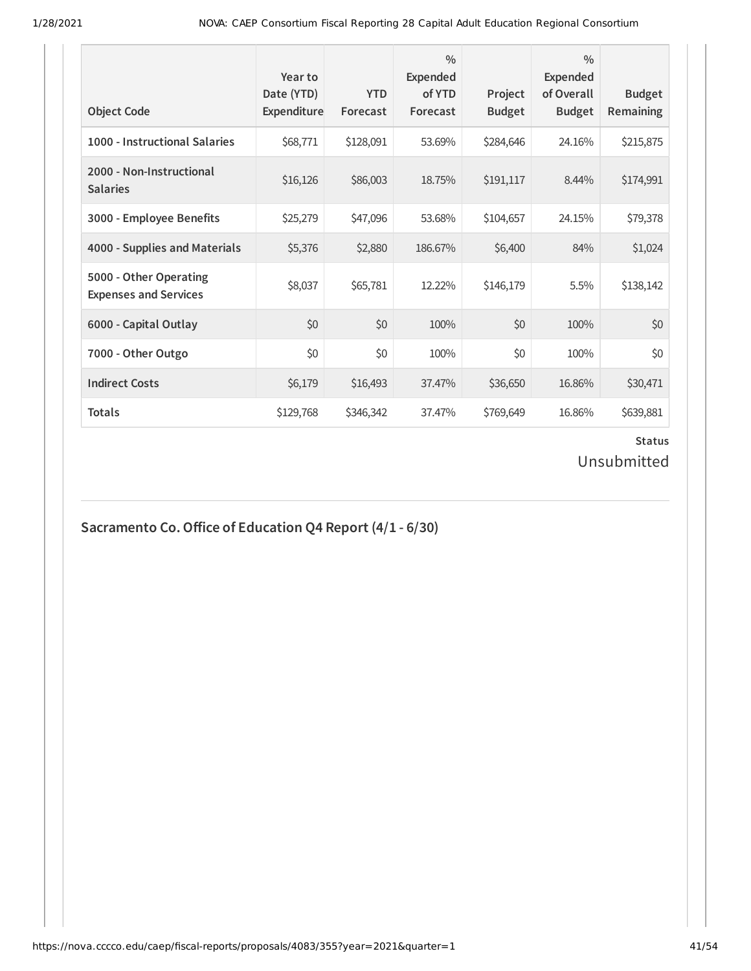| <b>Object Code</b>                                     | Year to<br>Date (YTD)<br><b>Expenditure</b> | <b>YTD</b><br>Forecast | $\frac{0}{0}$<br>Expended<br>of YTD<br>Forecast | Project<br><b>Budget</b> | $\frac{0}{0}$<br>Expended<br>of Overall<br><b>Budget</b> | <b>Budget</b><br><b>Remaining</b> |
|--------------------------------------------------------|---------------------------------------------|------------------------|-------------------------------------------------|--------------------------|----------------------------------------------------------|-----------------------------------|
| 1000 - Instructional Salaries                          | \$68,771                                    | \$128,091              | 53.69%                                          | \$284,646                | 24.16%                                                   | \$215,875                         |
| 2000 - Non-Instructional<br><b>Salaries</b>            | \$16,126                                    | \$86,003               | 18.75%                                          | \$191,117                | 8.44%                                                    | \$174,991                         |
| 3000 - Employee Benefits                               | \$25,279                                    | \$47,096               | 53.68%                                          | \$104,657                | 24.15%                                                   | \$79,378                          |
| 4000 - Supplies and Materials                          | \$5,376                                     | \$2,880                | 186.67%                                         | \$6,400                  | 84%                                                      | \$1,024                           |
| 5000 - Other Operating<br><b>Expenses and Services</b> | \$8,037                                     | \$65,781               | 12.22%                                          | \$146,179                | 5.5%                                                     | \$138,142                         |
| 6000 - Capital Outlay                                  | \$0                                         | \$0                    | 100%                                            | \$0                      | 100%                                                     | \$0                               |
| 7000 - Other Outgo                                     | \$0                                         | \$0                    | 100%                                            | \$0                      | 100%                                                     | \$0                               |
| <b>Indirect Costs</b>                                  | \$6,179                                     | \$16,493               | 37.47%                                          | \$36,650                 | 16.86%                                                   | \$30,471                          |
| <b>Totals</b>                                          | \$129,768                                   | \$346,342              | 37.47%                                          | \$769,649                | 16.86%                                                   | \$639,881                         |

## **Status** Unsubmitted

## **Sacramento Co.Oice of Education Q4 Report (4/1 - 6/30)**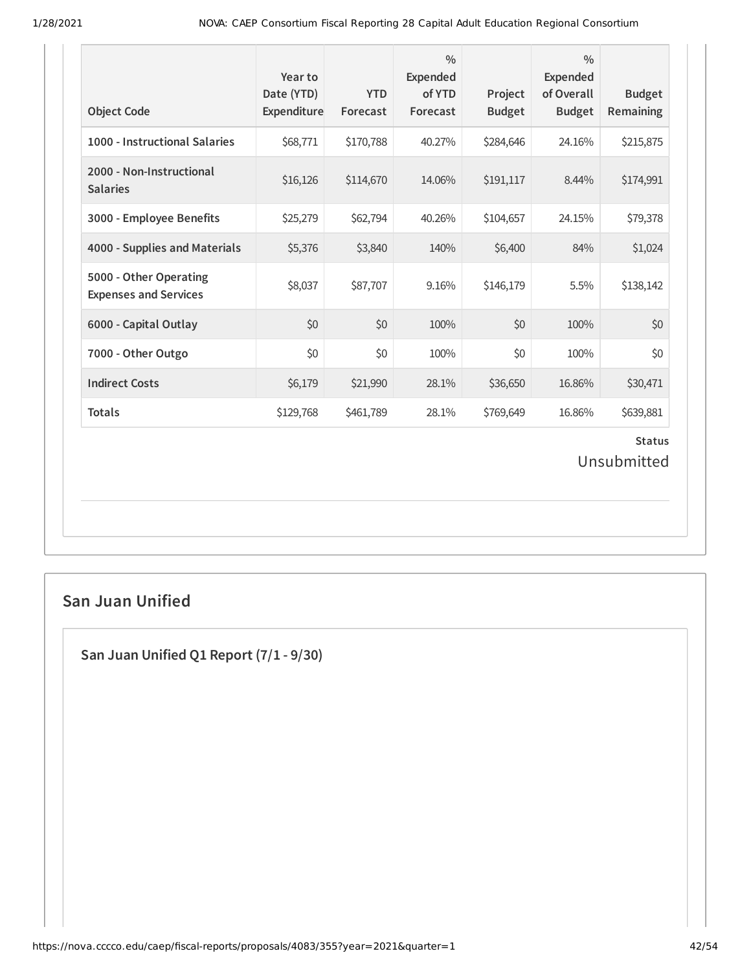| <b>Object Code</b>                                     | Year to<br>Date (YTD)<br>Expenditure | <b>YTD</b><br>Forecast | $\frac{0}{0}$<br><b>Expended</b><br>of YTD<br>Forecast | Project<br><b>Budget</b> | $\frac{0}{0}$<br><b>Expended</b><br>of Overall<br><b>Budget</b> | <b>Budget</b><br>Remaining |  |
|--------------------------------------------------------|--------------------------------------|------------------------|--------------------------------------------------------|--------------------------|-----------------------------------------------------------------|----------------------------|--|
| 1000 - Instructional Salaries                          | \$68,771                             | \$170,788              | 40.27%                                                 | \$284,646                | 24.16%                                                          | \$215,875                  |  |
| 2000 - Non-Instructional<br><b>Salaries</b>            | \$16,126                             | \$114,670              | 14.06%                                                 | \$191,117                | 8.44%                                                           | \$174,991                  |  |
| 3000 - Employee Benefits                               | \$25,279                             | \$62,794               | 40.26%                                                 | \$104,657                | 24.15%                                                          | \$79,378                   |  |
| 4000 - Supplies and Materials                          | \$5,376                              | \$3,840                | 140%                                                   | \$6,400                  | 84%                                                             | \$1,024                    |  |
| 5000 - Other Operating<br><b>Expenses and Services</b> | \$8,037                              | \$87,707               | 9.16%                                                  | \$146,179                | 5.5%                                                            | \$138,142                  |  |
| 6000 - Capital Outlay                                  | \$0                                  | \$0                    | 100%                                                   | \$0                      | 100%                                                            | \$0                        |  |
| 7000 - Other Outgo                                     | \$0                                  | \$0                    | 100%                                                   | \$0                      | 100%                                                            | \$0                        |  |
| <b>Indirect Costs</b>                                  | \$6,179                              | \$21,990               | 28.1%                                                  | \$36,650                 | 16.86%                                                          | \$30,471                   |  |
| <b>Totals</b>                                          | \$129,768                            | \$461,789              | 28.1%                                                  | \$769,649                | 16.86%                                                          | \$639,881                  |  |
| <b>Status</b><br>Unsubmitted                           |                                      |                        |                                                        |                          |                                                                 |                            |  |

## **San Juan Unified**

**San Juan Unified Q1 Report (7/1 - 9/30)**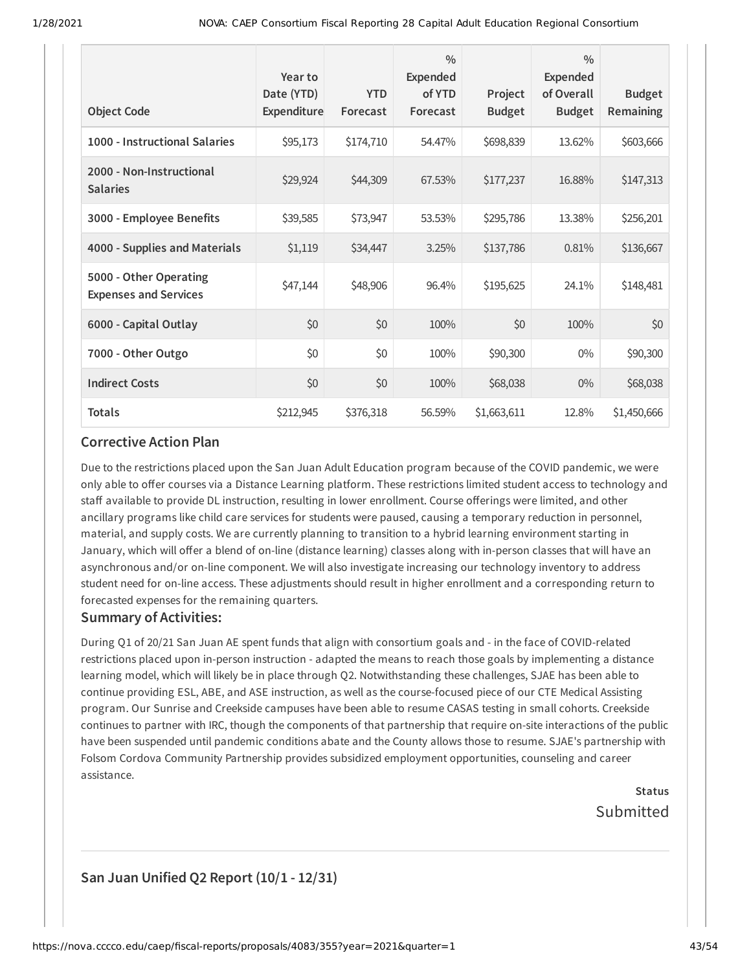|                                                        | Year to<br>Date (YTD) | <b>YTD</b> | $\frac{0}{0}$<br><b>Expended</b><br>of YTD | Project       | $\frac{0}{0}$<br><b>Expended</b><br>of Overall | <b>Budget</b> |
|--------------------------------------------------------|-----------------------|------------|--------------------------------------------|---------------|------------------------------------------------|---------------|
| <b>Object Code</b>                                     | <b>Expenditure</b>    | Forecast   | Forecast                                   | <b>Budget</b> | <b>Budget</b>                                  | Remaining     |
| 1000 - Instructional Salaries                          | \$95,173              | \$174,710  | 54.47%                                     | \$698,839     | 13.62%                                         | \$603,666     |
| 2000 - Non-Instructional<br><b>Salaries</b>            | \$29,924              | \$44,309   | 67.53%                                     | \$177,237     | 16.88%                                         | \$147,313     |
| 3000 - Employee Benefits                               | \$39,585              | \$73,947   | 53.53%                                     | \$295,786     | 13.38%                                         | \$256,201     |
| 4000 - Supplies and Materials                          | \$1,119               | \$34,447   | 3.25%                                      | \$137,786     | 0.81%                                          | \$136,667     |
| 5000 - Other Operating<br><b>Expenses and Services</b> | \$47,144              | \$48,906   | 96.4%                                      | \$195,625     | 24.1%                                          | \$148,481     |
| 6000 - Capital Outlay                                  | \$0                   | \$0        | 100%                                       | \$0           | 100%                                           | \$0           |
| 7000 - Other Outgo                                     | \$0                   | \$0        | 100%                                       | \$90,300      | $0\%$                                          | \$90,300      |
| <b>Indirect Costs</b>                                  | \$0                   | \$0        | 100%                                       | \$68,038      | $0\%$                                          | \$68,038      |
| <b>Totals</b>                                          | \$212,945             | \$376,318  | 56.59%                                     | \$1,663,611   | 12.8%                                          | \$1,450,666   |

### **Corrective Action Plan**

Due to the restrictions placed upon the San Juan Adult Education program because of the COVID pandemic, we were only able to offer courses via a Distance Learning platform. These restrictions limited student access to technology and staff available to provide DL instruction, resulting in lower enrollment. Course offerings were limited, and other ancillary programs like child care services for students were paused, causing a temporary reduction in personnel, material, and supply costs. We are currently planning to transition to a hybrid learning environment starting in January, which will offer a blend of on-line (distance learning) classes along with in-person classes that will have an asynchronous and/or on-line component. We will also investigate increasing our technology inventory to address student need for on-line access. These adjustments should result in higher enrollment and a corresponding return to forecasted expenses for the remaining quarters.

### **Summary of Activities:**

During Q1 of 20/21 San Juan AE spent funds that align with consortium goals and - in the face of COVID-related restrictions placed upon in-person instruction - adapted the means to reach those goals by implementing a distance learning model, which will likely be in place through Q2. Notwithstanding these challenges, SJAE has been able to continue providing ESL, ABE, and ASE instruction, as well as the course-focused piece of our CTE Medical Assisting program. Our Sunrise and Creekside campuses have been able to resume CASAS testing in small cohorts. Creekside continues to partner with IRC, though the components of that partnership that require on-site interactions of the public have been suspended until pandemic conditions abate and the County allows those to resume. SJAE's partnership with Folsom Cordova Community Partnership provides subsidized employment opportunities, counseling and career assistance.

> **Status** Submitted

### **San Juan Unified Q2 Report (10/1 - 12/31)**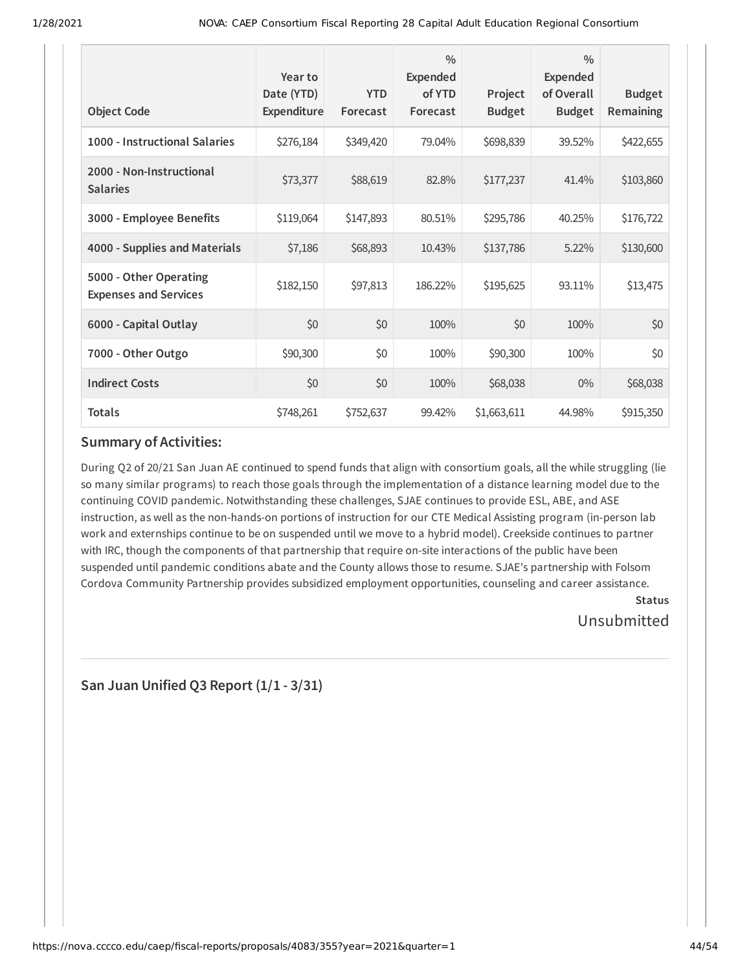| <b>Object Code</b>                                     | Year to<br>Date (YTD)<br><b>Expenditure</b> | <b>YTD</b><br>Forecast | $\frac{0}{0}$<br><b>Expended</b><br>of YTD<br>Forecast | Project<br><b>Budget</b> | $\frac{0}{0}$<br>Expended<br>of Overall<br><b>Budget</b> | <b>Budget</b><br>Remaining |
|--------------------------------------------------------|---------------------------------------------|------------------------|--------------------------------------------------------|--------------------------|----------------------------------------------------------|----------------------------|
| 1000 - Instructional Salaries                          | \$276,184                                   | \$349,420              | 79.04%                                                 | \$698,839                | 39.52%                                                   | \$422,655                  |
| 2000 - Non-Instructional<br><b>Salaries</b>            | \$73,377                                    | \$88,619               | 82.8%                                                  | \$177,237                | 41.4%                                                    | \$103,860                  |
| 3000 - Employee Benefits                               | \$119,064                                   | \$147,893              | 80.51%                                                 | \$295,786                | 40.25%                                                   | \$176,722                  |
| 4000 - Supplies and Materials                          | \$7,186                                     | \$68,893               | 10.43%                                                 | \$137,786                | 5.22%                                                    | \$130,600                  |
| 5000 - Other Operating<br><b>Expenses and Services</b> | \$182,150                                   | \$97,813               | 186.22%                                                | \$195,625                | 93.11%                                                   | \$13,475                   |
| 6000 - Capital Outlay                                  | \$0                                         | \$0                    | 100%                                                   | \$0                      | 100%                                                     | \$0                        |
| 7000 - Other Outgo                                     | \$90,300                                    | \$0                    | 100%                                                   | \$90,300                 | 100%                                                     | \$0                        |
| <b>Indirect Costs</b>                                  | \$0                                         | \$0                    | 100%                                                   | \$68,038                 | $0\%$                                                    | \$68,038                   |
| <b>Totals</b>                                          | \$748,261                                   | \$752,637              | 99.42%                                                 | \$1,663,611              | 44.98%                                                   | \$915,350                  |

#### **Summary of Activities:**

During Q2 of 20/21 San Juan AE continued to spend funds that align with consortium goals, all the while struggling (lie so many similar programs) to reach those goals through the implementation of a distance learning model due to the continuing COVID pandemic. Notwithstanding these challenges, SJAE continues to provide ESL, ABE, and ASE instruction, as well as the non-hands-on portions of instruction for our CTE Medical Assisting program (in-person lab work and externships continue to be on suspended until we move to a hybrid model). Creekside continues to partner with IRC, though the components of that partnership that require on-site interactions of the public have been suspended until pandemic conditions abate and the County allows those to resume. SJAE's partnership with Folsom Cordova Community Partnership provides subsidized employment opportunities, counseling and career assistance.

**Status** Unsubmitted

**San Juan Unified Q3 Report (1/1 - 3/31)**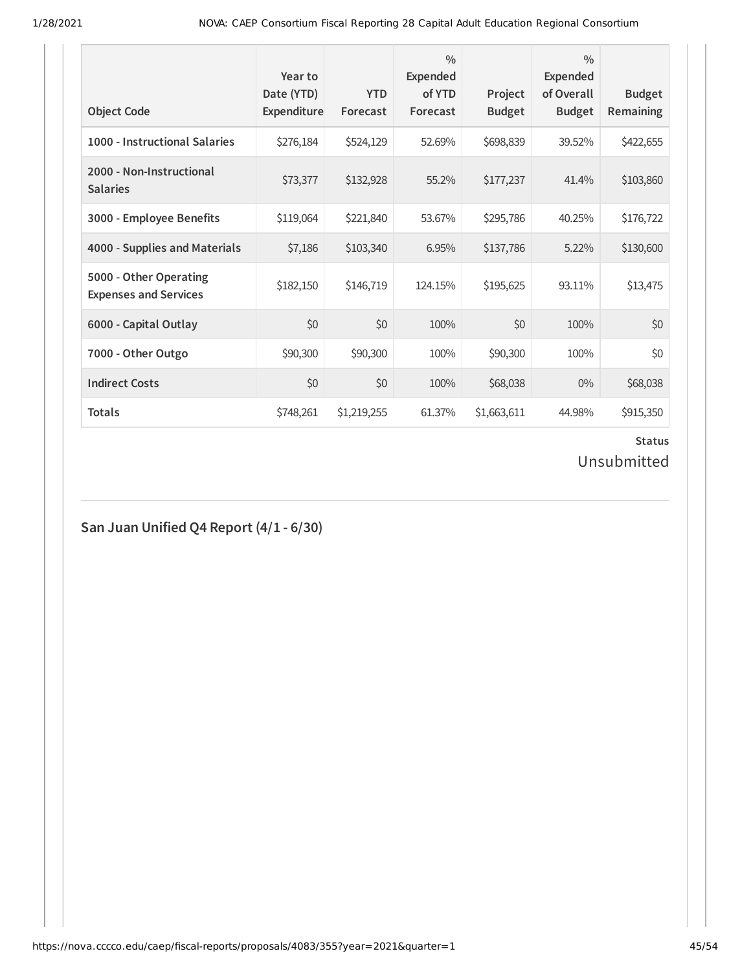| <b>Object Code</b>                                     | Year to<br>Date (YTD)<br>Expenditure | <b>YTD</b><br>Forecast | $\frac{0}{0}$<br>Expended<br>of YTD<br>Forecast | Project<br><b>Budget</b> | $\frac{0}{0}$<br><b>Expended</b><br>of Overall<br><b>Budget</b> | <b>Budget</b><br>Remaining |
|--------------------------------------------------------|--------------------------------------|------------------------|-------------------------------------------------|--------------------------|-----------------------------------------------------------------|----------------------------|
| 1000 - Instructional Salaries                          | \$276,184                            | \$524,129              | 52.69%                                          | \$698,839                | 39.52%                                                          | \$422,655                  |
| 2000 - Non-Instructional<br><b>Salaries</b>            | \$73,377                             | \$132,928              | 55.2%                                           | \$177,237                | 41.4%                                                           | \$103,860                  |
| 3000 - Employee Benefits                               | \$119,064                            | \$221,840              | 53.67%                                          | \$295,786                | 40.25%                                                          | \$176,722                  |
| 4000 - Supplies and Materials                          | \$7,186                              | \$103,340              | 6.95%                                           | \$137,786                | 5.22%                                                           | \$130,600                  |
| 5000 - Other Operating<br><b>Expenses and Services</b> | \$182,150                            | \$146,719              | 124.15%                                         | \$195,625                | 93.11%                                                          | \$13,475                   |
| 6000 - Capital Outlay                                  | \$0                                  | \$0                    | 100%                                            | \$0                      | 100%                                                            | \$0                        |
| 7000 - Other Outgo                                     | \$90,300                             | \$90,300               | 100%                                            | \$90,300                 | 100%                                                            | \$0                        |
| <b>Indirect Costs</b>                                  | \$0                                  | \$0                    | 100%                                            | \$68,038                 | $0\%$                                                           | \$68,038                   |
| <b>Totals</b>                                          | \$748,261                            | \$1,219,255            | 61.37%                                          | \$1,663,611              | 44.98%                                                          | \$915,350                  |

Unsubmitted

**San Juan Unified Q4 Report (4/1 - 6/30)**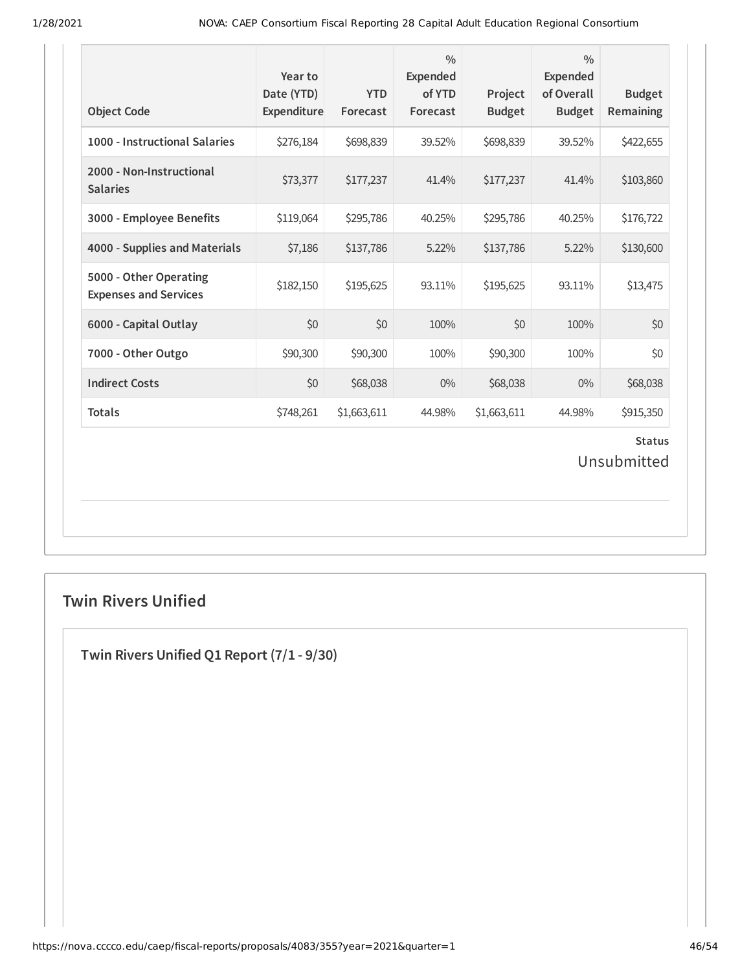| <b>Object Code</b>                                     | Year to<br>Date (YTD)<br>Expenditure | <b>YTD</b><br>Forecast | $\frac{0}{0}$<br><b>Expended</b><br>of YTD<br>Forecast | Project<br><b>Budget</b> | $\frac{0}{0}$<br><b>Expended</b><br>of Overall<br><b>Budget</b> | <b>Budget</b><br>Remaining |  |
|--------------------------------------------------------|--------------------------------------|------------------------|--------------------------------------------------------|--------------------------|-----------------------------------------------------------------|----------------------------|--|
| 1000 - Instructional Salaries                          | \$276,184                            | \$698,839              | 39.52%                                                 | \$698,839                | 39.52%                                                          | \$422,655                  |  |
| 2000 - Non-Instructional<br><b>Salaries</b>            | \$73,377                             | \$177,237              | 41.4%                                                  | \$177,237                | 41.4%                                                           | \$103,860                  |  |
| 3000 - Employee Benefits                               | \$119,064                            | \$295,786              | 40.25%                                                 | \$295,786                | 40.25%                                                          | \$176,722                  |  |
| 4000 - Supplies and Materials                          | \$7,186                              | \$137,786              | 5.22%                                                  | \$137,786                | 5.22%                                                           | \$130,600                  |  |
| 5000 - Other Operating<br><b>Expenses and Services</b> | \$182,150                            | \$195,625              | 93.11%                                                 | \$195,625                | 93.11%                                                          | \$13,475                   |  |
| 6000 - Capital Outlay                                  | \$0                                  | \$0                    | 100%                                                   | \$0                      | 100%                                                            | \$0                        |  |
| 7000 - Other Outgo                                     | \$90,300                             | \$90,300               | 100%                                                   | \$90,300                 | 100%                                                            | \$0                        |  |
| <b>Indirect Costs</b>                                  | \$0                                  | \$68,038               | $0\%$                                                  | \$68,038                 | $0\%$                                                           | \$68,038                   |  |
| <b>Totals</b>                                          | \$748,261                            | \$1,663,611            | 44.98%                                                 | \$1,663,611              | 44.98%                                                          | \$915,350                  |  |
| <b>Status</b><br>Unsubmitted                           |                                      |                        |                                                        |                          |                                                                 |                            |  |

## **Twin Rivers Unified**

**Twin Rivers Unified Q1 Report (7/1 - 9/30)**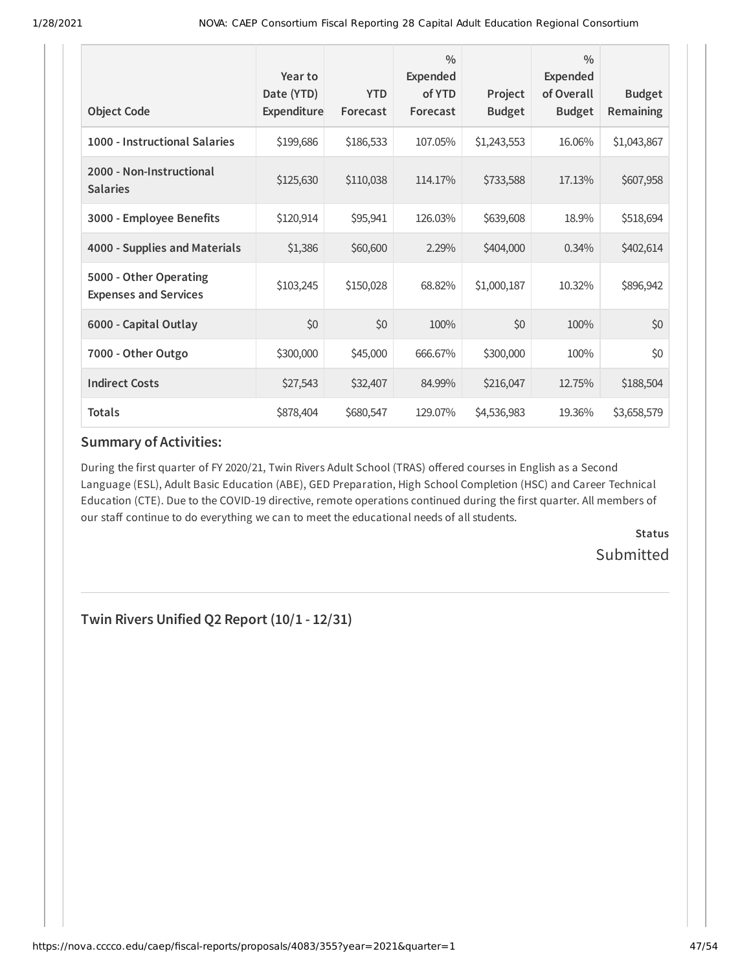| <b>Object Code</b>                                     | Year to<br>Date (YTD)<br>Expenditure | <b>YTD</b><br>Forecast | $\frac{0}{0}$<br>Expended<br>of YTD<br>Forecast | Project<br><b>Budget</b> | $\frac{0}{0}$<br><b>Expended</b><br>of Overall<br><b>Budget</b> | <b>Budget</b><br>Remaining |
|--------------------------------------------------------|--------------------------------------|------------------------|-------------------------------------------------|--------------------------|-----------------------------------------------------------------|----------------------------|
| 1000 - Instructional Salaries                          | \$199,686                            | \$186,533              | 107.05%                                         | \$1,243,553              | 16.06%                                                          | \$1,043,867                |
| 2000 - Non-Instructional<br><b>Salaries</b>            | \$125,630                            | \$110,038              | 114.17%                                         | \$733,588                | 17.13%                                                          | \$607,958                  |
| 3000 - Employee Benefits                               | \$120,914                            | \$95,941               | 126.03%                                         | \$639,608                | 18.9%                                                           | \$518,694                  |
| 4000 - Supplies and Materials                          | \$1,386                              | \$60,600               | 2.29%                                           | \$404,000                | $0.34\%$                                                        | \$402,614                  |
| 5000 - Other Operating<br><b>Expenses and Services</b> | \$103,245                            | \$150,028              | 68.82%                                          | \$1,000,187              | 10.32%                                                          | \$896,942                  |
| 6000 - Capital Outlay                                  | \$0                                  | \$0                    | 100%                                            | \$0                      | 100%                                                            | \$0                        |
| 7000 - Other Outgo                                     | \$300,000                            | \$45,000               | 666.67%                                         | \$300,000                | 100%                                                            | \$0                        |
| <b>Indirect Costs</b>                                  | \$27,543                             | \$32,407               | 84.99%                                          | \$216,047                | 12.75%                                                          | \$188,504                  |
| <b>Totals</b>                                          | \$878,404                            | \$680,547              | 129.07%                                         | \$4,536,983              | 19.36%                                                          | \$3,658,579                |

### **Summary of Activities:**

During the first quarter of FY 2020/21, Twin Rivers Adult School (TRAS) offered courses in English as a Second Language (ESL), Adult Basic Education (ABE), GED Preparation, High School Completion (HSC) and Career Technical Education (CTE). Due to the COVID-19 directive, remote operations continued during the first quarter. All members of our staff continue to do everything we can to meet the educational needs of all students.

> **Status** Submitted

**Twin Rivers Unified Q2 Report (10/1 - 12/31)**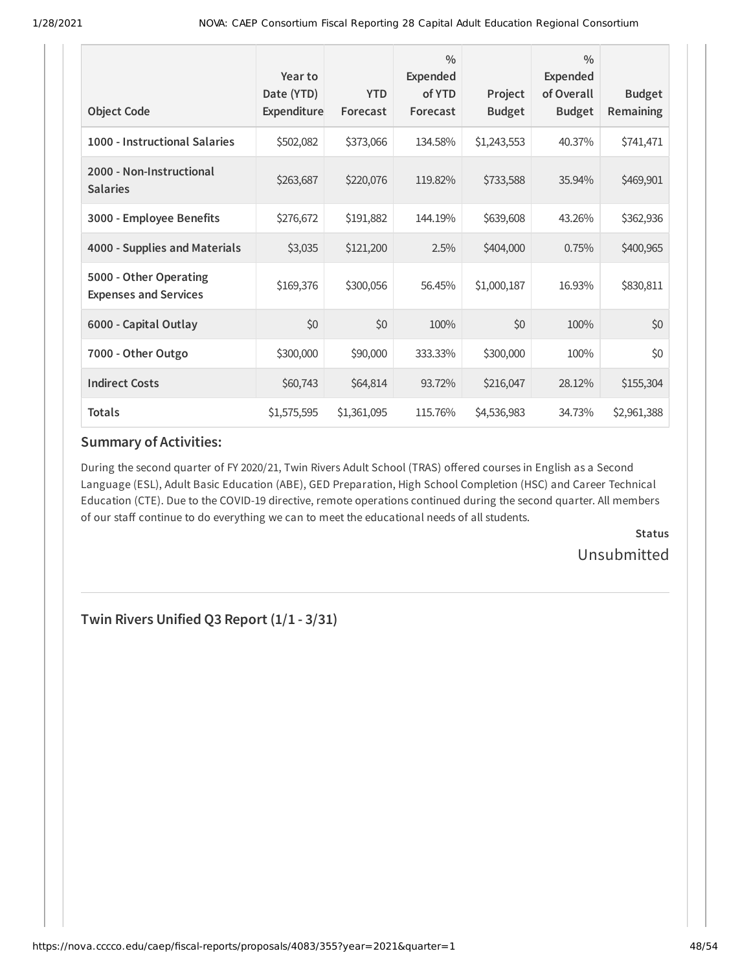| <b>Object Code</b>                                     | Year to<br>Date (YTD)<br>Expenditure | <b>YTD</b><br>Forecast | $\frac{0}{0}$<br>Expended<br>of YTD<br>Forecast | Project<br><b>Budget</b> | $\frac{0}{0}$<br>Expended<br>of Overall<br><b>Budget</b> | <b>Budget</b><br>Remaining |
|--------------------------------------------------------|--------------------------------------|------------------------|-------------------------------------------------|--------------------------|----------------------------------------------------------|----------------------------|
| 1000 - Instructional Salaries                          | \$502,082                            | \$373,066              | 134.58%                                         | \$1,243,553              | 40.37%                                                   | \$741,471                  |
| 2000 - Non-Instructional<br><b>Salaries</b>            | \$263,687                            | \$220,076              | 119.82%                                         | \$733,588                | 35.94%                                                   | \$469,901                  |
| 3000 - Employee Benefits                               | \$276,672                            | \$191,882              | 144.19%                                         | \$639,608                | 43.26%                                                   | \$362,936                  |
| 4000 - Supplies and Materials                          | \$3,035                              | \$121,200              | 2.5%                                            | \$404,000                | 0.75%                                                    | \$400,965                  |
| 5000 - Other Operating<br><b>Expenses and Services</b> | \$169,376                            | \$300,056              | 56.45%                                          | \$1,000,187              | 16.93%                                                   | \$830,811                  |
| 6000 - Capital Outlay                                  | \$0                                  | \$0                    | 100%                                            | \$0                      | 100%                                                     | \$0                        |
| 7000 - Other Outgo                                     | \$300,000                            | \$90,000               | 333.33%                                         | \$300,000                | 100%                                                     | \$0                        |
| <b>Indirect Costs</b>                                  | \$60,743                             | \$64,814               | 93.72%                                          | \$216,047                | 28.12%                                                   | \$155,304                  |
| <b>Totals</b>                                          | \$1,575,595                          | \$1,361,095            | 115.76%                                         | \$4,536,983              | 34.73%                                                   | \$2,961,388                |

### **Summary of Activities:**

During the second quarter of FY 2020/21, Twin Rivers Adult School (TRAS) offered courses in English as a Second Language (ESL), Adult Basic Education (ABE), GED Preparation, High School Completion (HSC) and Career Technical Education (CTE). Due to the COVID-19 directive, remote operations continued during the second quarter. All members of our staff continue to do everything we can to meet the educational needs of all students.

> **Status** Unsubmitted

**Twin Rivers Unified Q3 Report (1/1 - 3/31)**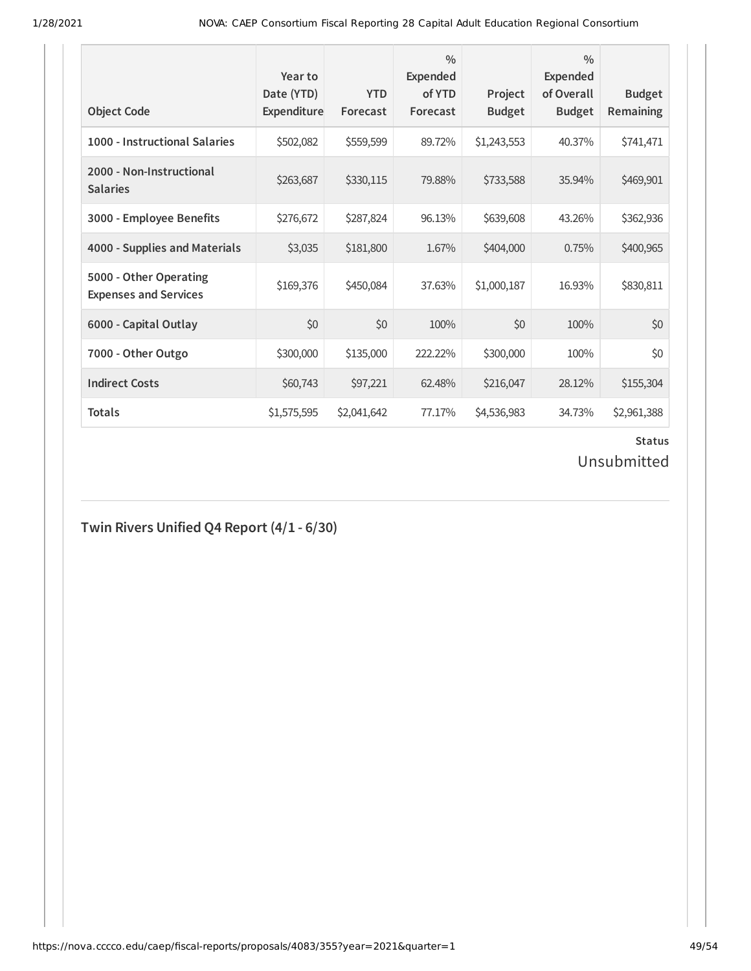| <b>Object Code</b>                                     | Year to<br>Date (YTD)<br>Expenditure | <b>YTD</b><br>Forecast | $\frac{0}{0}$<br>Expended<br>of YTD<br>Forecast | Project<br><b>Budget</b> | $\frac{0}{0}$<br>Expended<br>of Overall<br><b>Budget</b> | <b>Budget</b><br>Remaining |
|--------------------------------------------------------|--------------------------------------|------------------------|-------------------------------------------------|--------------------------|----------------------------------------------------------|----------------------------|
| 1000 - Instructional Salaries                          | \$502,082                            | \$559,599              | 89.72%                                          | \$1,243,553              | 40.37%                                                   | \$741,471                  |
| 2000 - Non-Instructional<br><b>Salaries</b>            | \$263,687                            | \$330,115              | 79.88%                                          | \$733,588                | 35.94%                                                   | \$469,901                  |
| 3000 - Employee Benefits                               | \$276,672                            | \$287,824              | 96.13%                                          | \$639,608                | 43.26%                                                   | \$362,936                  |
| 4000 - Supplies and Materials                          | \$3,035                              | \$181,800              | 1.67%                                           | \$404,000                | 0.75%                                                    | \$400,965                  |
| 5000 - Other Operating<br><b>Expenses and Services</b> | \$169,376                            | \$450,084              | 37.63%                                          | \$1,000,187              | 16.93%                                                   | \$830,811                  |
| 6000 - Capital Outlay                                  | \$0                                  | \$0                    | 100%                                            | \$0                      | 100%                                                     | \$0                        |
| 7000 - Other Outgo                                     | \$300,000                            | \$135,000              | 222.22%                                         | \$300,000                | 100%                                                     | \$0                        |
| <b>Indirect Costs</b>                                  | \$60,743                             | \$97,221               | 62.48%                                          | \$216,047                | 28.12%                                                   | \$155,304                  |
| <b>Totals</b>                                          | \$1,575,595                          | \$2,041,642            | 77.17%                                          | \$4,536,983              | 34.73%                                                   | \$2,961,388                |

Unsubmitted

## **Twin Rivers Unified Q4 Report (4/1 - 6/30)**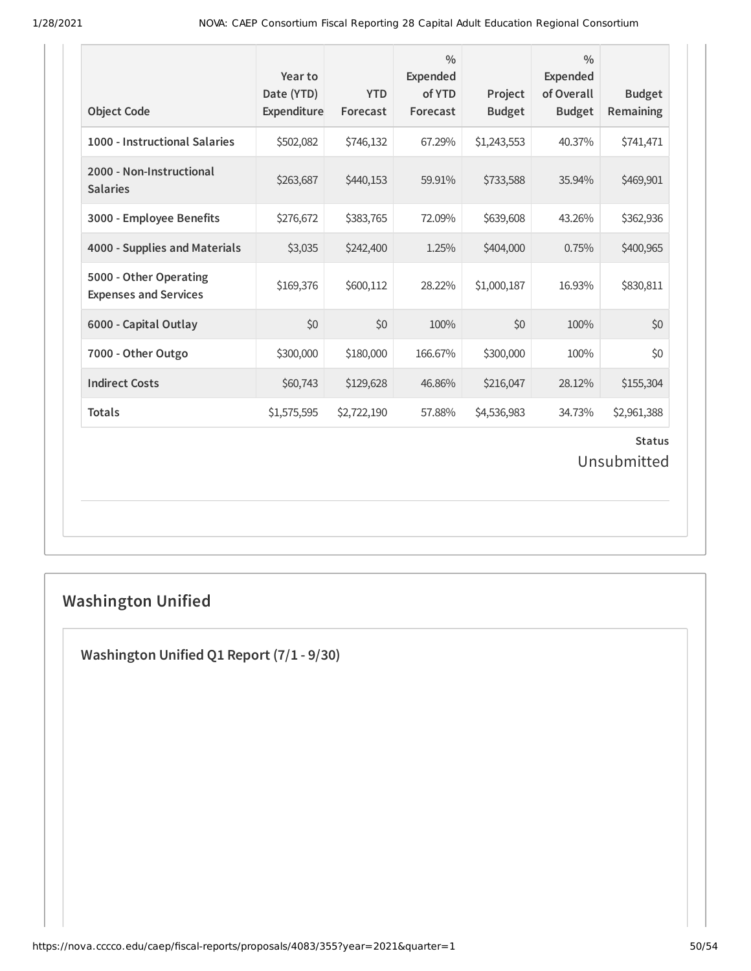| <b>Object Code</b>                                     | Year to<br>Date (YTD)<br>Expenditure | <b>YTD</b><br>Forecast | $\frac{0}{0}$<br><b>Expended</b><br>of YTD<br>Forecast | Project<br><b>Budget</b> | $\frac{0}{0}$<br><b>Expended</b><br>of Overall<br><b>Budget</b> | <b>Budget</b><br>Remaining |
|--------------------------------------------------------|--------------------------------------|------------------------|--------------------------------------------------------|--------------------------|-----------------------------------------------------------------|----------------------------|
| 1000 - Instructional Salaries                          | \$502,082                            | \$746,132              | 67.29%                                                 | \$1,243,553              | 40.37%                                                          | \$741,471                  |
| 2000 - Non-Instructional<br><b>Salaries</b>            | \$263,687                            | \$440,153              | 59.91%                                                 | \$733,588                | 35.94%                                                          | \$469,901                  |
| 3000 - Employee Benefits                               | \$276,672                            | \$383,765              | 72.09%                                                 | \$639,608                | 43.26%                                                          | \$362,936                  |
| 4000 - Supplies and Materials                          | \$3,035                              | \$242,400              | 1.25%                                                  | \$404,000                | 0.75%                                                           | \$400,965                  |
| 5000 - Other Operating<br><b>Expenses and Services</b> | \$169,376                            | \$600,112              | 28.22%                                                 | \$1,000,187              | 16.93%                                                          | \$830,811                  |
| 6000 - Capital Outlay                                  | \$0                                  | \$0                    | 100%                                                   | \$0                      | 100%                                                            | \$0                        |
| 7000 - Other Outgo                                     | \$300,000                            | \$180,000              | 166.67%                                                | \$300,000                | 100%                                                            | \$0                        |
| <b>Indirect Costs</b>                                  | \$60,743                             | \$129,628              | 46.86%                                                 | \$216,047                | 28.12%                                                          | \$155,304                  |
| <b>Totals</b>                                          | \$1,575,595                          | \$2,722,190            | 57.88%                                                 | \$4,536,983              | 34.73%                                                          | \$2,961,388                |
| <b>Status</b><br>Unsubmitted                           |                                      |                        |                                                        |                          |                                                                 |                            |

## **Washington Unified**

**Washington Unified Q1 Report (7/1 - 9/30)**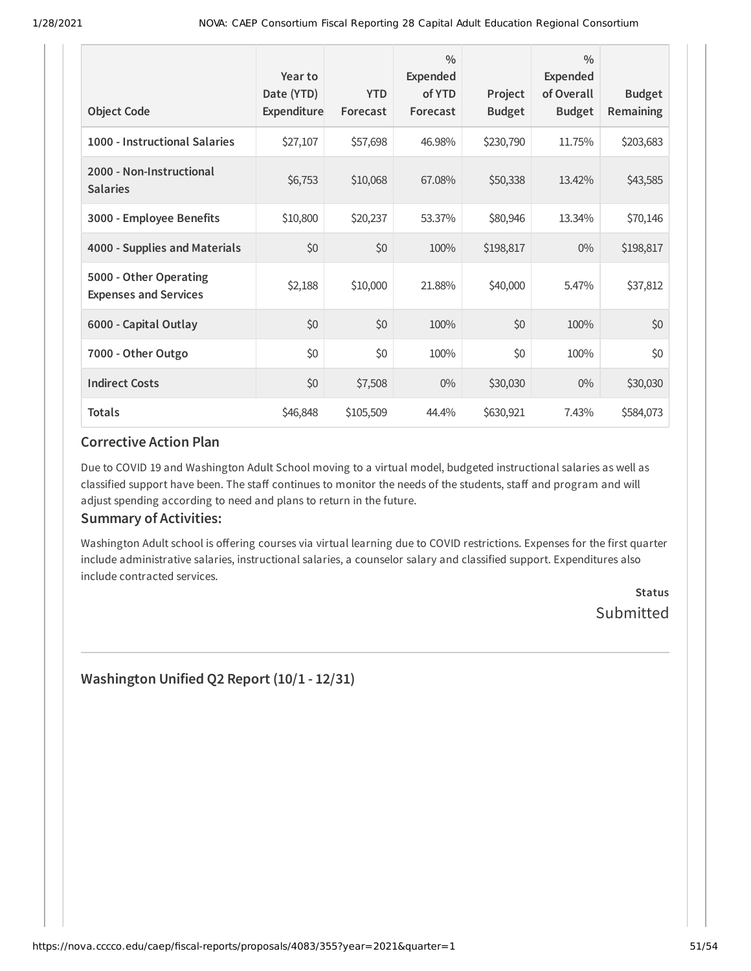| <b>Object Code</b>                                     | Year to<br>Date (YTD)<br>Expenditure | <b>YTD</b><br>Forecast | $\frac{0}{0}$<br><b>Expended</b><br>of YTD<br>Forecast | Project<br><b>Budget</b> | $\frac{0}{0}$<br>Expended<br>of Overall<br><b>Budget</b> | <b>Budget</b><br>Remaining |
|--------------------------------------------------------|--------------------------------------|------------------------|--------------------------------------------------------|--------------------------|----------------------------------------------------------|----------------------------|
| 1000 - Instructional Salaries                          | \$27,107                             | \$57,698               | 46.98%                                                 | \$230,790                | 11.75%                                                   | \$203,683                  |
| 2000 - Non-Instructional<br><b>Salaries</b>            | \$6,753                              | \$10,068               | 67.08%                                                 | \$50,338                 | 13.42%                                                   | \$43,585                   |
| 3000 - Employee Benefits                               | \$10,800                             | \$20,237               | 53.37%                                                 | \$80,946                 | 13.34%                                                   | \$70,146                   |
| 4000 - Supplies and Materials                          | \$0                                  | \$0                    | 100%                                                   | \$198,817                | $0\%$                                                    | \$198,817                  |
| 5000 - Other Operating<br><b>Expenses and Services</b> | \$2,188                              | \$10,000               | 21.88%                                                 | \$40,000                 | 5.47%                                                    | \$37,812                   |
| 6000 - Capital Outlay                                  | \$0                                  | \$0                    | 100%                                                   | \$0                      | 100%                                                     | \$0                        |
| 7000 - Other Outgo                                     | \$0                                  | \$0                    | 100%                                                   | \$0                      | 100%                                                     | \$0                        |
| <b>Indirect Costs</b>                                  | \$0                                  | \$7,508                | $0\%$                                                  | \$30,030                 | $0\%$                                                    | \$30,030                   |
| <b>Totals</b>                                          | \$46,848                             | \$105,509              | 44.4%                                                  | \$630,921                | 7.43%                                                    | \$584,073                  |

#### **Corrective Action Plan**

Due to COVID 19 and Washington Adult School moving to a virtual model, budgeted instructional salaries as well as classified support have been. The staff continues to monitor the needs of the students, staff and program and will adjust spending according to need and plans to return in the future.

### **Summary of Activities:**

Washington Adult school is offering courses via virtual learning due to COVID restrictions. Expenses for the first quarter include administrative salaries, instructional salaries, a counselor salary and classified support. Expenditures also include contracted services.

> **Status** Submitted

**Washington Unified Q2 Report (10/1 - 12/31)**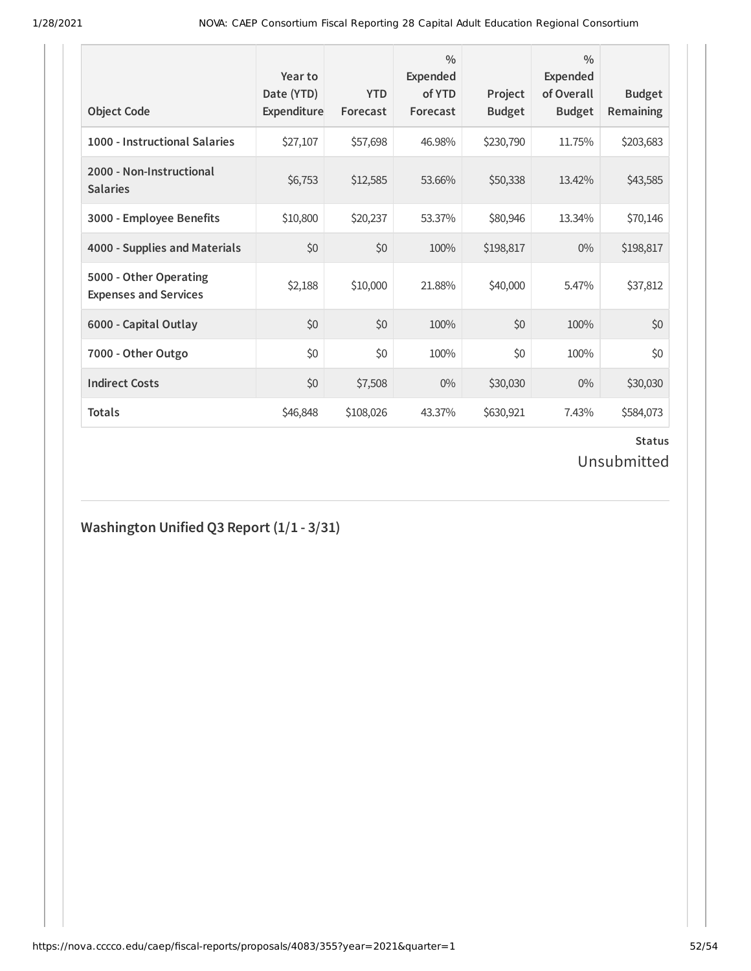| <b>Object Code</b>                                     | Year to<br>Date (YTD)<br>Expenditure | <b>YTD</b><br>Forecast | $\frac{0}{0}$<br>Expended<br>of YTD<br>Forecast | Project<br><b>Budget</b> | $\frac{0}{0}$<br>Expended<br>of Overall<br><b>Budget</b> | <b>Budget</b><br>Remaining |
|--------------------------------------------------------|--------------------------------------|------------------------|-------------------------------------------------|--------------------------|----------------------------------------------------------|----------------------------|
| 1000 - Instructional Salaries                          | \$27,107                             | \$57,698               | 46.98%                                          | \$230,790                | 11.75%                                                   | \$203,683                  |
| 2000 - Non-Instructional<br><b>Salaries</b>            | \$6,753                              | \$12,585               | 53.66%                                          | \$50,338                 | 13.42%                                                   | \$43,585                   |
| 3000 - Employee Benefits                               | \$10,800                             | \$20,237               | 53.37%                                          | \$80,946                 | 13.34%                                                   | \$70,146                   |
| 4000 - Supplies and Materials                          | \$0                                  | \$0                    | 100%                                            | \$198,817                | $0\%$                                                    | \$198,817                  |
| 5000 - Other Operating<br><b>Expenses and Services</b> | \$2,188                              | \$10,000               | 21.88%                                          | \$40,000                 | 5.47%                                                    | \$37,812                   |
| 6000 - Capital Outlay                                  | \$0                                  | \$0                    | 100%                                            | \$0                      | 100%                                                     | \$0                        |
| 7000 - Other Outgo                                     | \$0                                  | \$0                    | 100%                                            | \$0                      | 100%                                                     | \$0                        |
| <b>Indirect Costs</b>                                  | \$0                                  | \$7,508                | $0\%$                                           | \$30,030                 | $0\%$                                                    | \$30,030                   |
| <b>Totals</b>                                          | \$46,848                             | \$108,026              | 43.37%                                          | \$630,921                | 7.43%                                                    | \$584,073                  |

## Unsubmitted

## **Washington Unified Q3 Report (1/1 - 3/31)**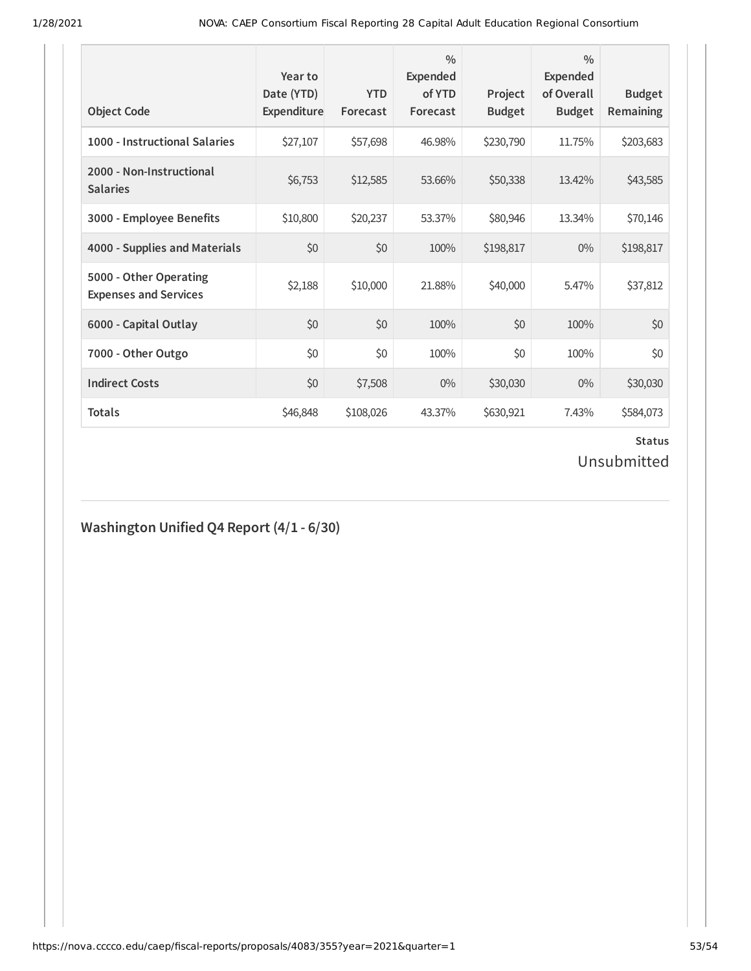| <b>Object Code</b>                                     | Year to<br>Date (YTD)<br>Expenditure | <b>YTD</b><br>Forecast | $\frac{0}{0}$<br>Expended<br>of YTD<br>Forecast | Project<br><b>Budget</b> | $\frac{0}{0}$<br><b>Expended</b><br>of Overall<br><b>Budget</b> | <b>Budget</b><br>Remaining |
|--------------------------------------------------------|--------------------------------------|------------------------|-------------------------------------------------|--------------------------|-----------------------------------------------------------------|----------------------------|
| 1000 - Instructional Salaries                          | \$27,107                             | \$57,698               | 46.98%                                          | \$230,790                | 11.75%                                                          | \$203,683                  |
| 2000 - Non-Instructional<br><b>Salaries</b>            | \$6,753                              | \$12,585               | 53.66%                                          | \$50,338                 | 13.42%                                                          | \$43,585                   |
| 3000 - Employee Benefits                               | \$10,800                             | \$20,237               | 53.37%                                          | \$80,946                 | 13.34%                                                          | \$70,146                   |
| 4000 - Supplies and Materials                          | \$0                                  | \$0                    | 100%                                            | \$198,817                | $0\%$                                                           | \$198,817                  |
| 5000 - Other Operating<br><b>Expenses and Services</b> | \$2,188                              | \$10,000               | 21.88%                                          | \$40,000                 | 5.47%                                                           | \$37,812                   |
| 6000 - Capital Outlay                                  | \$0                                  | \$0                    | 100%                                            | \$0                      | 100%                                                            | \$0                        |
| 7000 - Other Outgo                                     | \$0                                  | \$0                    | 100%                                            | \$0                      | 100%                                                            | \$0                        |
| <b>Indirect Costs</b>                                  | \$0                                  | \$7,508                | $0\%$                                           | \$30,030                 | $0\%$                                                           | \$30,030                   |
| <b>Totals</b>                                          | \$46,848                             | \$108,026              | 43.37%                                          | \$630,921                | 7.43%                                                           | \$584,073                  |

## Unsubmitted

## **Washington Unified Q4 Report (4/1 - 6/30)**